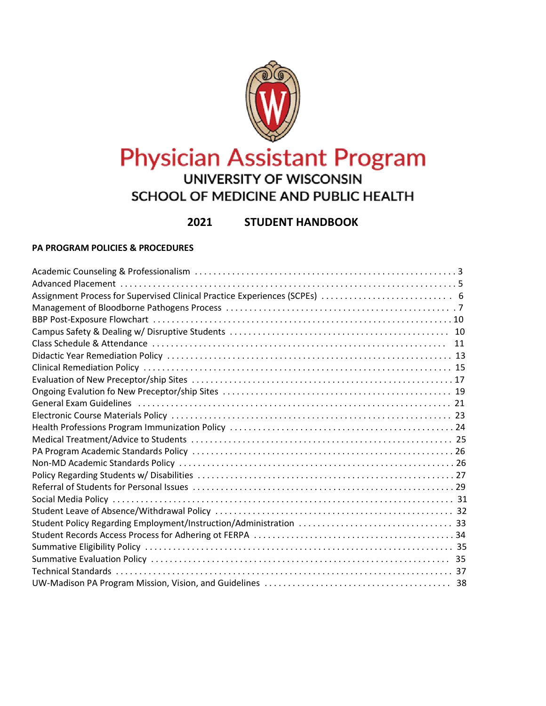

# **Physician Assistant Program** SCHOOL OF MEDICINE AND PUBLIC HEALTH

# **2021rîì STUDENT HANDBOOK**

## **PA PROGRAM POLICIES & PROCEDURES**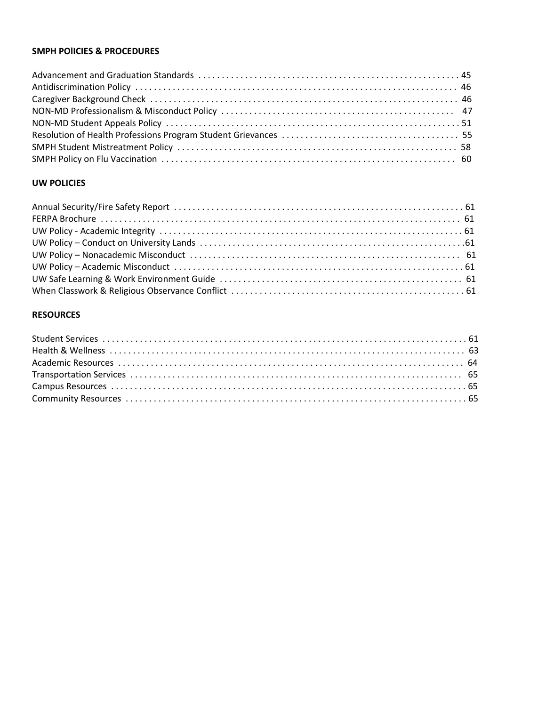## **SMPH POlICIES & PROCEDURES**

## **UW POLICIES**

## **RESOURCES**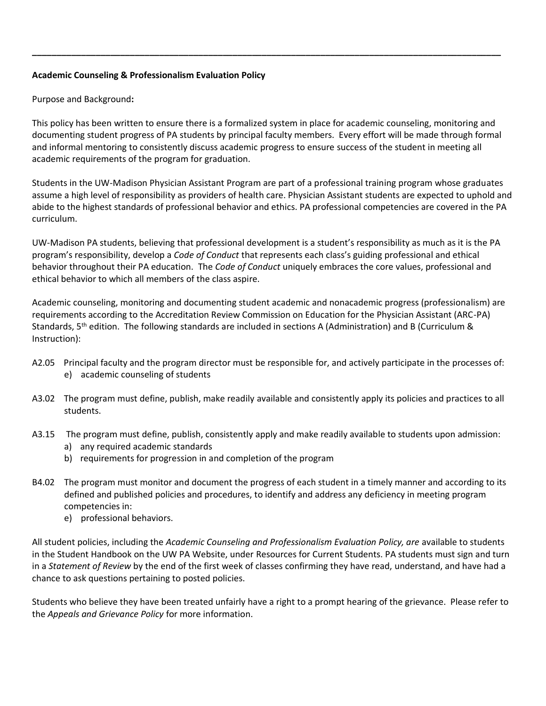## **Academic Counseling & Professionalism Evaluation Policy**

Purpose and Background**:**

This policy has been written to ensure there is a formalized system in place for academic counseling, monitoring and documenting student progress of PA students by principal faculty members. Every effort will be made through formal and informal mentoring to consistently discuss academic progress to ensure success of the student in meeting all academic requirements of the program for graduation.

**\_\_\_\_\_\_\_\_\_\_\_\_\_\_\_\_\_\_\_\_\_\_\_\_\_\_\_\_\_\_\_\_\_\_\_\_\_\_\_\_\_\_\_\_\_\_\_\_\_\_\_\_\_\_\_\_\_\_\_\_\_\_\_\_\_\_\_\_\_\_\_\_\_\_\_\_\_\_\_\_\_\_\_\_\_\_\_\_\_\_\_\_\_\_\_\_**

Students in the UW-Madison Physician Assistant Program are part of a professional training program whose graduates assume a high level of responsibility as providers of health care. Physician Assistant students are expected to uphold and abide to the highest standards of professional behavior and ethics. PA professional competencies are covered in the PA curriculum.

UW-Madison PA students, believing that professional development is a student's responsibility as much as it is the PA program's responsibility, develop a *Code of Conduct* that represents each class's guiding professional and ethical behavior throughout their PA education. The *Code of Conduct* uniquely embraces the core values, professional and ethical behavior to which all members of the class aspire.

Academic counseling, monitoring and documenting student academic and nonacademic progress (professionalism) are requirements according to the Accreditation Review Commission on Education for the Physician Assistant (ARC-PA) Standards,  $5<sup>th</sup>$  edition. The following standards are included in sections A (Administration) and B (Curriculum & Instruction):

- A2.05 Principal faculty and the program director must be responsible for, and actively participate in the processes of: e) academic counseling of students
- A3.02 The program must define, publish, make readily available and consistently apply its policies and practices to all students.
- A3.15 The program must define, publish, consistently apply and make readily available to students upon admission:
	- a) any required academic standards
	- b) requirements for progression in and completion of the program
- B4.02 The program must monitor and document the progress of each student in a timely manner and according to its defined and published policies and procedures, to identify and address any deficiency in meeting program competencies in:
	- e) professional behaviors.

All student policies, including the *Academic Counseling and Professionalism Evaluation Policy, are* available to students in the Student Handbook on the UW PA Website, under Resources for Current Students. PA students must sign and turn in a *Statement of Review* by the end of the first week of classes confirming they have read, understand, and have had a chance to ask questions pertaining to posted policies.

Students who believe they have been treated unfairly have a right to a prompt hearing of the grievance. Please refer to the *Appeals and Grievance Policy* for more information.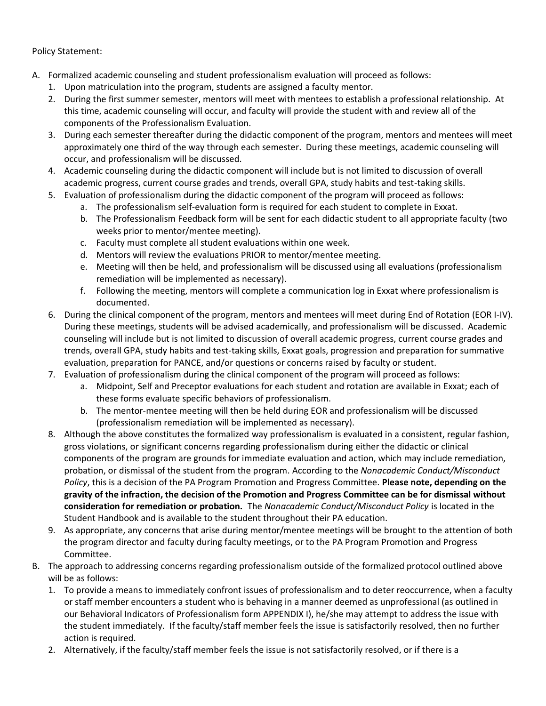## Policy Statement:

- A. Formalized academic counseling and student professionalism evaluation will proceed as follows:
	- 1. Upon matriculation into the program, students are assigned a faculty mentor.
	- 2. During the first summer semester, mentors will meet with mentees to establish a professional relationship. At this time, academic counseling will occur, and faculty will provide the student with and review all of the components of the Professionalism Evaluation.
	- 3. During each semester thereafter during the didactic component of the program, mentors and mentees will meet approximately one third of the way through each semester. During these meetings, academic counseling will occur, and professionalism will be discussed.
	- 4. Academic counseling during the didactic component will include but is not limited to discussion of overall academic progress, current course grades and trends, overall GPA, study habits and test-taking skills.
	- 5. Evaluation of professionalism during the didactic component of the program will proceed as follows:
		- a. The professionalism self-evaluation form is required for each student to complete in Exxat.
		- b. The Professionalism Feedback form will be sent for each didactic student to all appropriate faculty (two weeks prior to mentor/mentee meeting).
		- c. Faculty must complete all student evaluations within one week.
		- d. Mentors will review the evaluations PRIOR to mentor/mentee meeting.
		- e. Meeting will then be held, and professionalism will be discussed using all evaluations (professionalism remediation will be implemented as necessary).
		- f. Following the meeting, mentors will complete a communication log in Exxat where professionalism is documented.
	- 6. During the clinical component of the program, mentors and mentees will meet during End of Rotation (EOR I-IV). During these meetings, students will be advised academically, and professionalism will be discussed. Academic counseling will include but is not limited to discussion of overall academic progress, current course grades and trends, overall GPA, study habits and test-taking skills, Exxat goals, progression and preparation for summative evaluation, preparation for PANCE, and/or questions or concerns raised by faculty or student.
	- 7. Evaluation of professionalism during the clinical component of the program will proceed as follows:
		- a. Midpoint, Self and Preceptor evaluations for each student and rotation are available in Exxat; each of these forms evaluate specific behaviors of professionalism.
		- b. The mentor-mentee meeting will then be held during EOR and professionalism will be discussed (professionalism remediation will be implemented as necessary).
	- 8. Although the above constitutes the formalized way professionalism is evaluated in a consistent, regular fashion, gross violations, or significant concerns regarding professionalism during either the didactic or clinical components of the program are grounds for immediate evaluation and action, which may include remediation, probation, or dismissal of the student from the program. According to the *Nonacademic Conduct/Misconduct Policy*, this is a decision of the PA Program Promotion and Progress Committee. **Please note, depending on the gravity of the infraction, the decision of the Promotion and Progress Committee can be for dismissal without consideration for remediation or probation.** The *Nonacademic Conduct/Misconduct Policy* is located in the Student Handbook and is available to the student throughout their PA education.
	- 9. As appropriate, any concerns that arise during mentor/mentee meetings will be brought to the attention of both the program director and faculty during faculty meetings, or to the PA Program Promotion and Progress Committee.
- B. The approach to addressing concerns regarding professionalism outside of the formalized protocol outlined above will be as follows:
	- 1. To provide a means to immediately confront issues of professionalism and to deter reoccurrence, when a faculty or staff member encounters a student who is behaving in a manner deemed as unprofessional (as outlined in our Behavioral Indicators of Professionalism form APPENDIX I), he/she may attempt to address the issue with the student immediately. If the faculty/staff member feels the issue is satisfactorily resolved, then no further action is required.
	- 2. Alternatively, if the faculty/staff member feels the issue is not satisfactorily resolved, or if there is a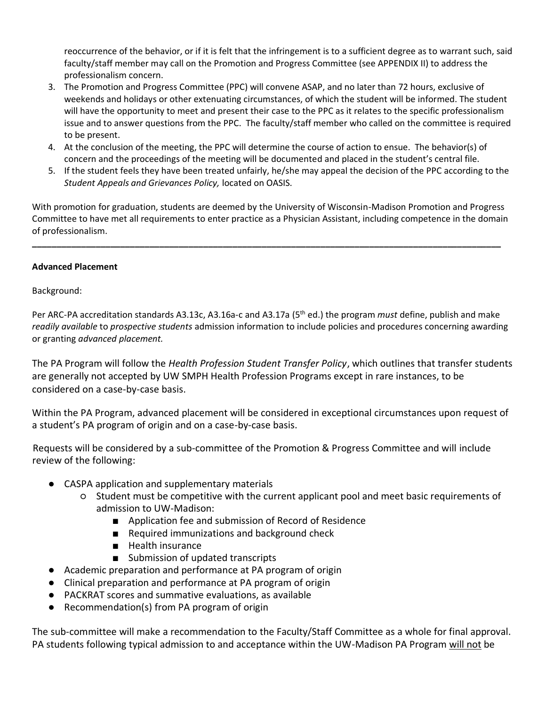reoccurrence of the behavior, or if it is felt that the infringement is to a sufficient degree as to warrant such, said faculty/staff member may call on the Promotion and Progress Committee (see APPENDIX II) to address the professionalism concern.

- 3. The Promotion and Progress Committee (PPC) will convene ASAP, and no later than 72 hours, exclusive of weekends and holidays or other extenuating circumstances, of which the student will be informed. The student will have the opportunity to meet and present their case to the PPC as it relates to the specific professionalism issue and to answer questions from the PPC. The faculty/staff member who called on the committee is required to be present.
- 4. At the conclusion of the meeting, the PPC will determine the course of action to ensue. The behavior(s) of concern and the proceedings of the meeting will be documented and placed in the student's central file.
- 5. If the student feels they have been treated unfairly, he/she may appeal the decision of the PPC according to the *Student Appeals and Grievances Policy,* located on OASIS.

With promotion for graduation, students are deemed by the University of Wisconsin-Madison Promotion and Progress Committee to have met all requirements to enter practice as a Physician Assistant, including competence in the domain of professionalism.

**\_\_\_\_\_\_\_\_\_\_\_\_\_\_\_\_\_\_\_\_\_\_\_\_\_\_\_\_\_\_\_\_\_\_\_\_\_\_\_\_\_\_\_\_\_\_\_\_\_\_\_\_\_\_\_\_\_\_\_\_\_\_\_\_\_\_\_\_\_\_\_\_\_\_\_\_\_\_\_\_\_\_\_\_\_\_\_\_\_\_\_\_\_\_\_\_**

## **Advanced Placement**

Background:

Per ARC-PA accreditation standards A3.13c, A3.16a-c and A3.17a (5th ed.) the program *must* define, publish and make *readily available* to *prospective students* admission information to include policies and procedures concerning awarding or granting *advanced placement.* 

The PA Program will follow the *Health Profession Student Transfer Policy*, which outlines that transfer students are generally not accepted by UW SMPH Health Profession Programs except in rare instances, to be considered on a case-by-case basis.

Within the PA Program, advanced placement will be considered in exceptional circumstances upon request of a student's PA program of origin and on a case-by-case basis.

Requests will be considered by a sub-committee of the Promotion & Progress Committee and will include review of the following:

- CASPA application and supplementary materials
	- Student must be competitive with the current applicant pool and meet basic requirements of admission to UW-Madison:
		- Application fee and submission of Record of Residence
		- Required immunizations and background check
		- Health insurance
		- Submission of updated transcripts
- Academic preparation and performance at PA program of origin
- Clinical preparation and performance at PA program of origin
- PACKRAT scores and summative evaluations, as available
- Recommendation(s) from PA program of origin

The sub-committee will make a recommendation to the Faculty/Staff Committee as a whole for final approval. PA students following typical admission to and acceptance within the UW-Madison PA Program will not be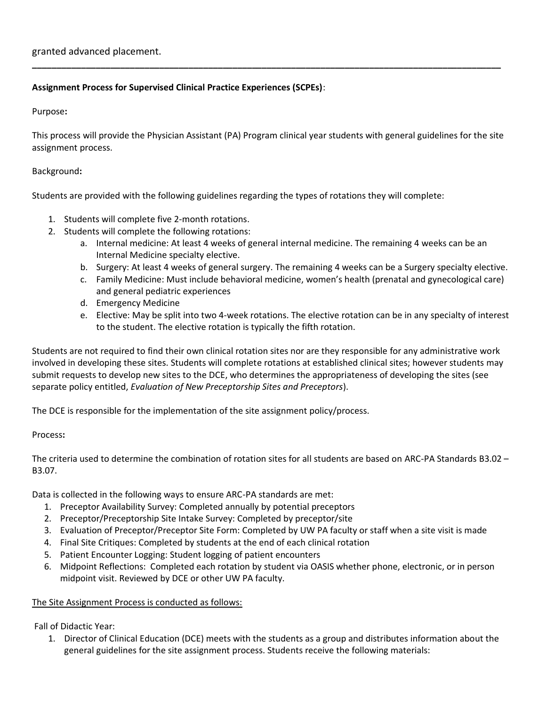## **Assignment Process for Supervised Clinical Practice Experiences (SCPEs)**:

Purpose**:**

This process will provide the Physician Assistant (PA) Program clinical year students with general guidelines for the site assignment process.

**\_\_\_\_\_\_\_\_\_\_\_\_\_\_\_\_\_\_\_\_\_\_\_\_\_\_\_\_\_\_\_\_\_\_\_\_\_\_\_\_\_\_\_\_\_\_\_\_\_\_\_\_\_\_\_\_\_\_\_\_\_\_\_\_\_\_\_\_\_\_\_\_\_\_\_\_\_\_\_\_\_\_\_\_\_\_\_\_\_\_\_\_\_\_\_\_**

## Background**:**

Students are provided with the following guidelines regarding the types of rotations they will complete:

- 1. Students will complete five 2-month rotations.
- 2. Students will complete the following rotations:
	- a. Internal medicine: At least 4 weeks of general internal medicine. The remaining 4 weeks can be an Internal Medicine specialty elective.
	- b. Surgery: At least 4 weeks of general surgery. The remaining 4 weeks can be a Surgery specialty elective.
	- c. Family Medicine: Must include behavioral medicine, women's health (prenatal and gynecological care) and general pediatric experiences
	- d. Emergency Medicine
	- e. Elective: May be split into two 4-week rotations. The elective rotation can be in any specialty of interest to the student. The elective rotation is typically the fifth rotation.

Students are not required to find their own clinical rotation sites nor are they responsible for any administrative work involved in developing these sites. Students will complete rotations at established clinical sites; however students may submit requests to develop new sites to the DCE, who determines the appropriateness of developing the sites (see separate policy entitled, *Evaluation of New Preceptorship Sites and Preceptors*).

The DCE is responsible for the implementation of the site assignment policy/process.

## Process**:**

The criteria used to determine the combination of rotation sites for all students are based on ARC-PA Standards B3.02 – B3.07.

Data is collected in the following ways to ensure ARC-PA standards are met:

- 1. Preceptor Availability Survey: Completed annually by potential preceptors
- 2. Preceptor/Preceptorship Site Intake Survey: Completed by preceptor/site
- 3. Evaluation of Preceptor/Preceptor Site Form: Completed by UW PA faculty or staff when a site visit is made
- 4. Final Site Critiques: Completed by students at the end of each clinical rotation
- 5. Patient Encounter Logging: Student logging of patient encounters
- 6. Midpoint Reflections: Completed each rotation by student via OASIS whether phone, electronic, or in person midpoint visit. Reviewed by DCE or other UW PA faculty.

## The Site Assignment Process is conducted as follows:

Fall of Didactic Year:

1. Director of Clinical Education (DCE) meets with the students as a group and distributes information about the general guidelines for the site assignment process. Students receive the following materials: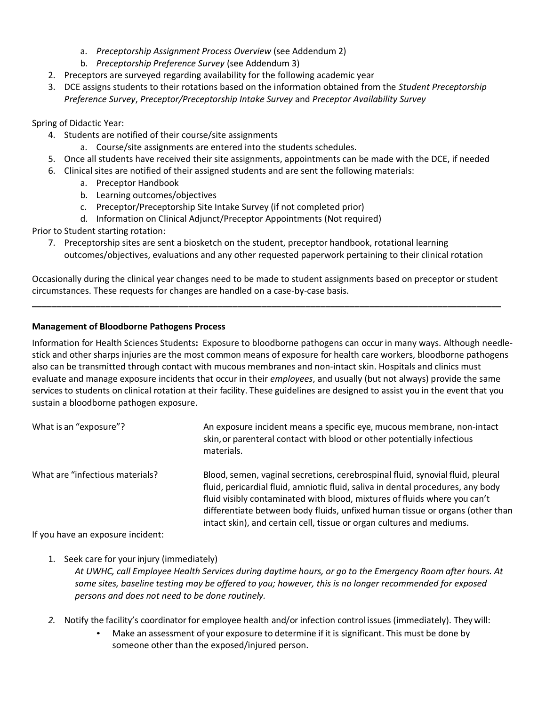- a. *Preceptorship Assignment Process Overview* (see Addendum 2)
- b. *Preceptorship Preference Survey* (see Addendum 3)
- 2. Preceptors are surveyed regarding availability for the following academic year
- 3. DCE assigns students to their rotations based on the information obtained from the *Student Preceptorship Preference Survey*, *Preceptor/Preceptorship Intake Survey* and *Preceptor Availability Survey*

Spring of Didactic Year:

- 4. Students are notified of their course/site assignments
	- a. Course/site assignments are entered into the students schedules.
- 5. Once all students have received their site assignments, appointments can be made with the DCE, if needed
- 6. Clinical sites are notified of their assigned students and are sent the following materials:
	- a. Preceptor Handbook
	- b. Learning outcomes/objectives
	- c. Preceptor/Preceptorship Site Intake Survey (if not completed prior)
	- d. Information on Clinical Adjunct/Preceptor Appointments (Not required)

Prior to Student starting rotation:

7. Preceptorship sites are sent a biosketch on the student, preceptor handbook, rotational learning outcomes/objectives, evaluations and any other requested paperwork pertaining to their clinical rotation

Occasionally during the clinical year changes need to be made to student assignments based on preceptor or student circumstances. These requests for changes are handled on a case-by-case basis.

**\_\_\_\_\_\_\_\_\_\_\_\_\_\_\_\_\_\_\_\_\_\_\_\_\_\_\_\_\_\_\_\_\_\_\_\_\_\_\_\_\_\_\_\_\_\_\_\_\_\_\_\_\_\_\_\_\_\_\_\_\_\_\_\_\_\_\_\_\_\_\_\_\_\_\_\_\_\_\_\_\_\_\_\_\_\_\_\_\_\_\_\_\_\_\_\_**

## **Management of Bloodborne Pathogens Process**

Information for Health Sciences Students**:** Exposure to bloodborne pathogens can occur in many ways. Although needlestick and other sharps injuries are the most common means of exposure for health care workers, bloodborne pathogens also can be transmitted through contact with mucous membranes and non-intact skin. Hospitals and clinics must evaluate and manage exposure incidents that occur in their *employees*, and usually (but not always) provide the same services to students on clinical rotation at their facility. These guidelines are designed to assist you in the event that you sustain a bloodborne pathogen exposure.

| What is an "exposure"?                                                                                                                                                                                                         | An exposure incident means a specific eye, mucous membrane, non-intact<br>skin, or parenteral contact with blood or other potentially infectious<br>materials.                                                                                                                                                                                                                                           |
|--------------------------------------------------------------------------------------------------------------------------------------------------------------------------------------------------------------------------------|----------------------------------------------------------------------------------------------------------------------------------------------------------------------------------------------------------------------------------------------------------------------------------------------------------------------------------------------------------------------------------------------------------|
| What are "infectious materials?                                                                                                                                                                                                | Blood, semen, vaginal secretions, cerebrospinal fluid, synovial fluid, pleural<br>fluid, pericardial fluid, amniotic fluid, saliva in dental procedures, any body<br>fluid visibly contaminated with blood, mixtures of fluids where you can't<br>differentiate between body fluids, unfixed human tissue or organs (other than<br>intact skin), and certain cell, tissue or organ cultures and mediums. |
| The control of the control of the second the state of the second second the second second second second second second second second second second second second second second second second second second second second second |                                                                                                                                                                                                                                                                                                                                                                                                          |

If you have an exposure incident:

1. Seek care for your injury (immediately)

*At UWHC, call Employee Health Services during daytime hours, or go to the Emergency Room after hours. At some sites, baseline testing may be offered to you; however, this is no longer recommended for exposed persons and does not need to be done routinely.*

- *2.* Notify the facility's coordinator for employee health and/or infection control issues (immediately). Theywill:
	- Make an assessment of your exposure to determine if it is significant. This must be done by someone other than the exposed/injured person.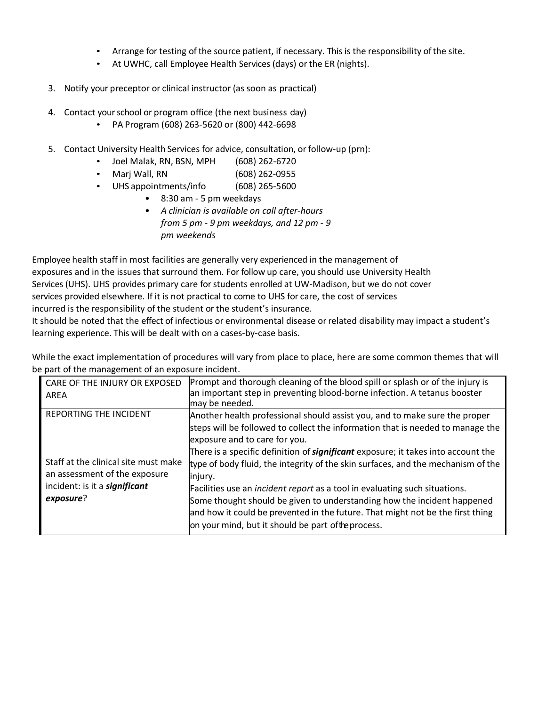- Arrange for testing of the source patient, if necessary. This is the responsibility ofthe site.
- At UWHC, call Employee Health Services (days) or the ER (nights).
- 3. Notify your preceptor or clinical instructor (as soon as practical)
- 4. Contact your school or program office (the next business day)
	- PA Program (608) 263-5620 or (800) 442-6698
- 5. Contact University Health Services for advice, consultation, or follow-up (prn):
	- Joel Malak, RN, BSN, MPH (608) 262-6720
	- Marj Wall, RN (608) 262-0955
	- UHS appointments/info (608) 265-5600
		- 8:30 am 5 pm weekdays
		- *A clinician is available on call after-hours from 5 pm - 9 pm weekdays, and 12 pm - 9 pm weekends*

Employee health staff in most facilities are generally very experienced in the management of exposures and in the issues that surround them. For follow up care, you should use University Health Services (UHS). UHS provides primary care for students enrolled at UW-Madison, but we do not cover services provided elsewhere. If it is not practical to come to UHS for care, the cost of services incurred is the responsibility of the student or the student's insurance.

It should be noted that the effect of infectious or environmental disease or related disability may impact a student's learning experience. This will be dealt with on a cases-by-case basis.

While the exact implementation of procedures will vary from place to place, here are some common themes that will be part of the management of an exposure incident.

| CARE OF THE INJURY OR EXPOSED<br>AREA                                                                         | Prompt and thorough cleaning of the blood spill or splash or of the injury is<br>an important step in preventing blood-borne infection. A tetanus booster<br>may be needed.                                                                                                  |
|---------------------------------------------------------------------------------------------------------------|------------------------------------------------------------------------------------------------------------------------------------------------------------------------------------------------------------------------------------------------------------------------------|
| <b>REPORTING THE INCIDENT</b>                                                                                 | Another health professional should assist you, and to make sure the proper<br>steps will be followed to collect the information that is needed to manage the<br>exposure and to care for you.                                                                                |
| Staff at the clinical site must make<br>an assessment of the exposure<br>incident: is it a <b>significant</b> | There is a specific definition of <b>significant</b> exposure; it takes into account the<br>type of body fluid, the integrity of the skin surfaces, and the mechanism of the<br>injury.<br>Facilities use an <i>incident report</i> as a tool in evaluating such situations. |
| exposure?                                                                                                     | Some thought should be given to understanding how the incident happened<br>and how it could be prevented in the future. That might not be the first thing<br>on your mind, but it should be part of the process.                                                             |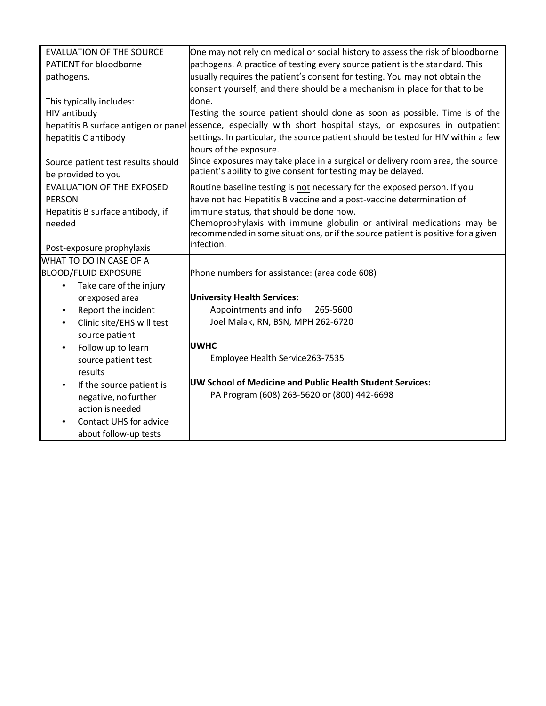| <b>EVALUATION OF THE SOURCE</b>        | One may not rely on medical or social history to assess the risk of bloodborne                                 |
|----------------------------------------|----------------------------------------------------------------------------------------------------------------|
| PATIENT for bloodborne                 | pathogens. A practice of testing every source patient is the standard. This                                    |
| pathogens.                             | usually requires the patient's consent for testing. You may not obtain the                                     |
|                                        | consent yourself, and there should be a mechanism in place for that to be                                      |
| This typically includes:               | done.                                                                                                          |
| HIV antibody                           | Testing the source patient should done as soon as possible. Time is of the                                     |
|                                        | hepatitis B surface antigen or panel essence, especially with short hospital stays, or exposures in outpatient |
| hepatitis C antibody                   | settings. In particular, the source patient should be tested for HIV within a few                              |
|                                        | hours of the exposure.                                                                                         |
| Source patient test results should     | Since exposures may take place in a surgical or delivery room area, the source                                 |
| be provided to you                     | patient's ability to give consent for testing may be delayed.                                                  |
| <b>EVALUATION OF THE EXPOSED</b>       | Routine baseline testing is not necessary for the exposed person. If you                                       |
| <b>PERSON</b>                          | have not had Hepatitis B vaccine and a post-vaccine determination of                                           |
| Hepatitis B surface antibody, if       | immune status, that should be done now.                                                                        |
| needed                                 | Chemoprophylaxis with immune globulin or antiviral medications may be                                          |
|                                        | recommended in some situations, or if the source patient is positive for a given                               |
| Post-exposure prophylaxis              | infection.                                                                                                     |
| WHAT TO DO IN CASE OF A                |                                                                                                                |
| <b>BLOOD/FLUID EXPOSURE</b>            | Phone numbers for assistance: (area code 608)                                                                  |
| Take care of the injury<br>$\bullet$   |                                                                                                                |
| or exposed area                        | <b>University Health Services:</b>                                                                             |
| Report the incident<br>$\bullet$       | Appointments and info<br>265-5600                                                                              |
| Clinic site/EHS will test<br>$\bullet$ | Joel Malak, RN, BSN, MPH 262-6720                                                                              |
| source patient                         |                                                                                                                |
| Follow up to learn<br>$\bullet$        | <b>UWHC</b>                                                                                                    |
| source patient test                    | Employee Health Service263-7535                                                                                |
| results                                |                                                                                                                |
| If the source patient is<br>$\bullet$  | UW School of Medicine and Public Health Student Services:                                                      |
| negative, no further                   | PA Program (608) 263-5620 or (800) 442-6698                                                                    |
| action is needed                       |                                                                                                                |
| Contact UHS for advice                 |                                                                                                                |
| about follow-up tests                  |                                                                                                                |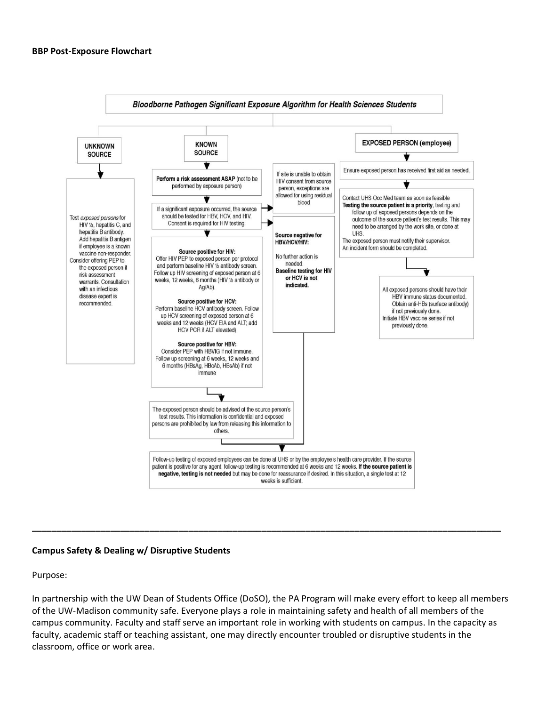#### **BBP Post-Exposure Flowchart**



## **Campus Safety & Dealing w/ Disruptive Students**

Purpose:

In partnership with the UW Dean of Students Office (DoSO), the PA Program will make every effort to keep all members of the UW-Madison community safe. Everyone plays a role in maintaining safety and health of all members of the campus community. Faculty and staff serve an important role in working with students on campus. In the capacity as faculty, academic staff or teaching assistant, one may directly encounter troubled or disruptive students in the classroom, office or work area.

**\_\_\_\_\_\_\_\_\_\_\_\_\_\_\_\_\_\_\_\_\_\_\_\_\_\_\_\_\_\_\_\_\_\_\_\_\_\_\_\_\_\_\_\_\_\_\_\_\_\_\_\_\_\_\_\_\_\_\_\_\_\_\_\_\_\_\_\_\_\_\_\_\_\_\_\_\_\_\_\_\_\_\_\_\_\_\_\_\_\_\_\_\_\_\_\_**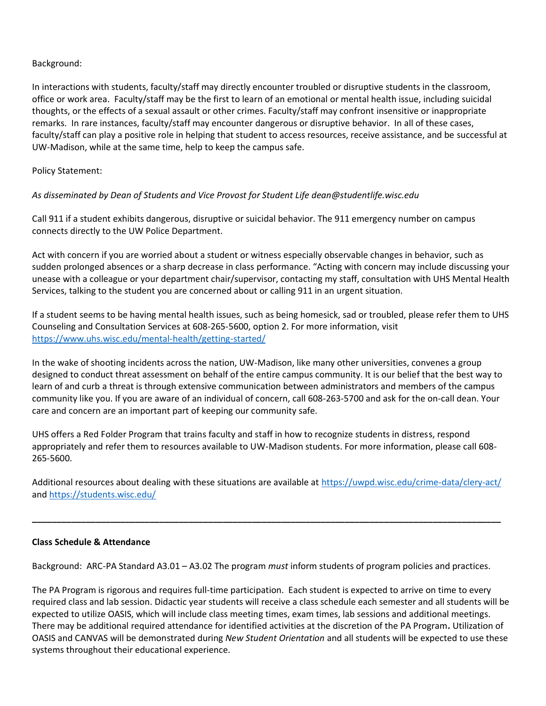## Background:

In interactions with students, faculty/staff may directly encounter troubled or disruptive students in the classroom, office or work area. Faculty/staff may be the first to learn of an emotional or mental health issue, including suicidal thoughts, or the effects of a sexual assault or other crimes. Faculty/staff may confront insensitive or inappropriate remarks. In rare instances, faculty/staff may encounter dangerous or disruptive behavior. In all of these cases, faculty/staff can play a positive role in helping that student to access resources, receive assistance, and be successful at UW-Madison, while at the same time, help to keep the campus safe.

## Policy Statement:

## *As disseminated by Dean of Students and Vice Provost for Student Life dean@studentlife.wisc.edu*

Call 911 if a student exhibits dangerous, disruptive or suicidal behavior. The 911 emergency number on campus connects directly to the UW Police Department.

Act with concern if you are worried about a student or witness especially observable changes in behavior, such as sudden prolonged absences or a sharp decrease in class performance. "Acting with concern may include discussing your unease with a colleague or your department chair/supervisor, contacting my staff, consultation with UHS Mental Health Services, talking to the student you are concerned about or calling 911 in an urgent situation.

If a student seems to be having mental health issues, such as being homesick, sad or troubled, please refer them to UHS Counseling and Consultation Services at 608-265-5600, option 2. For more information, visit <https://www.uhs.wisc.edu/mental-health/getting-started/>

In the wake of shooting incidents across the nation, UW-Madison, like many other universities, convenes a group designed to conduct threat assessment on behalf of the entire campus community. It is our belief that the best way to learn of and curb a threat is through extensive communication between administrators and members of the campus community like you. If you are aware of an individual of concern, call 608-263-5700 and ask for the on-call dean. Your care and concern are an important part of keeping our community safe.

UHS offers a Red Folder Program that trains faculty and staff in how to recognize students in distress, respond appropriately and refer them to resources available to UW-Madison students. For more information, please call 608- 265-5600.

Additional resources about dealing with these situations are available at<https://uwpd.wisc.edu/crime-data/clery-act/> and<https://students.wisc.edu/>

**\_\_\_\_\_\_\_\_\_\_\_\_\_\_\_\_\_\_\_\_\_\_\_\_\_\_\_\_\_\_\_\_\_\_\_\_\_\_\_\_\_\_\_\_\_\_\_\_\_\_\_\_\_\_\_\_\_\_\_\_\_\_\_\_\_\_\_\_\_\_\_\_\_\_\_\_\_\_\_\_\_\_\_\_\_\_\_\_\_\_\_\_\_\_\_\_**

## **Class Schedule & Attendance**

Background: ARC-PA Standard A3.01 – A3.02 The program *must* inform students of program policies and practices.

The PA Program is rigorous and requires full-time participation. Each student is expected to arrive on time to every required class and lab session. Didactic year students will receive a class schedule each semester and all students will be expected to utilize OASIS, which will include class meeting times, exam times, lab sessions and additional meetings. There may be additional required attendance for identified activities at the discretion of the PA Program**.** Utilization of OASIS and CANVAS will be demonstrated during *New Student Orientation* and all students will be expected to use these systems throughout their educational experience.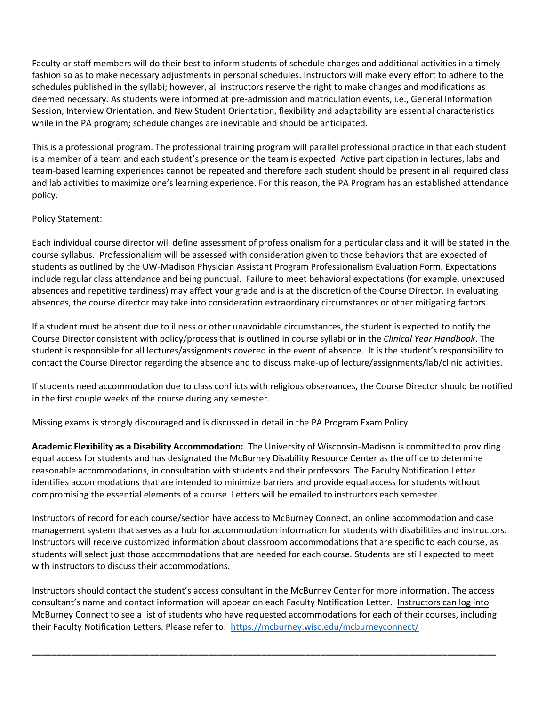Faculty or staff members will do their best to inform students of schedule changes and additional activities in a timely fashion so as to make necessary adjustments in personal schedules. Instructors will make every effort to adhere to the schedules published in the syllabi; however, all instructors reserve the right to make changes and modifications as deemed necessary. As students were informed at pre-admission and matriculation events, i.e., General Information Session, Interview Orientation, and New Student Orientation, flexibility and adaptability are essential characteristics while in the PA program; schedule changes are inevitable and should be anticipated.

This is a professional program. The professional training program will parallel professional practice in that each student is a member of a team and each student's presence on the team is expected. Active participation in lectures, labs and team-based learning experiences cannot be repeated and therefore each student should be present in all required class and lab activities to maximize one's learning experience. For this reason, the PA Program has an established attendance policy.

## Policy Statement:

Each individual course director will define assessment of professionalism for a particular class and it will be stated in the course syllabus. Professionalism will be assessed with consideration given to those behaviors that are expected of students as outlined by the UW-Madison Physician Assistant Program Professionalism Evaluation Form. Expectations include regular class attendance and being punctual. Failure to meet behavioral expectations (for example, unexcused absences and repetitive tardiness) may affect your grade and is at the discretion of the Course Director. In evaluating absences, the course director may take into consideration extraordinary circumstances or other mitigating factors.

If a student must be absent due to illness or other unavoidable circumstances, the student is expected to notify the Course Director consistent with policy/process that is outlined in course syllabi or in the *Clinical Year Handbook*. The student is responsible for all lectures/assignments covered in the event of absence. It is the student's responsibility to contact the Course Director regarding the absence and to discuss make-up of lecture/assignments/lab/clinic activities.

If students need accommodation due to class conflicts with religious observances, the Course Director should be notified in the first couple weeks of the course during any semester.

Missing exams is strongly discouraged and is discussed in detail in the PA Program Exam Policy.

**Academic Flexibility as a Disability Accommodation:** The University of Wisconsin-Madison is committed to providing equal access for students and has designated the McBurney Disability Resource Center as the office to determine reasonable accommodations, in consultation with students and their professors. The Faculty Notification Letter identifies accommodations that are intended to minimize barriers and provide equal access for students without compromising the essential elements of a course. Letters will be emailed to instructors each semester.

Instructors of record for each course/section have access to McBurney Connect, an online accommodation and case management system that serves as a hub for accommodation information for students with disabilities and instructors. Instructors will receive customized information about classroom accommodations that are specific to each course, as students will select just those accommodations that are needed for each course. Students are still expected to meet with instructors to discuss their accommodations.

Instructors should contact the student's access consultant in the McBurney Center for more information. The access consultant's name and contact information will appear on each Faculty Notification Letter. [Instructors](https://mcburney.wisc.edu/mcburneyconnect/) can log into [McBurney](https://mcburney.wisc.edu/mcburneyconnect/) Connect to see a list of students who have requested accommodations for each of their courses, including their Faculty Notification Letters. Please refer to: <https://mcburney.wisc.edu/mcburneyconnect/>

**\_\_\_\_\_\_\_\_\_\_\_\_\_\_\_\_\_\_\_\_\_\_\_\_\_\_\_\_\_\_\_\_\_\_\_\_\_\_\_\_\_\_\_\_\_\_\_\_\_\_\_\_\_\_\_\_\_\_\_\_\_\_\_\_\_\_\_\_\_\_\_\_\_\_\_\_\_\_\_\_\_\_\_\_\_\_\_\_\_\_\_\_\_\_\_**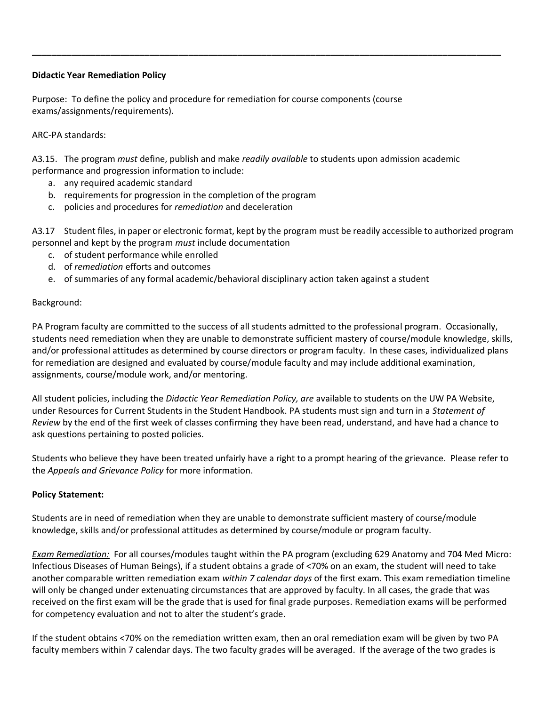## **Didactic Year Remediation Policy**

Purpose: To define the policy and procedure for remediation for course components (course exams/assignments/requirements).

## ARC-PA standards:

A3.15. The program *must* define, publish and make *readily available* to students upon admission academic performance and progression information to include:

**\_\_\_\_\_\_\_\_\_\_\_\_\_\_\_\_\_\_\_\_\_\_\_\_\_\_\_\_\_\_\_\_\_\_\_\_\_\_\_\_\_\_\_\_\_\_\_\_\_\_\_\_\_\_\_\_\_\_\_\_\_\_\_\_\_\_\_\_\_\_\_\_\_\_\_\_\_\_\_\_\_\_\_\_\_\_\_\_\_\_\_\_\_\_\_\_**

- a. any required academic standard
- b. requirements for progression in the completion of the program
- c. policies and procedures for *remediation* and deceleration

A3.17 Student files, in paper or electronic format, kept by the program must be readily accessible to authorized program personnel and kept by the program *must* include documentation

- c. of student performance while enrolled
- d. of *remediation* efforts and outcomes
- e. of summaries of any formal academic/behavioral disciplinary action taken against a student

## Background:

PA Program faculty are committed to the success of all students admitted to the professional program. Occasionally, students need remediation when they are unable to demonstrate sufficient mastery of course/module knowledge, skills, and/or professional attitudes as determined by course directors or program faculty. In these cases, individualized plans for remediation are designed and evaluated by course/module faculty and may include additional examination, assignments, course/module work, and/or mentoring.

All student policies, including the *Didactic Year Remediation Policy, are* available to students on the UW PA Website, under Resources for Current Students in the Student Handbook. PA students must sign and turn in a *Statement of Review* by the end of the first week of classes confirming they have been read, understand, and have had a chance to ask questions pertaining to posted policies.

Students who believe they have been treated unfairly have a right to a prompt hearing of the grievance. Please refer to the *Appeals and Grievance Policy* for more information.

## **Policy Statement:**

Students are in need of remediation when they are unable to demonstrate sufficient mastery of course/module knowledge, skills and/or professional attitudes as determined by course/module or program faculty.

*Exam Remediation:* For all courses/modules taught within the PA program (excluding 629 Anatomy and 704 Med Micro: Infectious Diseases of Human Beings), if a student obtains a grade of <70% on an exam, the student will need to take another comparable written remediation exam *within 7 calendar days* of the first exam. This exam remediation timeline will only be changed under extenuating circumstances that are approved by faculty. In all cases, the grade that was received on the first exam will be the grade that is used for final grade purposes. Remediation exams will be performed for competency evaluation and not to alter the student's grade.

If the student obtains <70% on the remediation written exam, then an oral remediation exam will be given by two PA faculty members within 7 calendar days. The two faculty grades will be averaged. If the average of the two grades is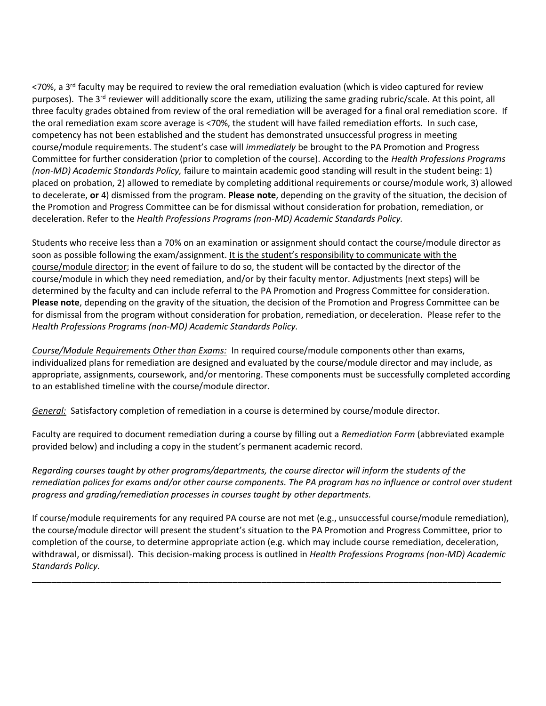<70%, a 3<sup>rd</sup> faculty may be required to review the oral remediation evaluation (which is video captured for review purposes). The  $3^{rd}$  reviewer will additionally score the exam, utilizing the same grading rubric/scale. At this point, all three faculty grades obtained from review of the oral remediation will be averaged for a final oral remediation score. If the oral remediation exam score average is <70%, the student will have failed remediation efforts. In such case, competency has not been established and the student has demonstrated unsuccessful progress in meeting course/module requirements. The student's case will *immediately* be brought to the PA Promotion and Progress Committee for further consideration (prior to completion of the course). According to the *Health Professions Programs (non-MD) Academic Standards Policy,* failure to maintain academic good standing will result in the student being: 1) placed on probation, 2) allowed to remediate by completing additional requirements or course/module work, 3) allowed to decelerate, **or** 4) dismissed from the program. **Please note**, depending on the gravity of the situation, the decision of the Promotion and Progress Committee can be for dismissal without consideration for probation, remediation, or deceleration. Refer to the *Health Professions Programs (non-MD) Academic Standards Policy.*

Students who receive less than a 70% on an examination or assignment should contact the course/module director as soon as possible following the exam/assignment. It is the student's responsibility to communicate with the course/module director; in the event of failure to do so, the student will be contacted by the director of the course/module in which they need remediation, and/or by their faculty mentor. Adjustments (next steps) will be determined by the faculty and can include referral to the PA Promotion and Progress Committee for consideration. **Please note**, depending on the gravity of the situation, the decision of the Promotion and Progress Committee can be for dismissal from the program without consideration for probation, remediation, or deceleration. Please refer to the *Health Professions Programs (non-MD) Academic Standards Policy.*

*Course/Module Requirements Other than Exams:* In required course/module components other than exams, individualized plans for remediation are designed and evaluated by the course/module director and may include, as appropriate, assignments, coursework, and/or mentoring. These components must be successfully completed according to an established timeline with the course/module director.

*General:* Satisfactory completion of remediation in a course is determined by course/module director.

Faculty are required to document remediation during a course by filling out a *Remediation Form* (abbreviated example provided below) and including a copy in the student's permanent academic record.

*Regarding courses taught by other programs/departments, the course director will inform the students of the remediation polices for exams and/or other course components. The PA program has no influence or control over student progress and grading/remediation processes in courses taught by other departments.*

If course/module requirements for any required PA course are not met (e.g., unsuccessful course/module remediation), the course/module director will present the student's situation to the PA Promotion and Progress Committee, prior to completion of the course, to determine appropriate action (e.g. which may include course remediation, deceleration, withdrawal, or dismissal). This decision-making process is outlined in *Health Professions Programs (non-MD) Academic Standards Policy.*

**\_\_\_\_\_\_\_\_\_\_\_\_\_\_\_\_\_\_\_\_\_\_\_\_\_\_\_\_\_\_\_\_\_\_\_\_\_\_\_\_\_\_\_\_\_\_\_\_\_\_\_\_\_\_\_\_\_\_\_\_\_\_\_\_\_\_\_\_\_\_\_\_\_\_\_\_\_\_\_\_\_\_\_\_\_\_\_\_\_\_\_\_\_\_\_\_**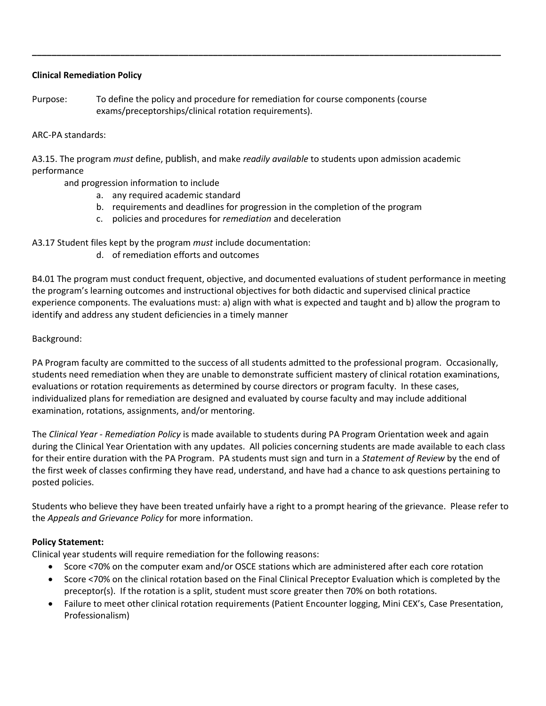## **Clinical Remediation Policy**

Purpose: To define the policy and procedure for remediation for course components (course exams/preceptorships/clinical rotation requirements).

## ARC-PA standards:

A3.15. The program *must* define, publish, and make *readily available* to students upon admission academic performance

and progression information to include

- a. any required academic standard
- b. requirements and deadlines for progression in the completion of the program

**\_\_\_\_\_\_\_\_\_\_\_\_\_\_\_\_\_\_\_\_\_\_\_\_\_\_\_\_\_\_\_\_\_\_\_\_\_\_\_\_\_\_\_\_\_\_\_\_\_\_\_\_\_\_\_\_\_\_\_\_\_\_\_\_\_\_\_\_\_\_\_\_\_\_\_\_\_\_\_\_\_\_\_\_\_\_\_\_\_\_\_\_\_\_\_\_**

c. policies and procedures for *remediation* and deceleration

A3.17 Student files kept by the program *must* include documentation:

d. of remediation efforts and outcomes

B4.01 The program must conduct frequent, objective, and documented evaluations of student performance in meeting the program's learning outcomes and instructional objectives for both didactic and supervised clinical practice experience components. The evaluations must: a) align with what is expected and taught and b) allow the program to identify and address any student deficiencies in a timely manner

Background:

PA Program faculty are committed to the success of all students admitted to the professional program. Occasionally, students need remediation when they are unable to demonstrate sufficient mastery of clinical rotation examinations, evaluations or rotation requirements as determined by course directors or program faculty. In these cases, individualized plans for remediation are designed and evaluated by course faculty and may include additional examination, rotations, assignments, and/or mentoring.

The *Clinical Year - Remediation Policy* is made available to students during PA Program Orientation week and again during the Clinical Year Orientation with any updates. All policies concerning students are made available to each class for their entire duration with the PA Program. PA students must sign and turn in a *Statement of Review* by the end of the first week of classes confirming they have read, understand, and have had a chance to ask questions pertaining to posted policies.

Students who believe they have been treated unfairly have a right to a prompt hearing of the grievance. Please refer to the *Appeals and Grievance Policy* for more information.

## **Policy Statement:**

Clinical year students will require remediation for the following reasons:

- Score <70% on the computer exam and/or OSCE stations which are administered after each core rotation
- Score <70% on the clinical rotation based on the Final Clinical Preceptor Evaluation which is completed by the preceptor(s). If the rotation is a split, student must score greater then 70% on both rotations.
- Failure to meet other clinical rotation requirements (Patient Encounter logging, Mini CEX's, Case Presentation, Professionalism)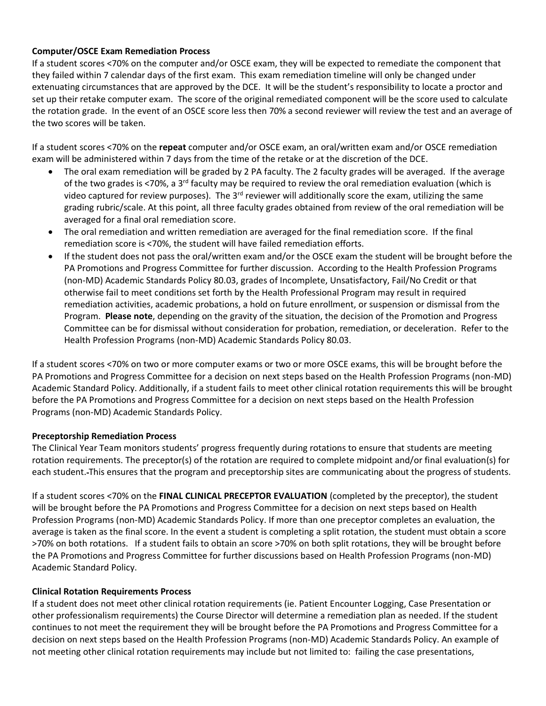## **Computer/OSCE Exam Remediation Process**

If a student scores <70% on the computer and/or OSCE exam, they will be expected to remediate the component that they failed within 7 calendar days of the first exam. This exam remediation timeline will only be changed under extenuating circumstances that are approved by the DCE. It will be the student's responsibility to locate a proctor and set up their retake computer exam. The score of the original remediated component will be the score used to calculate the rotation grade. In the event of an OSCE score less then 70% a second reviewer will review the test and an average of the two scores will be taken.

If a student scores <70% on the **repeat** computer and/or OSCE exam, an oral/written exam and/or OSCE remediation exam will be administered within 7 days from the time of the retake or at the discretion of the DCE.

- The oral exam remediation will be graded by 2 PA faculty. The 2 faculty grades will be averaged. If the average of the two grades is <70%, a 3rd faculty may be required to review the oral remediation evaluation (which is video captured for review purposes). The 3<sup>rd</sup> reviewer will additionally score the exam, utilizing the same grading rubric/scale. At this point, all three faculty grades obtained from review of the oral remediation will be averaged for a final oral remediation score.
- The oral remediation and written remediation are averaged for the final remediation score. If the final remediation score is <70%, the student will have failed remediation efforts.
- If the student does not pass the oral/written exam and/or the OSCE exam the student will be brought before the PA Promotions and Progress Committee for further discussion. According to the Health Profession Programs (non-MD) Academic Standards Policy 80.03, grades of Incomplete, Unsatisfactory, Fail/No Credit or that otherwise fail to meet conditions set forth by the Health Professional Program may result in required remediation activities, academic probations, a hold on future enrollment, or suspension or dismissal from the Program. **Please note**, depending on the gravity of the situation, the decision of the Promotion and Progress Committee can be for dismissal without consideration for probation, remediation, or deceleration. Refer to the Health Profession Programs (non-MD) Academic Standards Policy 80.03.

If a student scores <70% on two or more computer exams or two or more OSCE exams, this will be brought before the PA Promotions and Progress Committee for a decision on next steps based on the Health Profession Programs (non-MD) Academic Standard Policy. Additionally, if a student fails to meet other clinical rotation requirements this will be brought before the PA Promotions and Progress Committee for a decision on next steps based on the Health Profession Programs (non-MD) Academic Standards Policy.

## **Preceptorship Remediation Process**

The Clinical Year Team monitors students' progress frequently during rotations to ensure that students are meeting rotation requirements. The preceptor(s) of the rotation are required to complete midpoint and/or final evaluation(s) for each student. This ensures that the program and preceptorship sites are communicating about the progress of students.

If a student scores <70% on the **FINAL CLINICAL PRECEPTOR EVALUATION** (completed by the preceptor), the student will be brought before the PA Promotions and Progress Committee for a decision on next steps based on Health Profession Programs (non-MD) Academic Standards Policy. If more than one preceptor completes an evaluation, the average is taken as the final score. In the event a student is completing a split rotation, the student must obtain a score >70% on both rotations. If a student fails to obtain an score >70% on both split rotations, they will be brought before the PA Promotions and Progress Committee for further discussions based on Health Profession Programs (non-MD) Academic Standard Policy.

## **Clinical Rotation Requirements Process**

If a student does not meet other clinical rotation requirements (ie. Patient Encounter Logging, Case Presentation or other professionalism requirements) the Course Director will determine a remediation plan as needed. If the student continues to not meet the requirement they will be brought before the PA Promotions and Progress Committee for a decision on next steps based on the Health Profession Programs (non-MD) Academic Standards Policy. An example of not meeting other clinical rotation requirements may include but not limited to: failing the case presentations,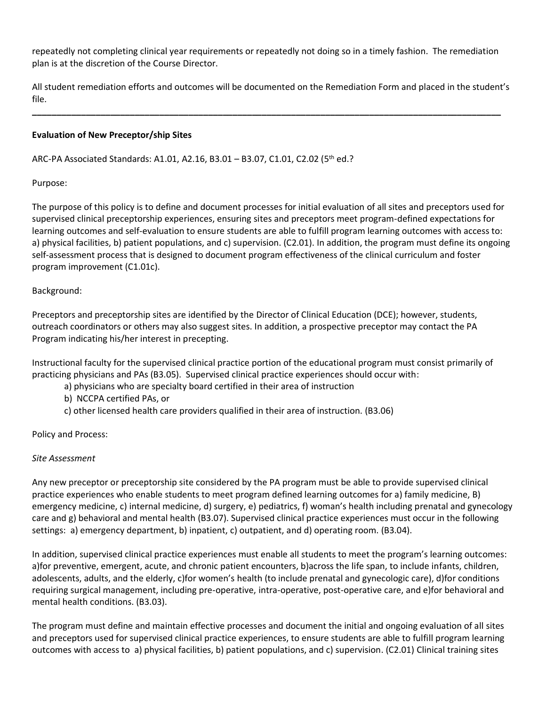repeatedly not completing clinical year requirements or repeatedly not doing so in a timely fashion. The remediation plan is at the discretion of the Course Director.

All student remediation efforts and outcomes will be documented on the Remediation Form and placed in the student's file.

**\_\_\_\_\_\_\_\_\_\_\_\_\_\_\_\_\_\_\_\_\_\_\_\_\_\_\_\_\_\_\_\_\_\_\_\_\_\_\_\_\_\_\_\_\_\_\_\_\_\_\_\_\_\_\_\_\_\_\_\_\_\_\_\_\_\_\_\_\_\_\_\_\_\_\_\_\_\_\_\_\_\_\_\_\_\_\_\_\_\_\_\_\_\_\_\_**

## **Evaluation of New Preceptor/ship Sites**

ARC-PA Associated Standards: A1.01, A2.16, B3.01 – B3.07, C1.01, C2.02 (5th ed.?

Purpose:

The purpose of this policy is to define and document processes for initial evaluation of all sites and preceptors used for supervised clinical preceptorship experiences, ensuring sites and preceptors meet program-defined expectations for learning outcomes and self-evaluation to ensure students are able to fulfill program learning outcomes with access to: a) physical facilities, b) patient populations, and c) supervision. (C2.01). In addition, the program must define its ongoing self-assessment process that is designed to document program effectiveness of the clinical curriculum and foster program improvement (C1.01c).

## Background:

Preceptors and preceptorship sites are identified by the Director of Clinical Education (DCE); however, students, outreach coordinators or others may also suggest sites. In addition, a prospective preceptor may contact the PA Program indicating his/her interest in precepting.

Instructional faculty for the supervised clinical practice portion of the educational program must consist primarily of practicing physicians and PAs (B3.05). Supervised clinical practice experiences should occur with:

- a) physicians who are specialty board certified in their area of instruction
- b) NCCPA certified PAs, or
- c) other licensed health care providers qualified in their area of instruction. (B3.06)

Policy and Process:

## *Site Assessment*

Any new preceptor or preceptorship site considered by the PA program must be able to provide supervised clinical practice experiences who enable students to meet program defined learning outcomes for a) family medicine, B) emergency medicine, c) internal medicine, d) surgery, e) pediatrics, f) woman's health including prenatal and gynecology care and g) behavioral and mental health (B3.07). Supervised clinical practice experiences must occur in the following settings: a) emergency department, b) inpatient, c) outpatient, and d) operating room. (B3.04).

In addition, supervised clinical practice experiences must enable all students to meet the program's learning outcomes: a)for preventive, emergent, acute, and chronic patient encounters, b)across the life span, to include infants, children, adolescents, adults, and the elderly, c)for women's health (to include prenatal and gynecologic care), d)for conditions requiring surgical management, including pre-operative, intra-operative, post-operative care, and e)for behavioral and mental health conditions. (B3.03).

The program must define and maintain effective processes and document the initial and ongoing evaluation of all sites and preceptors used for supervised clinical practice experiences, to ensure students are able to fulfill program learning outcomes with access to a) physical facilities, b) patient populations, and c) supervision. (C2.01) Clinical training sites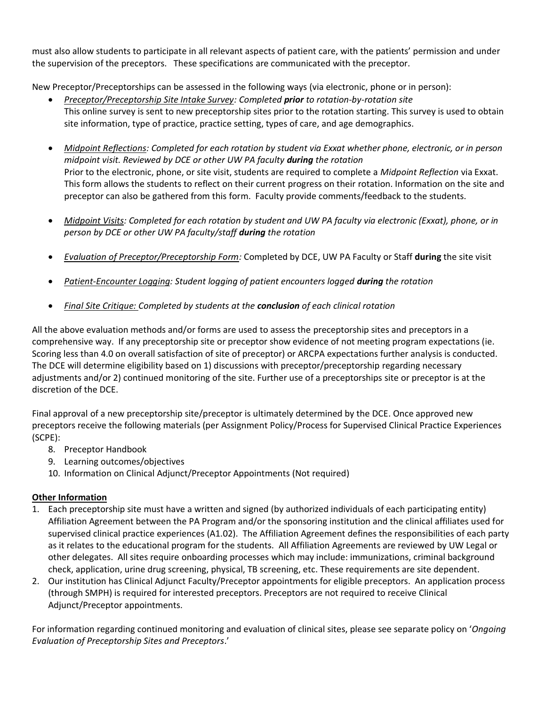must also allow students to participate in all relevant aspects of patient care, with the patients' permission and under the supervision of the preceptors. These specifications are communicated with the preceptor.

New Preceptor/Preceptorships can be assessed in the following ways (via electronic, phone or in person):

- *Preceptor/Preceptorship Site Intake Survey: Completed prior to rotation-by-rotation site* This online survey is sent to new preceptorship sites prior to the rotation starting. This survey is used to obtain site information, type of practice, practice setting, types of care, and age demographics.
- *Midpoint Reflections: Completed for each rotation by student via Exxat whether phone, electronic, or in person midpoint visit. Reviewed by DCE or other UW PA faculty during the rotation* Prior to the electronic, phone, or site visit, students are required to complete a *Midpoint Reflection* via Exxat. This form allows the students to reflect on their current progress on their rotation. Information on the site and preceptor can also be gathered from this form. Faculty provide comments/feedback to the students.
- *Midpoint Visits: Completed for each rotation by student and UW PA faculty via electronic (Exxat), phone, or in person by DCE or other UW PA faculty/staff during the rotation*
- *Evaluation of Preceptor/Preceptorship Form:* Completed by DCE, UW PA Faculty or Staff **during** the site visit
- *Patient-Encounter Logging: Student logging of patient encounters logged during the rotation*
- *Final Site Critique: Completed by students at the conclusion of each clinical rotation*

All the above evaluation methods and/or forms are used to assess the preceptorship sites and preceptors in a comprehensive way. If any preceptorship site or preceptor show evidence of not meeting program expectations (ie. Scoring less than 4.0 on overall satisfaction of site of preceptor) or ARCPA expectations further analysis is conducted. The DCE will determine eligibility based on 1) discussions with preceptor/preceptorship regarding necessary adjustments and/or 2) continued monitoring of the site. Further use of a preceptorships site or preceptor is at the discretion of the DCE.

Final approval of a new preceptorship site/preceptor is ultimately determined by the DCE. Once approved new preceptors receive the following materials (per Assignment Policy/Process for Supervised Clinical Practice Experiences (SCPE):

- 8. Preceptor Handbook
- 9. Learning outcomes/objectives
- 10. Information on Clinical Adjunct/Preceptor Appointments (Not required)

## **Other Information**

- 1. Each preceptorship site must have a written and signed (by authorized individuals of each participating entity) Affiliation Agreement between the PA Program and/or the sponsoring institution and the clinical affiliates used for supervised clinical practice experiences (A1.02). The Affiliation Agreement defines the responsibilities of each party as it relates to the educational program for the students. All Affiliation Agreements are reviewed by UW Legal or other delegates. All sites require onboarding processes which may include: immunizations, criminal background check, application, urine drug screening, physical, TB screening, etc. These requirements are site dependent.
- 2. Our institution has Clinical Adjunct Faculty/Preceptor appointments for eligible preceptors. An application process (through SMPH) is required for interested preceptors. Preceptors are not required to receive Clinical Adjunct/Preceptor appointments.

For information regarding continued monitoring and evaluation of clinical sites, please see separate policy on '*Ongoing Evaluation of Preceptorship Sites and Preceptors*.'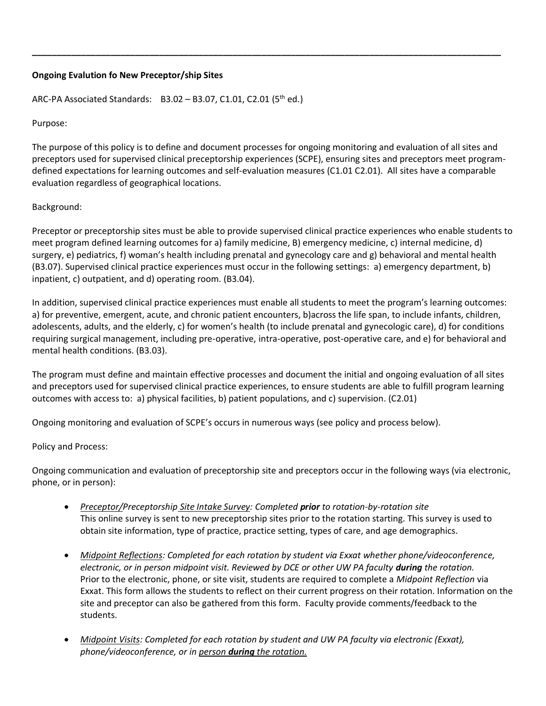## **Ongoing Evalution fo New Preceptor/ship Sites**

ARC-PA Associated Standards:  $B3.02 - B3.07$ , C1.01, C2.01 (5<sup>th</sup> ed.)

Purpose:

The purpose of this policy is to define and document processes for ongoing monitoring and evaluation of all sites and preceptors used for supervised clinical preceptorship experiences (SCPE), ensuring sites and preceptors meet programdefined expectations for learning outcomes and self-evaluation measures (C1.01 C2.01). All sites have a comparable evaluation regardless of geographical locations.

**\_\_\_\_\_\_\_\_\_\_\_\_\_\_\_\_\_\_\_\_\_\_\_\_\_\_\_\_\_\_\_\_\_\_\_\_\_\_\_\_\_\_\_\_\_\_\_\_\_\_\_\_\_\_\_\_\_\_\_\_\_\_\_\_\_\_\_\_\_\_\_\_\_\_\_\_\_\_\_\_\_\_\_\_\_\_\_\_\_\_\_\_\_\_\_\_**

## Background:

Preceptor or preceptorship sites must be able to provide supervised clinical practice experiences who enable students to meet program defined learning outcomes for a) family medicine, B) emergency medicine, c) internal medicine, d) surgery, e) pediatrics, f) woman's health including prenatal and gynecology care and g) behavioral and mental health (B3.07). Supervised clinical practice experiences must occur in the following settings: a) emergency department, b) inpatient, c) outpatient, and d) operating room. (B3.04).

In addition, supervised clinical practice experiences must enable all students to meet the program's learning outcomes: a) for preventive, emergent, acute, and chronic patient encounters, b)across the life span, to include infants, children, adolescents, adults, and the elderly, c) for women's health (to include prenatal and gynecologic care), d) for conditions requiring surgical management, including pre-operative, intra-operative, post-operative care, and e) for behavioral and mental health conditions. (B3.03).

The program must define and maintain effective processes and document the initial and ongoing evaluation of all sites and preceptors used for supervised clinical practice experiences, to ensure students are able to fulfill program learning outcomes with access to: a) physical facilities, b) patient populations, and c) supervision. (C2.01)

Ongoing monitoring and evaluation of SCPE's occurs in numerous ways (see policy and process below).

#### Policy and Process:

Ongoing communication and evaluation of preceptorship site and preceptors occur in the following ways (via electronic, phone, or in person):

- *Preceptor/Preceptorship Site Intake Survey: Completed prior to rotation-by-rotation site* This online survey is sent to new preceptorship sites prior to the rotation starting. This survey is used to obtain site information, type of practice, practice setting, types of care, and age demographics.
- *Midpoint Reflections: Completed for each rotation by student via Exxat whether phone/videoconference, electronic, or in person midpoint visit. Reviewed by DCE or other UW PA faculty <i>during* the rotation. Prior to the electronic, phone, or site visit, students are required to complete a *Midpoint Reflection* via Exxat. This form allows the students to reflect on their current progress on their rotation. Information on the site and preceptor can also be gathered from this form. Faculty provide comments/feedback to the students.
- *Midpoint Visits: Completed for each rotation by student and UW PA faculty via electronic (Exxat), phone/videoconference, or in person during the rotation.*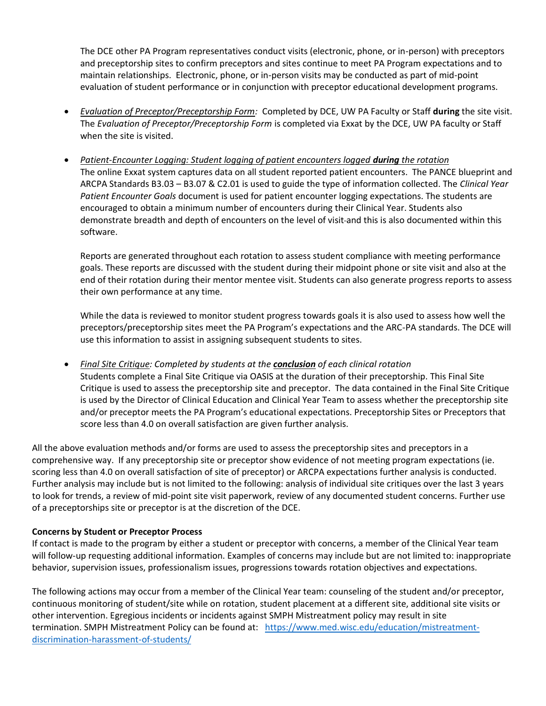The DCE other PA Program representatives conduct visits (electronic, phone, or in-person) with preceptors and preceptorship sites to confirm preceptors and sites continue to meet PA Program expectations and to maintain relationships. Electronic, phone, or in-person visits may be conducted as part of mid-point evaluation of student performance or in conjunction with preceptor educational development programs.

- *Evaluation of Preceptor/Preceptorship Form:* Completed by DCE, UW PA Faculty or Staff **during** the site visit. The *Evaluation of Preceptor/Preceptorship Form* is completed via Exxat by the DCE, UW PA faculty or Staff when the site is visited.
- *Patient-Encounter Logging: Student logging of patient encounters logged <i>during the rotation* The online Exxat system captures data on all student reported patient encounters. The PANCE blueprint and ARCPA Standards B3.03 – B3.07 & C2.01 is used to guide the type of information collected. The *Clinical Year Patient Encounter Goals* document is used for patient encounter logging expectations. The students are encouraged to obtain a minimum number of encounters during their Clinical Year. Students also demonstrate breadth and depth of encounters on the level of visit and this is also documented within this software.

Reports are generated throughout each rotation to assess student compliance with meeting performance goals. These reports are discussed with the student during their midpoint phone or site visit and also at the end of their rotation during their mentor mentee visit. Students can also generate progress reports to assess their own performance at any time.

While the data is reviewed to monitor student progress towards goals it is also used to assess how well the preceptors/preceptorship sites meet the PA Program's expectations and the ARC-PA standards. The DCE will use this information to assist in assigning subsequent students to sites.

• *Final Site Critique: Completed by students at the conclusion of each clinical rotation* Students complete a Final Site Critique via OASIS at the duration of their preceptorship. This Final Site Critique is used to assess the preceptorship site and preceptor. The data contained in the Final Site Critique is used by the Director of Clinical Education and Clinical Year Team to assess whether the preceptorship site and/or preceptor meets the PA Program's educational expectations. Preceptorship Sites or Preceptors that score less than 4.0 on overall satisfaction are given further analysis.

All the above evaluation methods and/or forms are used to assess the preceptorship sites and preceptors in a comprehensive way. If any preceptorship site or preceptor show evidence of not meeting program expectations (ie. scoring less than 4.0 on overall satisfaction of site of preceptor) or ARCPA expectations further analysis is conducted. Further analysis may include but is not limited to the following: analysis of individual site critiques over the last 3 years to look for trends, a review of mid-point site visit paperwork, review of any documented student concerns. Further use of a preceptorships site or preceptor is at the discretion of the DCE.

## **Concerns by Student or Preceptor Process**

If contact is made to the program by either a student or preceptor with concerns, a member of the Clinical Year team will follow-up requesting additional information. Examples of concerns may include but are not limited to: inappropriate behavior, supervision issues, professionalism issues, progressions towards rotation objectives and expectations.

The following actions may occur from a member of the Clinical Year team: counseling of the student and/or preceptor, continuous monitoring of student/site while on rotation, student placement at a different site, additional site visits or other intervention. Egregious incidents or incidents against SMPH Mistreatment policy may result in site termination. SMPH Mistreatment Policy can be found at: [https://www.med.wisc.edu/education/mistreatment](https://www.med.wisc.edu/education/mistreatment-discrimination-harassment-of-students/)[discrimination-harassment-of-students/](https://www.med.wisc.edu/education/mistreatment-discrimination-harassment-of-students/)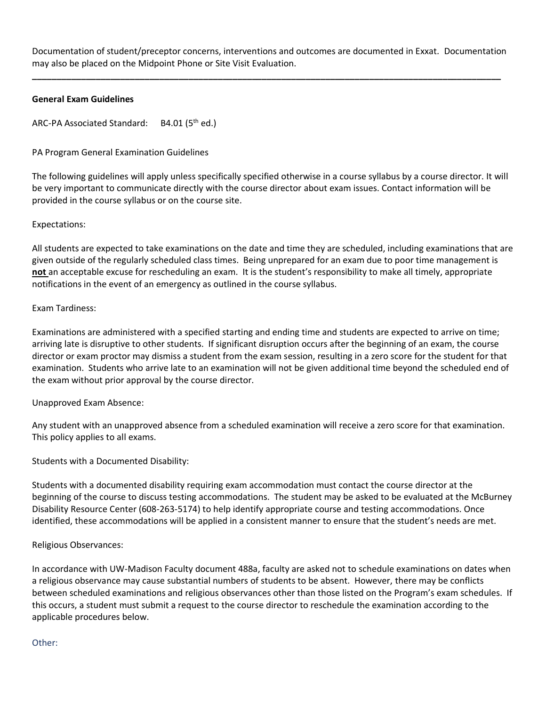Documentation of student/preceptor concerns, interventions and outcomes are documented in Exxat*.* Documentation may also be placed on the Midpoint Phone or Site Visit Evaluation.

**\_\_\_\_\_\_\_\_\_\_\_\_\_\_\_\_\_\_\_\_\_\_\_\_\_\_\_\_\_\_\_\_\_\_\_\_\_\_\_\_\_\_\_\_\_\_\_\_\_\_\_\_\_\_\_\_\_\_\_\_\_\_\_\_\_\_\_\_\_\_\_\_\_\_\_\_\_\_\_\_\_\_\_\_\_\_\_\_\_\_\_\_\_\_\_\_**

## **General Exam Guidelines**

ARC-PA Associated Standard: B4.01 (5<sup>th</sup> ed.)

## PA Program General Examination Guidelines

The following guidelines will apply unless specifically specified otherwise in a course syllabus by a course director. It will be very important to communicate directly with the course director about exam issues. Contact information will be provided in the course syllabus or on the course site.

## Expectations:

All students are expected to take examinations on the date and time they are scheduled, including examinations that are given outside of the regularly scheduled class times. Being unprepared for an exam due to poor time management is **not** an acceptable excuse for rescheduling an exam. It is the student's responsibility to make all timely, appropriate notifications in the event of an emergency as outlined in the course syllabus.

## Exam Tardiness:

Examinations are administered with a specified starting and ending time and students are expected to arrive on time; arriving late is disruptive to other students. If significant disruption occurs after the beginning of an exam, the course director or exam proctor may dismiss a student from the exam session, resulting in a zero score for the student for that examination. Students who arrive late to an examination will not be given additional time beyond the scheduled end of the exam without prior approval by the course director.

## Unapproved Exam Absence:

Any student with an unapproved absence from a scheduled examination will receive a zero score for that examination. This policy applies to all exams.

## Students with a Documented Disability:

Students with a documented disability requiring exam accommodation must contact the course director at the beginning of the course to discuss testing accommodations. The student may be asked to be evaluated at the McBurney Disability Resource Center (608-263-5174) to help identify appropriate course and testing accommodations. Once identified, these accommodations will be applied in a consistent manner to ensure that the student's needs are met.

#### Religious Observances:

In accordance with UW-Madison Faculty document 488a, faculty are asked not to schedule examinations on dates when a religious observance may cause substantial numbers of students to be absent. However, there may be conflicts between scheduled examinations and religious observances other than those listed on the Program's exam schedules. If this occurs, a student must submit a request to the course director to reschedule the examination according to the applicable procedures below.

#### Other: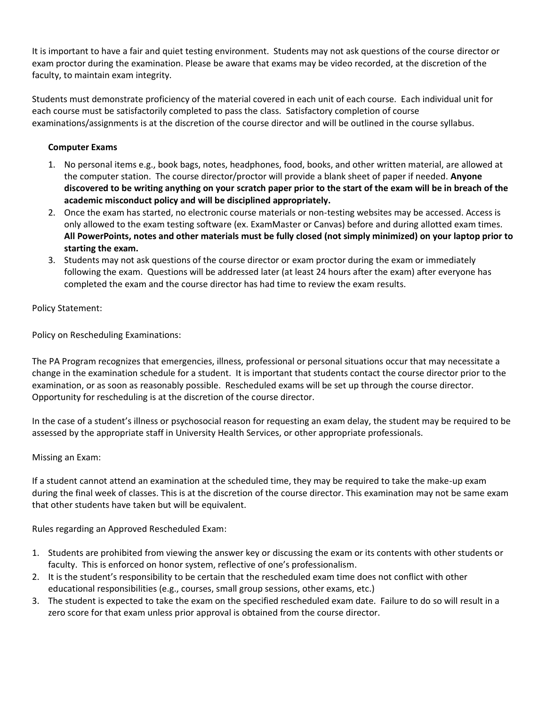It is important to have a fair and quiet testing environment. Students may not ask questions of the course director or exam proctor during the examination. Please be aware that exams may be video recorded, at the discretion of the faculty, to maintain exam integrity.

Students must demonstrate proficiency of the material covered in each unit of each course. Each individual unit for each course must be satisfactorily completed to pass the class. Satisfactory completion of course examinations/assignments is at the discretion of the course director and will be outlined in the course syllabus.

## **Computer Exams**

- 1. No personal items e.g., book bags, notes, headphones, food, books, and other written material, are allowed at the computer station. The course director/proctor will provide a blank sheet of paper if needed. **Anyone discovered to be writing anything on your scratch paper prior to the start of the exam will be in breach of the academic misconduct policy and will be disciplined appropriately.**
- 2. Once the exam has started, no electronic course materials or non-testing websites may be accessed. Access is only allowed to the exam testing software (ex. ExamMaster or Canvas) before and during allotted exam times. **All PowerPoints, notes and other materials must be fully closed (not simply minimized) on your laptop prior to starting the exam.**
- 3. Students may not ask questions of the course director or exam proctor during the exam or immediately following the exam. Questions will be addressed later (at least 24 hours after the exam) after everyone has completed the exam and the course director has had time to review the exam results.

Policy Statement:

Policy on Rescheduling Examinations:

The PA Program recognizes that emergencies, illness, professional or personal situations occur that may necessitate a change in the examination schedule for a student. It is important that students contact the course director prior to the examination, or as soon as reasonably possible. Rescheduled exams will be set up through the course director. Opportunity for rescheduling is at the discretion of the course director.

In the case of a student's illness or psychosocial reason for requesting an exam delay, the student may be required to be assessed by the appropriate staff in University Health Services, or other appropriate professionals.

## Missing an Exam:

If a student cannot attend an examination at the scheduled time, they may be required to take the make-up exam during the final week of classes. This is at the discretion of the course director. This examination may not be same exam that other students have taken but will be equivalent.

Rules regarding an Approved Rescheduled Exam:

- 1. Students are prohibited from viewing the answer key or discussing the exam or its contents with other students or faculty. This is enforced on honor system, reflective of one's professionalism.
- 2. It is the student's responsibility to be certain that the rescheduled exam time does not conflict with other educational responsibilities (e.g., courses, small group sessions, other exams, etc.)
- 3. The student is expected to take the exam on the specified rescheduled exam date. Failure to do so will result in a zero score for that exam unless prior approval is obtained from the course director.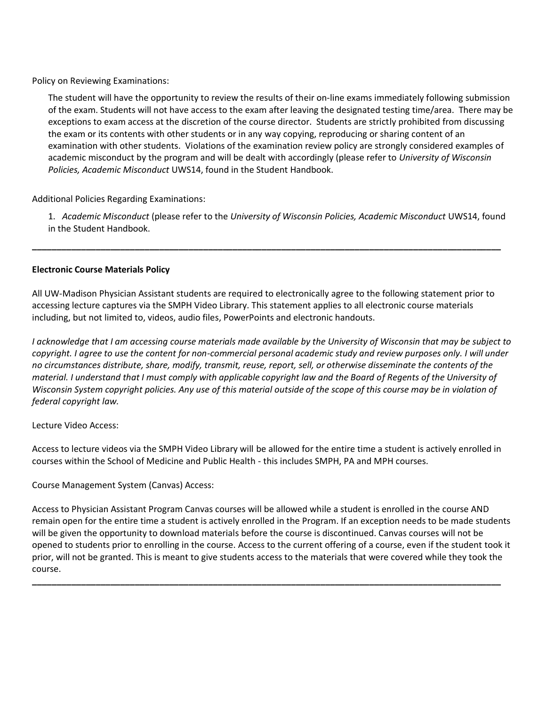Policy on Reviewing Examinations:

The student will have the opportunity to review the results of their on-line exams immediately following submission of the exam. Students will not have access to the exam after leaving the designated testing time/area. There may be exceptions to exam access at the discretion of the course director. Students are strictly prohibited from discussing the exam or its contents with other students or in any way copying, reproducing or sharing content of an examination with other students. Violations of the examination review policy are strongly considered examples of academic misconduct by the program and will be dealt with accordingly (please refer to *University of Wisconsin Policies, Academic Misconduct* UWS14, found in the Student Handbook.

Additional Policies Regarding Examinations:

1. *Academic Misconduct* (please refer to the *University of Wisconsin Policies, Academic Misconduct* UWS14, found in the Student Handbook.

## **Electronic Course Materials Policy**

All UW-Madison Physician Assistant students are required to electronically agree to the following statement prior to accessing lecture captures via the SMPH Video Library. This statement applies to all electronic course materials including, but not limited to, videos, audio files, PowerPoints and electronic handouts.

**\_\_\_\_\_\_\_\_\_\_\_\_\_\_\_\_\_\_\_\_\_\_\_\_\_\_\_\_\_\_\_\_\_\_\_\_\_\_\_\_\_\_\_\_\_\_\_\_\_\_\_\_\_\_\_\_\_\_\_\_\_\_\_\_\_\_\_\_\_\_\_\_\_\_\_\_\_\_\_\_\_\_\_\_\_\_\_\_\_\_\_\_\_\_\_\_**

*I acknowledge that I am accessing course materials made available by the University of Wisconsin that may be subject to copyright. I agree to use the content for non-commercial personal academic study and review purposes only. I will under no circumstances distribute, share, modify, transmit, reuse, report, sell, or otherwise disseminate the contents of the material. I understand that I must comply with applicable copyright law and the Board of Regents of the University of Wisconsin System copyright policies. Any use of this material outside of the scope of this course may be in violation of federal copyright law.*

Lecture Video Access:

Access to lecture videos via the SMPH Video Library will be allowed for the entire time a student is actively enrolled in courses within the School of Medicine and Public Health - this includes SMPH, PA and MPH courses.

Course Management System (Canvas) Access:

Access to Physician Assistant Program Canvas courses will be allowed while a student is enrolled in the course AND remain open for the entire time a student is actively enrolled in the Program. If an exception needs to be made students will be given the opportunity to download materials before the course is discontinued. Canvas courses will not be opened to students prior to enrolling in the course. Access to the current offering of a course, even if the student took it prior, will not be granted. This is meant to give students access to the materials that were covered while they took the course.

**\_\_\_\_\_\_\_\_\_\_\_\_\_\_\_\_\_\_\_\_\_\_\_\_\_\_\_\_\_\_\_\_\_\_\_\_\_\_\_\_\_\_\_\_\_\_\_\_\_\_\_\_\_\_\_\_\_\_\_\_\_\_\_\_\_\_\_\_\_\_\_\_\_\_\_\_\_\_\_\_\_\_\_\_\_\_\_\_\_\_\_\_\_\_\_\_**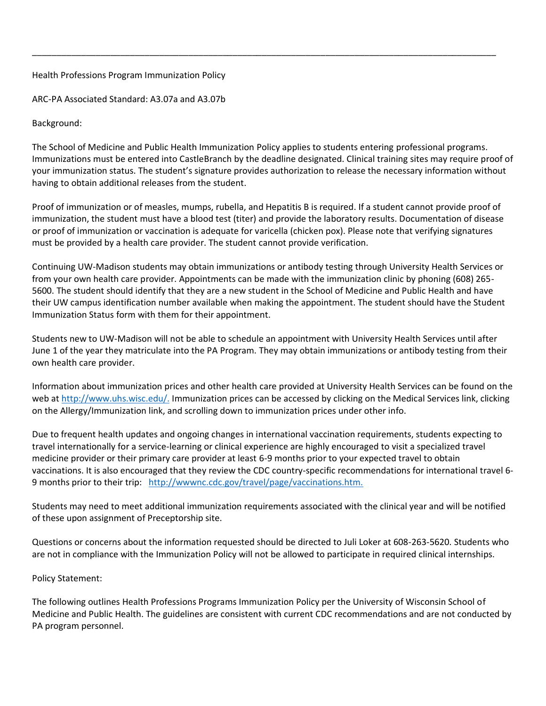## Health Professions Program Immunization Policy

ARC-PA Associated Standard: A3.07a and A3.07b

Background:

The School of Medicine and Public Health Immunization Policy applies to students entering professional programs. Immunizations must be entered into CastleBranch by the deadline designated. Clinical training sites may require proof of your immunization status. The student's signature provides authorization to release the necessary information without having to obtain additional releases from the student.

\_\_\_\_\_\_\_\_\_\_\_\_\_\_\_\_\_\_\_\_\_\_\_\_\_\_\_\_\_\_\_\_\_\_\_\_\_\_\_\_\_\_\_\_\_\_\_\_\_\_\_\_\_\_\_\_\_\_\_\_\_\_\_\_\_\_\_\_\_\_\_\_\_\_\_\_\_\_\_\_\_\_\_\_\_\_\_\_\_\_\_\_\_\_\_

Proof of immunization or of measles, mumps, rubella, and Hepatitis B is required. If a student cannot provide proof of immunization, the student must have a blood test (titer) and provide the laboratory results. Documentation of disease or proof of immunization or vaccination is adequate for varicella (chicken pox). Please note that verifying signatures must be provided by a health care provider. The student cannot provide verification.

Continuing UW-Madison students may obtain immunizations or antibody testing through University Health Services or from your own health care provider. Appointments can be made with the immunization clinic by phoning (608) 265- 5600. The student should identify that they are a new student in the School of Medicine and Public Health and have their UW campus identification number available when making the appointment. The student should have the Student Immunization Status form with them for their appointment.

Students new to UW-Madison will not be able to schedule an appointment with University Health Services until after June 1 of the year they matriculate into the PA Program. They may obtain immunizations or antibody testing from their own health care provider.

Information about immunization prices and other health care provided at University Health Services can be found on the web at [http://www.uhs.wisc.edu/.](http://www.uhs.wisc.edu/) Immunization prices can be accessed by clicking on the Medical Services link, clicking on the Allergy/Immunization link, and scrolling down to immunization prices under other info.

Due to frequent health updates and ongoing changes in international vaccination requirements, students expecting to travel internationally for a service-learning or clinical experience are highly encouraged to visit a specialized travel medicine provider or their primary care provider at least 6-9 months prior to your expected travel to obtain vaccinations. It is also encouraged that they review the CDC country-specific recommendations for international travel 6- 9 months prior to their trip: [http://wwwnc.cdc.gov/travel/page/vaccinations.htm.](http://wwwnc.cdc.gov/travel/page/vaccinations.htm)

Students may need to meet additional immunization requirements associated with the clinical year and will be notified of these upon assignment of Preceptorship site.

Questions or concerns about the information requested should be directed to Juli Loker at 608-263-5620. Students who are not in compliance with the Immunization Policy will not be allowed to participate in required clinical internships.

## Policy Statement:

The following outlines Health Professions Programs Immunization Policy per the University of Wisconsin School of Medicine and Public Health. The guidelines are consistent with current CDC recommendations and are not conducted by PA program personnel.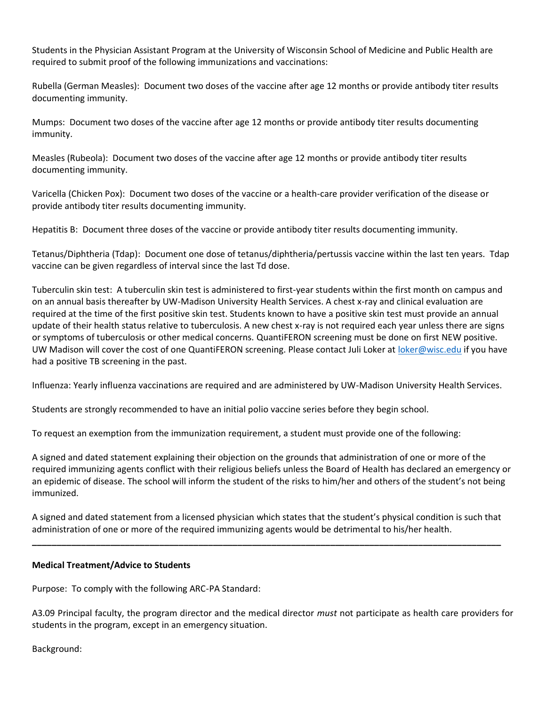Students in the Physician Assistant Program at the University of Wisconsin School of Medicine and Public Health are required to submit proof of the following immunizations and vaccinations:

Rubella (German Measles): Document two doses of the vaccine after age 12 months or provide antibody titer results documenting immunity.

Mumps: Document two doses of the vaccine after age 12 months or provide antibody titer results documenting immunity.

Measles (Rubeola): Document two doses of the vaccine after age 12 months or provide antibody titer results documenting immunity.

Varicella (Chicken Pox): Document two doses of the vaccine or a health-care provider verification of the disease or provide antibody titer results documenting immunity.

Hepatitis B: Document three doses of the vaccine or provide antibody titer results documenting immunity.

Tetanus/Diphtheria (Tdap): Document one dose of tetanus/diphtheria/pertussis vaccine within the last ten years. Tdap vaccine can be given regardless of interval since the last Td dose.

Tuberculin skin test: A tuberculin skin test is administered to first-year students within the first month on campus and on an annual basis thereafter by UW-Madison University Health Services. A chest x-ray and clinical evaluation are required at the time of the first positive skin test. Students known to have a positive skin test must provide an annual update of their health status relative to tuberculosis. A new chest x-ray is not required each year unless there are signs or symptoms of tuberculosis or other medical concerns. QuantiFERON screening must be done on first NEW positive. UW Madison will cover the cost of one QuantiFERON screening. Please contact Juli Loker at [loker@wisc.edu](mailto:loker@wisc.edu) if you have had a positive TB screening in the past.

Influenza: Yearly influenza vaccinations are required and are administered by UW-Madison University Health Services.

Students are strongly recommended to have an initial polio vaccine series before they begin school.

To request an exemption from the immunization requirement, a student must provide one of the following:

A signed and dated statement explaining their objection on the grounds that administration of one or more of the required immunizing agents conflict with their religious beliefs unless the Board of Health has declared an emergency or an epidemic of disease. The school will inform the student of the risks to him/her and others of the student's not being immunized.

A signed and dated statement from a licensed physician which states that the student's physical condition is such that administration of one or more of the required immunizing agents would be detrimental to his/her health.

**\_\_\_\_\_\_\_\_\_\_\_\_\_\_\_\_\_\_\_\_\_\_\_\_\_\_\_\_\_\_\_\_\_\_\_\_\_\_\_\_\_\_\_\_\_\_\_\_\_\_\_\_\_\_\_\_\_\_\_\_\_\_\_\_\_\_\_\_\_\_\_\_\_\_\_\_\_\_\_\_\_\_\_\_\_\_\_\_\_\_\_\_\_\_\_\_**

#### **Medical Treatment/Advice to Students**

Purpose: To comply with the following ARC-PA Standard:

A3.09 Principal faculty, the program director and the medical director *must* not participate as health care providers for students in the program, except in an emergency situation.

Background: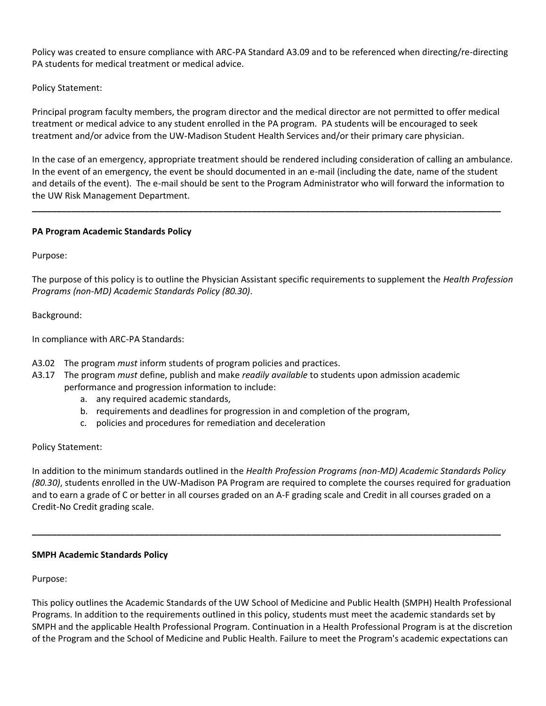Policy was created to ensure compliance with ARC-PA Standard A3.09 and to be referenced when directing/re-directing PA students for medical treatment or medical advice.

## Policy Statement:

Principal program faculty members, the program director and the medical director are not permitted to offer medical treatment or medical advice to any student enrolled in the PA program. PA students will be encouraged to seek treatment and/or advice from the UW-Madison Student Health Services and/or their primary care physician.

In the case of an emergency, appropriate treatment should be rendered including consideration of calling an ambulance. In the event of an emergency, the event be should documented in an e-mail (including the date, name of the student and details of the event). The e-mail should be sent to the Program Administrator who will forward the information to the UW Risk Management Department.

**\_\_\_\_\_\_\_\_\_\_\_\_\_\_\_\_\_\_\_\_\_\_\_\_\_\_\_\_\_\_\_\_\_\_\_\_\_\_\_\_\_\_\_\_\_\_\_\_\_\_\_\_\_\_\_\_\_\_\_\_\_\_\_\_\_\_\_\_\_\_\_\_\_\_\_\_\_\_\_\_\_\_\_\_\_\_\_\_\_\_\_\_\_\_\_\_**

## **PA Program Academic Standards Policy**

Purpose:

The purpose of this policy is to outline the Physician Assistant specific requirements to supplement the *Health Profession Programs (non-MD) Academic Standards Policy (80.30)*.

Background:

In compliance with ARC-PA Standards:

- A3.02 The program *must* inform students of program policies and practices.
- A3.17 The program *must* define, publish and make *readily available* to students upon admission academic performance and progression information to include:
	- a. any required academic standards,
	- b. requirements and deadlines for progression in and completion of the program,
	- c. policies and procedures for remediation and deceleration

## Policy Statement:

In addition to the minimum standards outlined in the *Health Profession Programs (non-MD) Academic Standards Policy (80.30)*, students enrolled in the UW-Madison PA Program are required to complete the courses required for graduation and to earn a grade of C or better in all courses graded on an A-F grading scale and Credit in all courses graded on a Credit-No Credit grading scale.

**\_\_\_\_\_\_\_\_\_\_\_\_\_\_\_\_\_\_\_\_\_\_\_\_\_\_\_\_\_\_\_\_\_\_\_\_\_\_\_\_\_\_\_\_\_\_\_\_\_\_\_\_\_\_\_\_\_\_\_\_\_\_\_\_\_\_\_\_\_\_\_\_\_\_\_\_\_\_\_\_\_\_\_\_\_\_\_\_\_\_\_\_\_\_\_\_**

## **SMPH Academic Standards Policy**

Purpose:

This policy outlines the Academic Standards of the UW School of Medicine and Public Health (SMPH) Health Professional Programs. In addition to the requirements outlined in this policy, students must meet the academic standards set by SMPH and the applicable Health Professional Program. Continuation in a Health Professional Program is at the discretion of the Program and the School of Medicine and Public Health. Failure to meet the Program's academic expectations can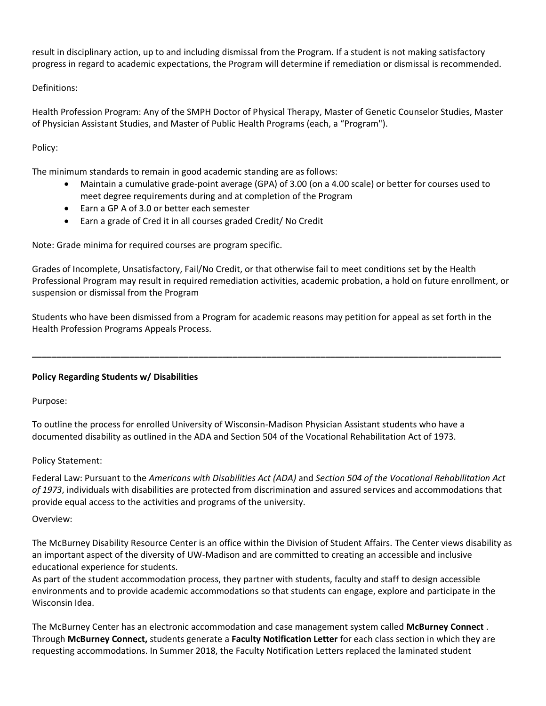result in disciplinary action, up to and including dismissal from the Program. If a student is not making satisfactory progress in regard to academic expectations, the Program will determine if remediation or dismissal is recommended.

Definitions:

Health Profession Program: Any of the SMPH Doctor of Physical Therapy, Master of Genetic Counselor Studies, Master of Physician Assistant Studies, and Master of Public Health Programs (each, a "Program").

## Policy:

The minimum standards to remain in good academic standing are as follows:

- Maintain a cumulative grade-point average (GPA) of 3.00 (on a 4.00 scale) or better for courses used to meet degree requirements during and at completion of the Program
- Earn a GP A of 3.0 or better each semester
- Earn a grade of Cred it in all courses graded Credit/ No Credit

Note: Grade minima for required courses are program specific.

Grades of Incomplete, Unsatisfactory, Fail/No Credit, or that otherwise fail to meet conditions set by the Health Professional Program may result in required remediation activities, academic probation, a hold on future enrollment, or suspension or dismissal from the Program

Students who have been dismissed from a Program for academic reasons may petition for appeal as set forth in the Health Profession Programs Appeals Process.

**\_\_\_\_\_\_\_\_\_\_\_\_\_\_\_\_\_\_\_\_\_\_\_\_\_\_\_\_\_\_\_\_\_\_\_\_\_\_\_\_\_\_\_\_\_\_\_\_\_\_\_\_\_\_\_\_\_\_\_\_\_\_\_\_\_\_\_\_\_\_\_\_\_\_\_\_\_\_\_\_\_\_\_\_\_\_\_\_\_\_\_\_\_\_\_\_**

## **Policy Regarding Students w/ Disabilities**

Purpose:

To outline the process for enrolled University of Wisconsin-Madison Physician Assistant students who have a documented disability as outlined in the ADA and Section 504 of the Vocational Rehabilitation Act of 1973.

## Policy Statement:

Federal Law: Pursuant to the *Americans with Disabilities Act (ADA)* and *Section 504 of the Vocational Rehabilitation Act of 1973*, individuals with disabilities are protected from discrimination and assured services and accommodations that provide equal access to the activities and programs of the university.

## Overview:

The McBurney Disability Resource Center is an office within the Division of Student Affairs. The Center views disability as an important aspect of the diversity of UW-Madison and are committed to creating an accessible and inclusive educational experience for students.

As part of the student accommodation process, they partner with students, faculty and staff to design accessible environments and to provide academic accommodations so that students can engage, explore and participate in the Wisconsin Idea.

The McBurney Center has an electronic accommodation and case management system called **[McBurney Connect](https://mcburney.wisc.edu/mcburneyconnect/)** . Through **McBurney Connect,** students generate a **Faculty Notification Letter** for each class section in which they are requesting accommodations. In Summer 2018, the Faculty Notification Letters replaced the laminated student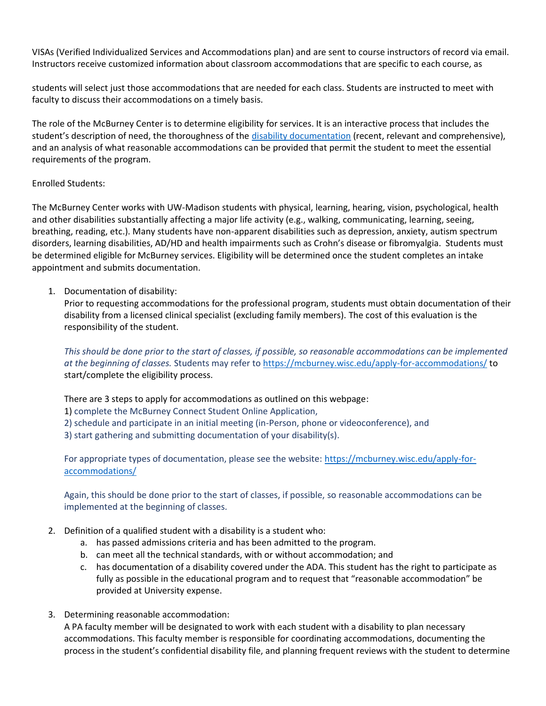VISAs (Verified Individualized Services and Accommodations plan) and are sent to course instructors of record via email. Instructors receive customized information about classroom accommodations that are specific to each course, as

students will select just those accommodations that are needed for each class. Students are instructed to meet with faculty to discuss their accommodations on a timely basis.

The role of the McBurney Center is to determine eligibility for services. It is an interactive process that includes the student's description of need, the thoroughness of the [disability documentation](http://www.mcburney.wisc.edu/information/documentation/general.php) (recent, relevant and comprehensive), and an analysis of what reasonable accommodations can be provided that permit the student to meet the essential requirements of the program.

## Enrolled Students:

The McBurney Center works with UW-Madison students with physical, learning, hearing, vision, psychological, health and other disabilities substantially affecting a major life activity (e.g., walking, communicating, learning, seeing, breathing, reading, etc.). Many students have non-apparent disabilities such as depression, anxiety, autism spectrum disorders, learning disabilities, AD/HD and health impairments such as Crohn's disease or fibromyalgia. Students must be determined eligible for McBurney services. Eligibility will be determined once the student completes an intake appointment and submits documentation.

## 1. Documentation of disability:

Prior to requesting accommodations for the professional program, students must obtain documentation of their disability from a licensed clinical specialist (excluding family members). The cost of this evaluation is the responsibility of the student.

*This should be done prior to the start of classes, if possible, so reasonable accommodations can be implemented at the beginning of classes.* Students may refer to <https://mcburney.wisc.edu/apply-for-accommodations/> to start/complete the eligibility process.

There are 3 steps to apply for accommodations as outlined on this webpage:

1) complete the McBurney Connect Student Online Application,

2) schedule and participate in an initial meeting (in-Person, phone or videoconference), and

3) start gathering and submitting documentation of your disability(s).

For appropriate types of documentation, please see the website: [https://mcburney.wisc.edu/apply-for](https://mcburney.wisc.edu/apply-for-accommodations/)[accommodations/](https://mcburney.wisc.edu/apply-for-accommodations/)

Again, this should be done prior to the start of classes, if possible, so reasonable accommodations can be implemented at the beginning of classes.

- 2. Definition of a qualified student with a disability is a student who:
	- a. has passed admissions criteria and has been admitted to the program.
	- b. can meet all the technical standards, with or without accommodation; and
	- c. has documentation of a disability covered under the ADA. This student has the right to participate as fully as possible in the educational program and to request that "reasonable accommodation" be provided at University expense.
- 3. Determining reasonable accommodation:

A PA faculty member will be designated to work with each student with a disability to plan necessary accommodations. This faculty member is responsible for coordinating accommodations, documenting the process in the student's confidential disability file, and planning frequent reviews with the student to determine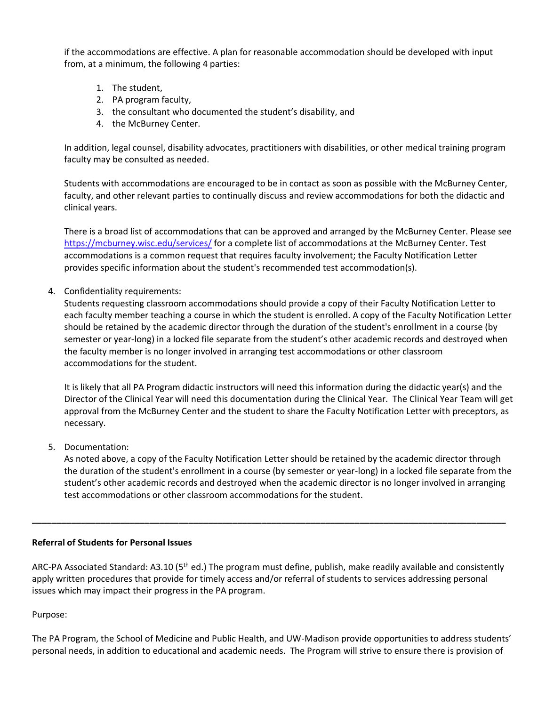if the accommodations are effective. A plan for reasonable accommodation should be developed with input from, at a minimum, the following 4 parties:

- 1. The student,
- 2. PA program faculty,
- 3. the consultant who documented the student's disability, and
- 4. the McBurney Center.

In addition, legal counsel, disability advocates, practitioners with disabilities, or other medical training program faculty may be consulted as needed.

Students with accommodations are encouraged to be in contact as soon as possible with the McBurney Center, faculty, and other relevant parties to continually discuss and review accommodations for both the didactic and clinical years.

There is a broad list of accommodations that can be approved and arranged by the McBurney Center. Please see <https://mcburney.wisc.edu/services/> for a complete list of accommodations at the McBurney Center. Test accommodations is a common request that requires faculty involvement; the Faculty Notification Letter provides specific information about the student's recommended test accommodation(s).

4. Confidentiality requirements:

Students requesting classroom accommodations should provide a copy of their Faculty Notification Letter to each faculty member teaching a course in which the student is enrolled. A copy of the Faculty Notification Letter should be retained by the academic director through the duration of the student's enrollment in a course (by semester or year-long) in a locked file separate from the student's other academic records and destroyed when the faculty member is no longer involved in arranging test accommodations or other classroom accommodations for the student.

It is likely that all PA Program didactic instructors will need this information during the didactic year(s) and the Director of the Clinical Year will need this documentation during the Clinical Year. The Clinical Year Team will get approval from the McBurney Center and the student to share the Faculty Notification Letter with preceptors, as necessary.

5. Documentation:

As noted above, a copy of the Faculty Notification Letter should be retained by the academic director through the duration of the student's enrollment in a course (by semester or year-long) in a locked file separate from the student's other academic records and destroyed when the academic director is no longer involved in arranging test accommodations or other classroom accommodations for the student.

## **Referral of Students for Personal Issues**

ARC-PA Associated Standard: A3.10 ( $5<sup>th</sup>$  ed.) The program must define, publish, make readily available and consistently apply written procedures that provide for timely access and/or referral of students to services addressing personal issues which may impact their progress in the PA program.

**\_\_\_\_\_\_\_\_\_\_\_\_\_\_\_\_\_\_\_\_\_\_\_\_\_\_\_\_\_\_\_\_\_\_\_\_\_\_\_\_\_\_\_\_\_\_\_\_\_\_\_\_\_\_\_\_\_\_\_\_\_\_\_\_\_\_\_\_\_\_\_\_\_\_\_\_\_\_\_\_\_\_\_\_\_\_\_\_\_\_\_\_\_\_\_\_\_**

Purpose:

The PA Program, the School of Medicine and Public Health, and UW-Madison provide opportunities to address students' personal needs, in addition to educational and academic needs. The Program will strive to ensure there is provision of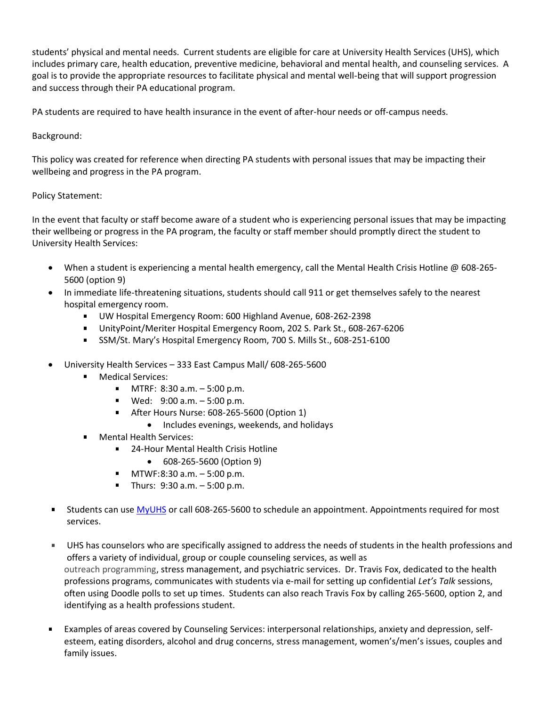students' physical and mental needs. Current students are eligible for care at University Health Services (UHS), which includes primary care, health education, preventive medicine, behavioral and mental health, and counseling services. A goal is to provide the appropriate resources to facilitate physical and mental well-being that will support progression and success through their PA educational program.

PA students are required to have health insurance in the event of after-hour needs or off-campus needs.

## Background:

This policy was created for reference when directing PA students with personal issues that may be impacting their wellbeing and progress in the PA program.

## Policy Statement:

In the event that faculty or staff become aware of a student who is experiencing personal issues that may be impacting their wellbeing or progress in the PA program, the faculty or staff member should promptly direct the student to University Health Services:

- When a student is experiencing a mental health emergency, call the Mental Health Crisis Hotline @ 608-265- 5600 (option 9)
- In immediate life-threatening situations, students should call 911 or get themselves safely to the nearest hospital emergency room.
	- UW Hospital Emergency Room: 600 Highland Avenue, 608-262-2398
	- UnityPoint/Meriter Hospital Emergency Room, 202 S. Park St., 608-267-6206
	- SSM/St. Mary's Hospital Emergency Room, 700 S. Mills St., 608-251-6100
- University Health Services 333 East Campus Mall/ 608-265-5600
	- **Medical Services:** 
		- $MTRF: 8:30 a.m. 5:00 p.m.$
		- Wed: 9:00 a.m. 5:00 p.m.
		- **After Hours Nurse: 608-265-5600 (Option 1)** 
			- Includes evenings, weekends, and holidays
		- Mental Health Services:
			- 24-Hour Mental Health Crisis Hotline
				- 608-265-5600 (Option 9)
			- $MTWF:8:30 a.m. 5:00 p.m.$
			- $\blacksquare$  Thurs: 9:30 a.m.  $-5:00$  p.m.
- Students can use [MyUHS](https://myuhs.uhs.wisc.edu/) or call 608-265-5600 to schedule an appointment. Appointments required for most services.
- UHS has counselors who are specifically assigned to address the needs of students in the health professions and offers a variety of individual, group or couple counseling services, as well as outreach programming, stress management, and psychiatric services. Dr. Travis Fox, dedicated to the health professions programs, communicates with students via e-mail for setting up confidential *Let's Talk* sessions, often using Doodle polls to set up times. Students can also reach Travis Fox by calling 265-5600, option 2, and identifying as a health professions student.
- Examples of areas covered by Counseling Services: interpersonal relationships, anxiety and depression, self- $\blacksquare$ esteem, eating disorders, alcohol and drug concerns, stress management, women's/men's issues, couples and family issues.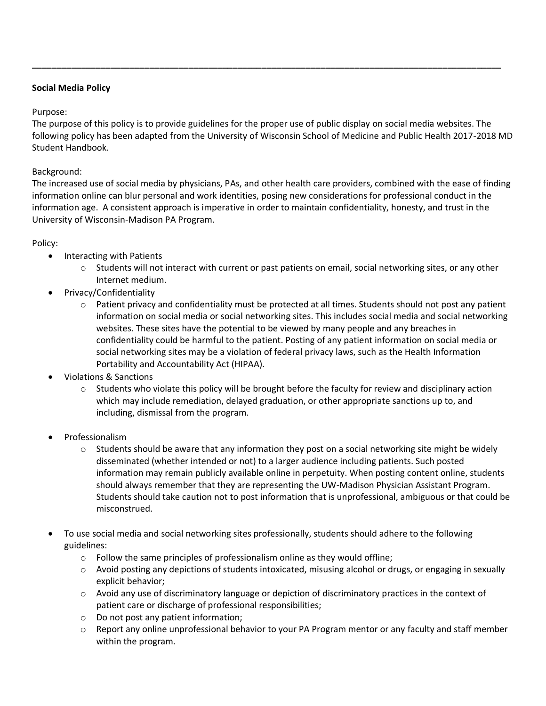## **Social Media Policy**

## Purpose:

The purpose of this policy is to provide guidelines for the proper use of public display on social media websites. The following policy has been adapted from the University of Wisconsin School of Medicine and Public Health 2017-2018 MD Student Handbook.

**\_\_\_\_\_\_\_\_\_\_\_\_\_\_\_\_\_\_\_\_\_\_\_\_\_\_\_\_\_\_\_\_\_\_\_\_\_\_\_\_\_\_\_\_\_\_\_\_\_\_\_\_\_\_\_\_\_\_\_\_\_\_\_\_\_\_\_\_\_\_\_\_\_\_\_\_\_\_\_\_\_\_\_\_\_\_\_\_\_\_\_\_\_\_\_\_**

## Background:

The increased use of social media by physicians, PAs, and other health care providers, combined with the ease of finding information online can blur personal and work identities, posing new considerations for professional conduct in the information age. A consistent approach is imperative in order to maintain confidentiality, honesty, and trust in the University of Wisconsin-Madison PA Program.

## Policy:

- Interacting with Patients
	- $\circ$  Students will not interact with current or past patients on email, social networking sites, or any other Internet medium.
- Privacy/Confidentiality
	- o Patient privacy and confidentiality must be protected at all times. Students should not post any patient information on social media or social networking sites. This includes social media and social networking websites. These sites have the potential to be viewed by many people and any breaches in confidentiality could be harmful to the patient. Posting of any patient information on social media or social networking sites may be a violation of federal privacy laws, such as the Health Information Portability and Accountability Act (HIPAA).
- Violations & Sanctions
	- o Students who violate this policy will be brought before the faculty for review and disciplinary action which may include remediation, delayed graduation, or other appropriate sanctions up to, and including, dismissal from the program.
- Professionalism
	- $\circ$  Students should be aware that any information they post on a social networking site might be widely disseminated (whether intended or not) to a larger audience including patients. Such posted information may remain publicly available online in perpetuity. When posting content online, students should always remember that they are representing the UW-Madison Physician Assistant Program. Students should take caution not to post information that is unprofessional, ambiguous or that could be misconstrued.
- To use social media and social networking sites professionally, students should adhere to the following guidelines:
	- $\circ$  Follow the same principles of professionalism online as they would offline;
	- $\circ$  Avoid posting any depictions of students intoxicated, misusing alcohol or drugs, or engaging in sexually explicit behavior;
	- $\circ$  Avoid any use of discriminatory language or depiction of discriminatory practices in the context of patient care or discharge of professional responsibilities;
	- o Do not post any patient information;
	- $\circ$  Report any online unprofessional behavior to your PA Program mentor or any faculty and staff member within the program.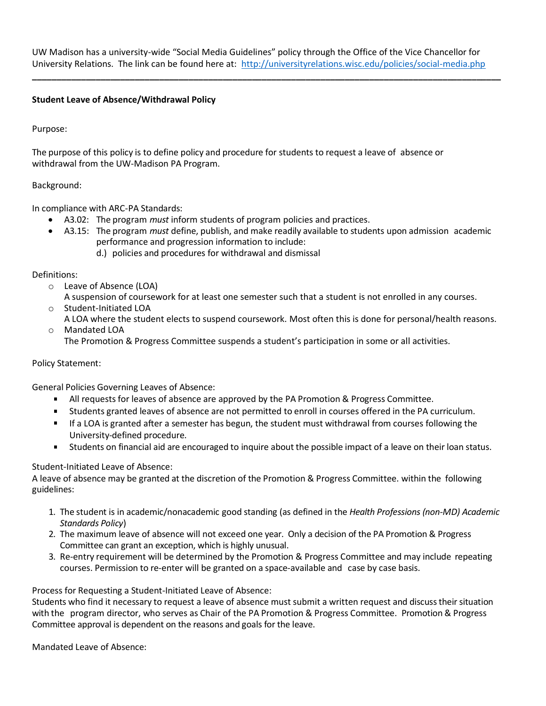UW Madison has a university-wide "Social Media Guidelines" policy through the Office of the Vice Chancellor for University Relations. The link can be found here at: <http://universityrelations.wisc.edu/policies/social-media.php>

**\_\_\_\_\_\_\_\_\_\_\_\_\_\_\_\_\_\_\_\_\_\_\_\_\_\_\_\_\_\_\_\_\_\_\_\_\_\_\_\_\_\_\_\_\_\_\_\_\_\_\_\_\_\_\_\_\_\_\_\_\_\_\_\_\_\_\_\_\_\_\_\_\_\_\_\_\_\_\_\_\_\_\_\_\_\_\_\_\_\_\_\_\_\_\_\_**

## **Student Leave of Absence/Withdrawal Policy**

Purpose:

The purpose of this policy is to define policy and procedure for students to request a leave of absence or withdrawal from the UW-Madison PA Program.

## Background:

In compliance with ARC-PA Standards:

- A3.02: The program *must* inform students of program policies and practices.
- A3.15: The program *must* define, publish, and make readily available to students upon admission academic performance and progression information to include:
	- d.) policies and procedures for withdrawal and dismissal

## Definitions:

o Leave of Absence (LOA)

A suspension of coursework for at least one semester such that a student is not enrolled in any courses.

- o Student-Initiated LOA
- A LOA where the student elects to suspend coursework. Most often this is done for personal/health reasons. o Mandated LOA

The Promotion & Progress Committee suspends a student's participation in some or all activities.

## Policy Statement:

General Policies Governing Leaves of Absence:

- All requests for leaves of absence are approved by the PA Promotion & Progress Committee.  $\mathbf{R}^{\text{max}}$
- $\blacksquare$ Students granted leaves of absence are not permitted to enroll in courses offered in the PA curriculum.
- If a LOA is granted after a semester has begun, the student must withdrawal from courses following the University-defined procedure.
- $\mathbf{u} = \mathbf{v}$ Students on financial aid are encouraged to inquire about the possible impact of a leave on their loan status.

## Student-Initiated Leave of Absence:

A leave of absence may be granted at the discretion of the Promotion & Progress Committee. within the following guidelines:

- 1. The student is in academic/nonacademic good standing (as defined in the *Health Professions (non-MD) Academic Standards Policy*)
- 2. The maximum leave of absence will not exceed one year. Only a decision of the PA Promotion & Progress Committee can grant an exception, which is highly unusual.
- 3. Re-entry requirement will be determined by the Promotion & Progress Committee and may include repeating courses. Permission to re-enter will be granted on a space-available and case by case basis.

## Process for Requesting a Student-Initiated Leave of Absence:

Students who find it necessary to request a leave of absence must submit a written request and discuss their situation with the program director, who serves as Chair of the PA Promotion & Progress Committee. Promotion & Progress Committee approval is dependent on the reasons and goals for the leave.

Mandated Leave of Absence: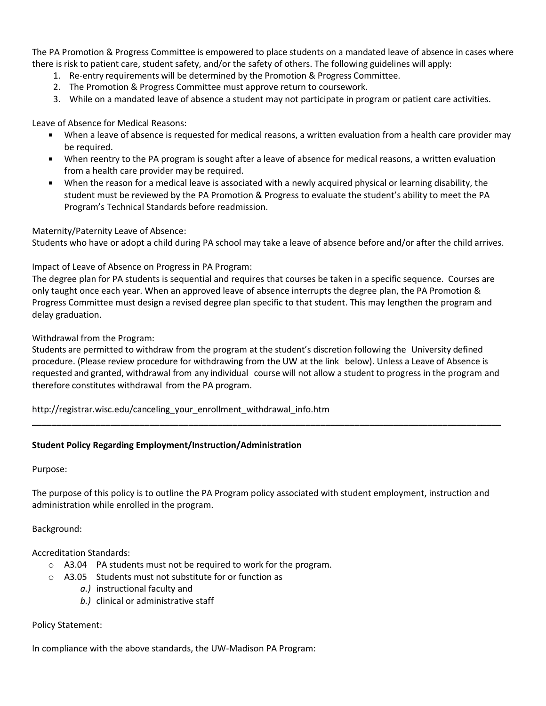The PA Promotion & Progress Committee is empowered to place students on a mandated leave of absence in cases where there is risk to patient care, student safety, and/or the safety of others. The following guidelines will apply:

- 1. Re-entry requirements will be determined by the Promotion & Progress Committee.
- 2. The Promotion & Progress Committee must approve return to coursework.
- 3. While on a mandated leave of absence a student may not participate in program or patient care activities.

Leave of Absence for Medical Reasons:

- When a leave of absence is requested for medical reasons, a written evaluation from a health care provider may be required.
- When reentry to the PA program is sought after a leave of absence for medical reasons, a written evaluation from a health care provider may be required.
- When the reason for a medical leave is associated with a newly acquired physical or learning disability, the  $\mathbf{r}$ student must be reviewed by the PA Promotion & Progress to evaluate the student's ability to meet the PA Program's Technical Standards before readmission.

## Maternity/Paternity Leave of Absence:

Students who have or adopt a child during PA school may take a leave of absence before and/or after the child arrives.

## Impact of Leave of Absence on Progress in PA Program:

The degree plan for PA students is sequential and requires that courses be taken in a specific sequence. Courses are only taught once each year. When an approved leave of absence interrupts the degree plan, the PA Promotion & Progress Committee must design a revised degree plan specific to that student. This may lengthen the program and delay graduation.

## Withdrawal from the Program:

Students are permitted to withdraw from the program at the student's discretion following the University defined procedure. (Please review procedure for withdrawing from the UW at the link below). Unless a Leave of Absence is requested and granted, withdrawal from any individual course will not allow a student to progress in the program and therefore constitutes withdrawal from the PA program.

**\_\_\_\_\_\_\_\_\_\_\_\_\_\_\_\_\_\_\_\_\_\_\_\_\_\_\_\_\_\_\_\_\_\_\_\_\_\_\_\_\_\_\_\_\_\_\_\_\_\_\_\_\_\_\_\_\_\_\_\_\_\_\_\_\_\_\_\_\_\_\_\_\_\_\_\_\_\_\_\_\_\_\_\_\_\_\_\_\_\_\_\_\_\_\_\_**

[http://registrar.wisc.edu/canceling\\_your\\_enrollment\\_withdrawal\\_info.htm](http://registrar.wisc.edu/canceling_your_enrollment_withdrawal_info.htm)

## **Student Policy Regarding Employment/Instruction/Administration**

Purpose:

The purpose of this policy is to outline the PA Program policy associated with student employment, instruction and administration while enrolled in the program.

## Background:

Accreditation Standards:

- o A3.04 PA students must not be required to work for the program.
- o A3.05 Students must not substitute for or function as
	- *a.)* instructional faculty and
	- *b.)* clinical or administrative staff

## Policy Statement:

In compliance with the above standards, the UW-Madison PA Program: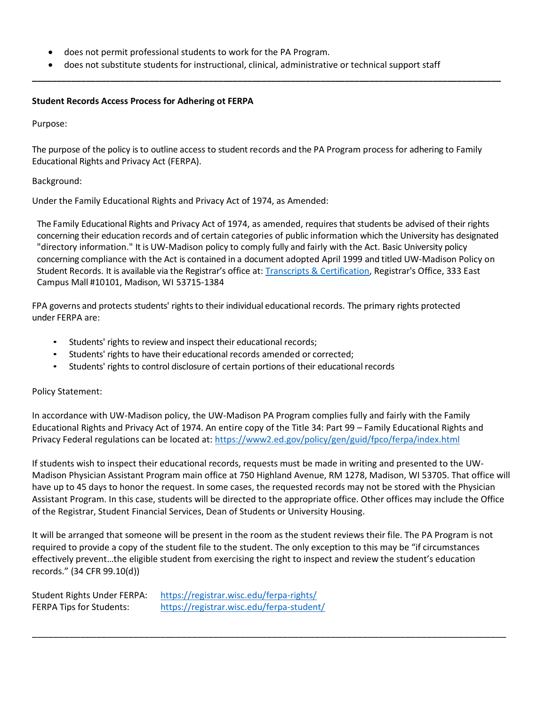- does not permit professional students to work for the PA Program.
- does not substitute students for instructional, clinical, administrative or technical support staff

**\_\_\_\_\_\_\_\_\_\_\_\_\_\_\_\_\_\_\_\_\_\_\_\_\_\_\_\_\_\_\_\_\_\_\_\_\_\_\_\_\_\_\_\_\_\_\_\_\_\_\_\_\_\_\_\_\_\_\_\_\_\_\_\_\_\_\_\_\_\_\_\_\_\_\_\_\_\_\_\_\_\_\_\_\_\_\_\_\_\_\_\_\_\_\_\_**

## **Student Records Access Process for Adhering ot FERPA**

Purpose:

The purpose of the policy is to outline access to student records and the PA Program process for adhering to Family Educational Rights and Privacy Act (FERPA).

#### Background:

Under the Family Educational Rights and Privacy Act of 1974, as Amended:

The Family Educational Rights and Privacy Act of 1974, as amended, requires that students be advised of their rights concerning their education records and of certain categories of public information which the University has designated "directory information." It is UW-Madison policy to comply fully and fairly with the Act. Basic University policy concerning compliance with the Act is contained in a document adopted April 1999 and titled UW-Madison Policy on Student Records. It is available via the Registrar's office at[: Transcripts & Certification,](https://registrar.wisc.edu/transcript/) Registrar's Office, 333 East Campus Mall #10101, Madison, WI 53715-1384

FPA governs and protects students' rights to their individual educational records. The primary rights protected under FERPA are:

- Students' rights to review and inspect their educational records;
- Students' rights to have their educational records amended or corrected;
- Students' rights to control disclosure of certain portions of their educational records

## Policy Statement:

In accordance with UW-Madison policy, the UW-Madison PA Program complies fully and fairly with the Family Educational Rights and Privacy Act of 1974. An entire copy of the Title 34: Part 99 – Family Educational Rights and Privacy Federal regulations can be located at:<https://www2.ed.gov/policy/gen/guid/fpco/ferpa/index.html>

If students wish to inspect their educational records, requests must be made in writing and presented to the UW-Madison Physician Assistant Program main office at 750 Highland Avenue, RM 1278, Madison, WI 53705. That office will have up to 45 days to honor the request. In some cases, the requested records may not be stored with the Physician Assistant Program. In this case, students will be directed to the appropriate office. Other offices may include the Office of the Registrar, Student Financial Services, Dean of Students or University Housing.

It will be arranged that someone will be present in the room as the student reviews their file. The PA Program is not required to provide a copy of the student file to the student. The only exception to this may be "if circumstances effectively prevent…the eligible student from exercising the right to inspect and review the student's education records." (34 CFR 99.10(d))

\_\_\_\_\_\_\_\_\_\_\_\_\_\_\_\_\_\_\_\_\_\_\_\_\_\_\_\_\_\_\_\_\_\_\_\_\_\_\_\_\_\_\_\_\_\_\_\_\_\_\_\_\_\_\_\_\_\_\_\_\_\_\_\_\_\_\_\_\_\_\_\_\_\_\_\_\_\_\_\_\_\_\_\_\_\_\_\_\_

Student Rights Under FERPA: <https://registrar.wisc.edu/ferpa-rights/> FERPA Tips for Students: <https://registrar.wisc.edu/ferpa-student/>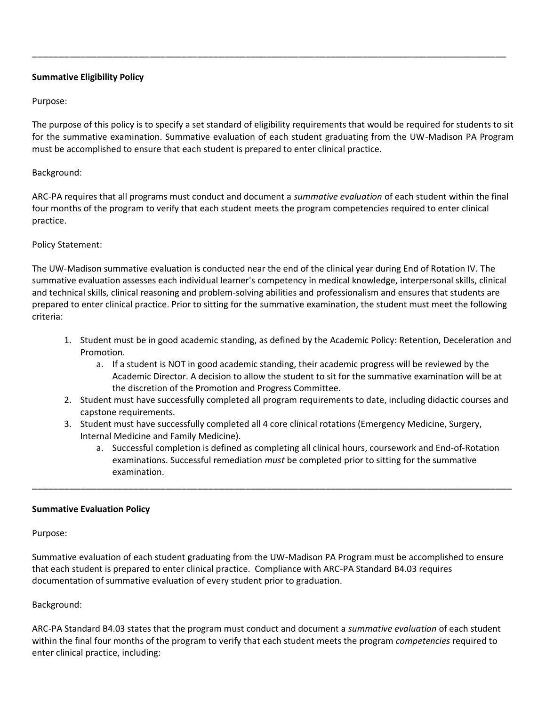## **Summative Eligibility Policy**

## Purpose:

The purpose of this policy is to specify a set standard of eligibility requirements that would be required for students to sit for the summative examination. Summative evaluation of each student graduating from the UW-Madison PA Program must be accomplished to ensure that each student is prepared to enter clinical practice.

\_\_\_\_\_\_\_\_\_\_\_\_\_\_\_\_\_\_\_\_\_\_\_\_\_\_\_\_\_\_\_\_\_\_\_\_\_\_\_\_\_\_\_\_\_\_\_\_\_\_\_\_\_\_\_\_\_\_\_\_\_\_\_\_\_\_\_\_\_\_\_\_\_\_\_\_\_\_\_\_\_\_\_\_\_\_\_\_\_

## Background:

ARC-PA requires that all programs must conduct and document a *summative evaluation* of each student within the final four months of the program to verify that each student meets the program competencies required to enter clinical practice.

## Policy Statement:

The UW-Madison summative evaluation is conducted near the end of the clinical year during End of Rotation IV. The summative evaluation assesses each individual learner's competency in medical knowledge, interpersonal skills, clinical and technical skills, clinical reasoning and problem-solving abilities and professionalism and ensures that students are prepared to enter clinical practice. Prior to sitting for the summative examination, the student must meet the following criteria:

- 1. Student must be in good academic standing, as defined by the Academic Policy: Retention, Deceleration and Promotion.
	- a. If a student is NOT in good academic standing, their academic progress will be reviewed by the Academic Director. A decision to allow the student to sit for the summative examination will be at the discretion of the Promotion and Progress Committee.
- 2. Student must have successfully completed all program requirements to date, including didactic courses and capstone requirements.
- 3. Student must have successfully completed all 4 core clinical rotations (Emergency Medicine, Surgery, Internal Medicine and Family Medicine).

\_\_\_\_\_\_\_\_\_\_\_\_\_\_\_\_\_\_\_\_\_\_\_\_\_\_\_\_\_\_\_\_\_\_\_\_\_\_\_\_\_\_\_\_\_\_\_\_\_\_\_\_\_\_\_\_\_\_\_\_\_\_\_\_\_\_\_\_\_\_\_\_\_\_\_\_\_\_\_\_\_\_\_\_\_\_\_\_\_\_

a. Successful completion is defined as completing all clinical hours, coursework and End-of-Rotation examinations. Successful remediation *must* be completed prior to sitting for the summative examination.

## **Summative Evaluation Policy**

Purpose:

Summative evaluation of each student graduating from the UW-Madison PA Program must be accomplished to ensure that each student is prepared to enter clinical practice. Compliance with ARC-PA Standard B4.03 requires documentation of summative evaluation of every student prior to graduation.

## Background:

ARC-PA Standard B4.03 states that the program must conduct and document a *summative evaluation* of each student within the final four months of the program to verify that each student meets the program *competencies* required to enter clinical practice, including: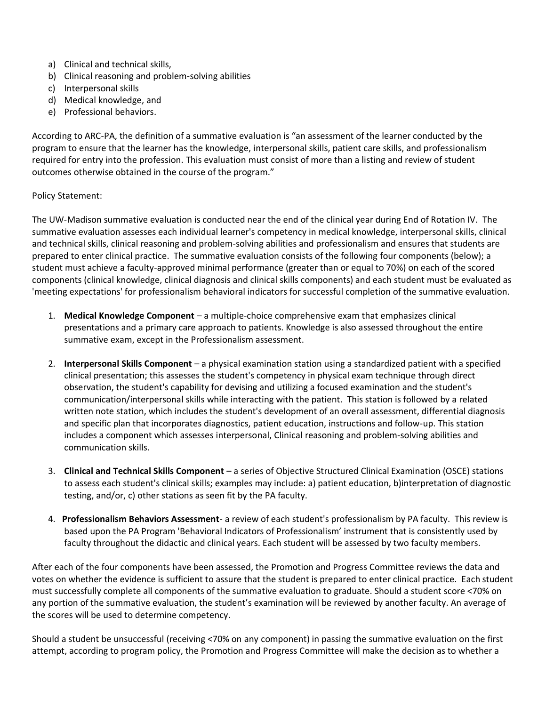- a) Clinical and technical skills,
- b) Clinical reasoning and problem-solving abilities
- c) Interpersonal skills
- d) Medical knowledge, and
- e) Professional behaviors.

According to ARC-PA, the definition of a summative evaluation is "an assessment of the learner conducted by the program to ensure that the learner has the knowledge, interpersonal skills, patient care skills, and professionalism required for entry into the profession. This evaluation must consist of more than a listing and review of student outcomes otherwise obtained in the course of the program."

## Policy Statement:

The UW-Madison summative evaluation is conducted near the end of the clinical year during End of Rotation IV. The summative evaluation assesses each individual learner's competency in medical knowledge, interpersonal skills, clinical and technical skills, clinical reasoning and problem-solving abilities and professionalism and ensures that students are prepared to enter clinical practice. The summative evaluation consists of the following four components (below); a student must achieve a faculty-approved minimal performance (greater than or equal to 70%) on each of the scored components (clinical knowledge, clinical diagnosis and clinical skills components) and each student must be evaluated as 'meeting expectations' for professionalism behavioral indicators for successful completion of the summative evaluation.

- 1. **Medical Knowledge Component** a multiple-choice comprehensive exam that emphasizes clinical presentations and a primary care approach to patients. Knowledge is also assessed throughout the entire summative exam, except in the Professionalism assessment.
- 2. **Interpersonal Skills Component** a physical examination station using a standardized patient with a specified clinical presentation; this assesses the student's competency in physical exam technique through direct observation, the student's capability for devising and utilizing a focused examination and the student's communication/interpersonal skills while interacting with the patient. This station is followed by a related written note station, which includes the student's development of an overall assessment, differential diagnosis and specific plan that incorporates diagnostics, patient education, instructions and follow-up. This station includes a component which assesses interpersonal, Clinical reasoning and problem-solving abilities and communication skills.
- 3. **Clinical and Technical Skills Component** a series of Objective Structured Clinical Examination (OSCE) stations to assess each student's clinical skills; examples may include: a) patient education, b)interpretation of diagnostic testing, and/or, c) other stations as seen fit by the PA faculty.
- 4. **Professionalism Behaviors Assessment** a review of each student's professionalism by PA faculty. This review is based upon the PA Program 'Behavioral Indicators of Professionalism' instrument that is consistently used by faculty throughout the didactic and clinical years. Each student will be assessed by two faculty members.

After each of the four components have been assessed, the Promotion and Progress Committee reviews the data and votes on whether the evidence is sufficient to assure that the student is prepared to enter clinical practice. Each student must successfully complete all components of the summative evaluation to graduate. Should a student score <70% on any portion of the summative evaluation, the student's examination will be reviewed by another faculty. An average of the scores will be used to determine competency.

Should a student be unsuccessful (receiving <70% on any component) in passing the summative evaluation on the first attempt, according to program policy, the Promotion and Progress Committee will make the decision as to whether a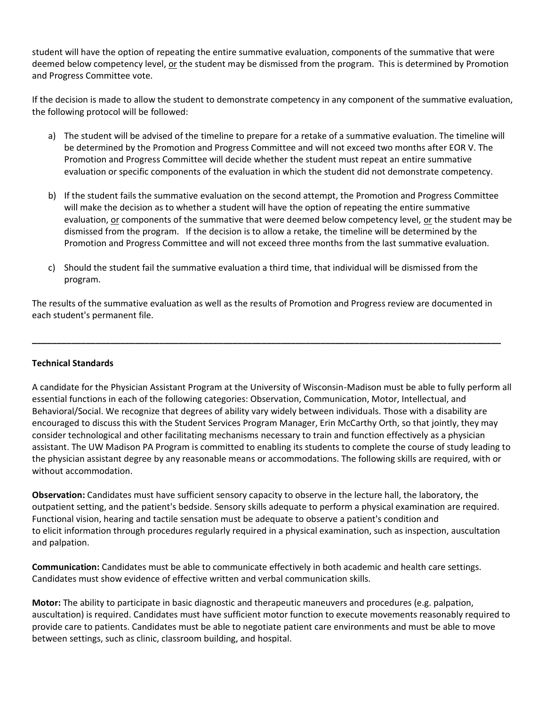student will have the option of repeating the entire summative evaluation, components of the summative that were deemed below competency level, or the student may be dismissed from the program. This is determined by Promotion and Progress Committee vote.

If the decision is made to allow the student to demonstrate competency in any component of the summative evaluation, the following protocol will be followed:

- a) The student will be advised of the timeline to prepare for a retake of a summative evaluation. The timeline will be determined by the Promotion and Progress Committee and will not exceed two months after EOR V. The Promotion and Progress Committee will decide whether the student must repeat an entire summative evaluation or specific components of the evaluation in which the student did not demonstrate competency.
- b) If the student fails the summative evaluation on the second attempt, the Promotion and Progress Committee will make the decision as to whether a student will have the option of repeating the entire summative evaluation, or components of the summative that were deemed below competency level, or the student may be dismissed from the program. If the decision is to allow a retake, the timeline will be determined by the Promotion and Progress Committee and will not exceed three months from the last summative evaluation.
- c) Should the student fail the summative evaluation a third time, that individual will be dismissed from the program.

The results of the summative evaluation as well as the results of Promotion and Progress review are documented in each student's permanent file.

**\_\_\_\_\_\_\_\_\_\_\_\_\_\_\_\_\_\_\_\_\_\_\_\_\_\_\_\_\_\_\_\_\_\_\_\_\_\_\_\_\_\_\_\_\_\_\_\_\_\_\_\_\_\_\_\_\_\_\_\_\_\_\_\_\_\_\_\_\_\_\_\_\_\_\_\_\_\_\_\_\_\_\_\_\_\_\_\_\_\_\_\_\_\_\_\_**

## **Technical Standards**

A candidate for the Physician Assistant Program at the University of Wisconsin-Madison must be able to fully perform all essential functions in each of the following categories: Observation, Communication, Motor, Intellectual, and Behavioral/Social. We recognize that degrees of ability vary widely between individuals. Those with a disability are encouraged to discuss this with the Student Services Program Manager, Erin McCarthy Orth, so that jointly, they may consider technological and other facilitating mechanisms necessary to train and function effectively as a physician assistant. The UW Madison PA Program is committed to enabling its students to complete the course of study leading to the physician assistant degree by any reasonable means or accommodations. The following skills are required, with or without accommodation.

**Observation:** Candidates must have sufficient sensory capacity to observe in the lecture hall, the laboratory, the outpatient setting, and the patient's bedside. Sensory skills adequate to perform a physical examination are required. Functional vision, hearing and tactile sensation must be adequate to observe a patient's condition and to elicit information through procedures regularly required in a physical examination, such as inspection, auscultation and palpation.

**Communication:** Candidates must be able to communicate effectively in both academic and health care settings. Candidates must show evidence of effective written and verbal communication skills.

**Motor:** The ability to participate in basic diagnostic and therapeutic maneuvers and procedures (e.g. palpation, auscultation) is required. Candidates must have sufficient motor function to execute movements reasonably required to provide care to patients. Candidates must be able to negotiate patient care environments and must be able to move between settings, such as clinic, classroom building, and hospital.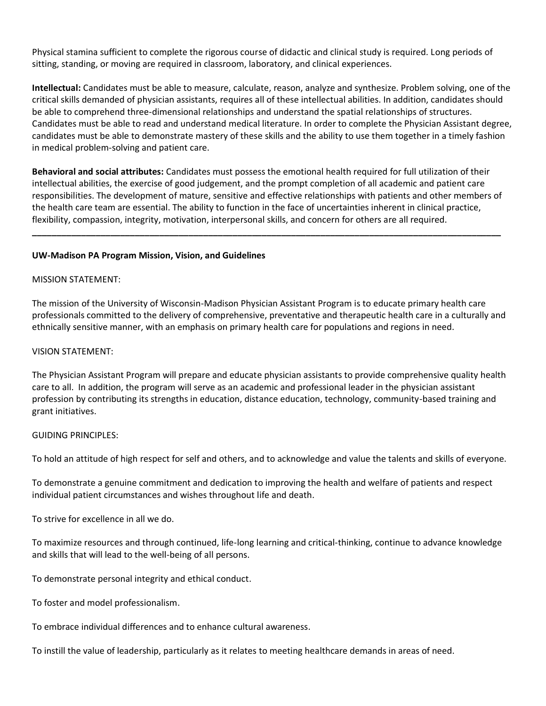Physical stamina sufficient to complete the rigorous course of didactic and clinical study is required. Long periods of sitting, standing, or moving are required in classroom, laboratory, and clinical experiences.

**Intellectual:** Candidates must be able to measure, calculate, reason, analyze and synthesize. Problem solving, one of the critical skills demanded of physician assistants, requires all of these intellectual abilities. In addition, candidates should be able to comprehend three-dimensional relationships and understand the spatial relationships of structures. Candidates must be able to read and understand medical literature. In order to complete the Physician Assistant degree, candidates must be able to demonstrate mastery of these skills and the ability to use them together in a timely fashion in medical problem-solving and patient care.

**Behavioral and social attributes:** Candidates must possess the emotional health required for full utilization of their intellectual abilities, the exercise of good judgement, and the prompt completion of all academic and patient care responsibilities. The development of mature, sensitive and effective relationships with patients and other members of the health care team are essential. The ability to function in the face of uncertainties inherent in clinical practice, flexibility, compassion, integrity, motivation, interpersonal skills, and concern for others are all required.

**\_\_\_\_\_\_\_\_\_\_\_\_\_\_\_\_\_\_\_\_\_\_\_\_\_\_\_\_\_\_\_\_\_\_\_\_\_\_\_\_\_\_\_\_\_\_\_\_\_\_\_\_\_\_\_\_\_\_\_\_\_\_\_\_\_\_\_\_\_\_\_\_\_\_\_\_\_\_\_\_\_\_\_\_\_\_\_\_\_\_\_\_\_\_\_\_**

## **UW-Madison PA Program Mission, Vision, and Guidelines**

## MISSION STATEMENT:

The mission of the University of Wisconsin-Madison Physician Assistant Program is to educate primary health care professionals committed to the delivery of comprehensive, preventative and therapeutic health care in a culturally and ethnically sensitive manner, with an emphasis on primary health care for populations and regions in need.

#### VISION STATEMENT:

The Physician Assistant Program will prepare and educate physician assistants to provide comprehensive quality health care to all. In addition, the program will serve as an academic and professional leader in the physician assistant profession by contributing its strengths in education, distance education, technology, community-based training and grant initiatives.

#### GUIDING PRINCIPLES:

To hold an attitude of high respect for self and others, and to acknowledge and value the talents and skills of everyone.

To demonstrate a genuine commitment and dedication to improving the health and welfare of patients and respect individual patient circumstances and wishes throughout life and death.

To strive for excellence in all we do.

To maximize resources and through continued, life-long learning and critical-thinking, continue to advance knowledge and skills that will lead to the well-being of all persons.

To demonstrate personal integrity and ethical conduct.

To foster and model professionalism.

To embrace individual differences and to enhance cultural awareness.

To instill the value of leadership, particularly as it relates to meeting healthcare demands in areas of need.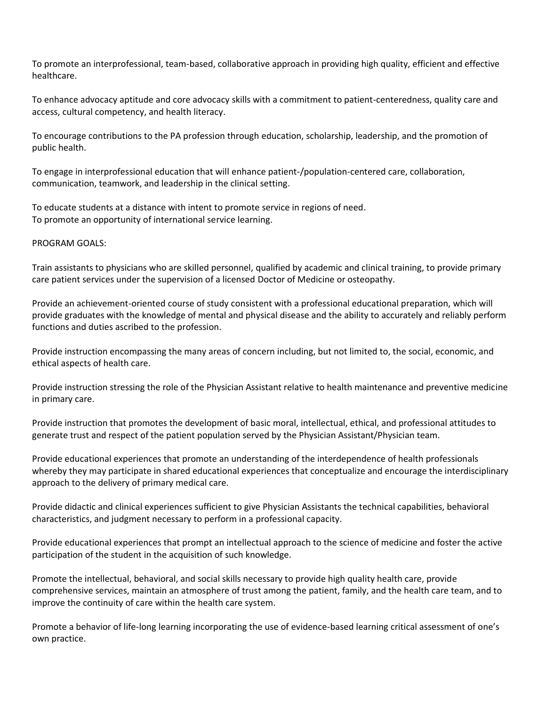To promote an interprofessional, team-based, collaborative approach in providing high quality, efficient and effective healthcare.

To enhance advocacy aptitude and core advocacy skills with a commitment to patient-centeredness, quality care and access, cultural competency, and health literacy.

To encourage contributions to the PA profession through education, scholarship, leadership, and the promotion of public health.

To engage in interprofessional education that will enhance patient-/population-centered care, collaboration, communication, teamwork, and leadership in the clinical setting.

To educate students at a distance with intent to promote service in regions of need. To promote an opportunity of international service learning.

PROGRAM GOALS:

Train assistants to physicians who are skilled personnel, qualified by academic and clinical training, to provide primary care patient services under the supervision of a licensed Doctor of Medicine or osteopathy.

Provide an achievement-oriented course of study consistent with a professional educational preparation, which will provide graduates with the knowledge of mental and physical disease and the ability to accurately and reliably perform functions and duties ascribed to the profession.

Provide instruction encompassing the many areas of concern including, but not limited to, the social, economic, and ethical aspects of health care.

Provide instruction stressing the role of the Physician Assistant relative to health maintenance and preventive medicine in primary care.

Provide instruction that promotes the development of basic moral, intellectual, ethical, and professional attitudes to generate trust and respect of the patient population served by the Physician Assistant/Physician team.

Provide educational experiences that promote an understanding of the interdependence of health professionals whereby they may participate in shared educational experiences that conceptualize and encourage the interdisciplinary approach to the delivery of primary medical care.

Provide didactic and clinical experiences sufficient to give Physician Assistants the technical capabilities, behavioral characteristics, and judgment necessary to perform in a professional capacity.

Provide educational experiences that prompt an intellectual approach to the science of medicine and foster the active participation of the student in the acquisition of such knowledge.

Promote the intellectual, behavioral, and social skills necessary to provide high quality health care, provide comprehensive services, maintain an atmosphere of trust among the patient, family, and the health care team, and to improve the continuity of care within the health care system.

Promote a behavior of life-long learning incorporating the use of evidence-based learning critical assessment of one's own practice.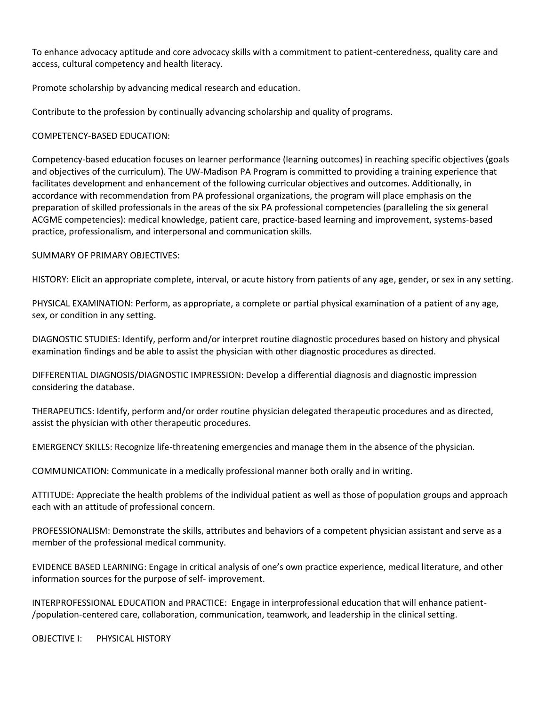To enhance advocacy aptitude and core advocacy skills with a commitment to patient-centeredness, quality care and access, cultural competency and health literacy.

Promote scholarship by advancing medical research and education.

Contribute to the profession by continually advancing scholarship and quality of programs.

## COMPETENCY-BASED EDUCATION:

Competency-based education focuses on learner performance (learning outcomes) in reaching specific objectives (goals and objectives of the curriculum). The UW-Madison PA Program is committed to providing a training experience that facilitates development and enhancement of the following curricular objectives and outcomes. Additionally, in accordance with recommendation from PA professional organizations, the program will place emphasis on the preparation of skilled professionals in the areas of the six PA professional competencies (paralleling the six general ACGME competencies): medical knowledge, patient care, practice-based learning and improvement, systems-based practice, professionalism, and interpersonal and communication skills.

## SUMMARY OF PRIMARY OBJECTIVES:

HISTORY: Elicit an appropriate complete, interval, or acute history from patients of any age, gender, or sex in any setting.

PHYSICAL EXAMINATION: Perform, as appropriate, a complete or partial physical examination of a patient of any age, sex, or condition in any setting.

DIAGNOSTIC STUDIES: Identify, perform and/or interpret routine diagnostic procedures based on history and physical examination findings and be able to assist the physician with other diagnostic procedures as directed.

DIFFERENTIAL DIAGNOSIS/DIAGNOSTIC IMPRESSION: Develop a differential diagnosis and diagnostic impression considering the database.

THERAPEUTICS: Identify, perform and/or order routine physician delegated therapeutic procedures and as directed, assist the physician with other therapeutic procedures.

EMERGENCY SKILLS: Recognize life-threatening emergencies and manage them in the absence of the physician.

COMMUNICATION: Communicate in a medically professional manner both orally and in writing.

ATTITUDE: Appreciate the health problems of the individual patient as well as those of population groups and approach each with an attitude of professional concern.

PROFESSIONALISM: Demonstrate the skills, attributes and behaviors of a competent physician assistant and serve as a member of the professional medical community.

EVIDENCE BASED LEARNING: Engage in critical analysis of one's own practice experience, medical literature, and other information sources for the purpose of self- improvement.

INTERPROFESSIONAL EDUCATION and PRACTICE: Engage in interprofessional education that will enhance patient- /population-centered care, collaboration, communication, teamwork, and leadership in the clinical setting.

OBJECTIVE I: PHYSICAL HISTORY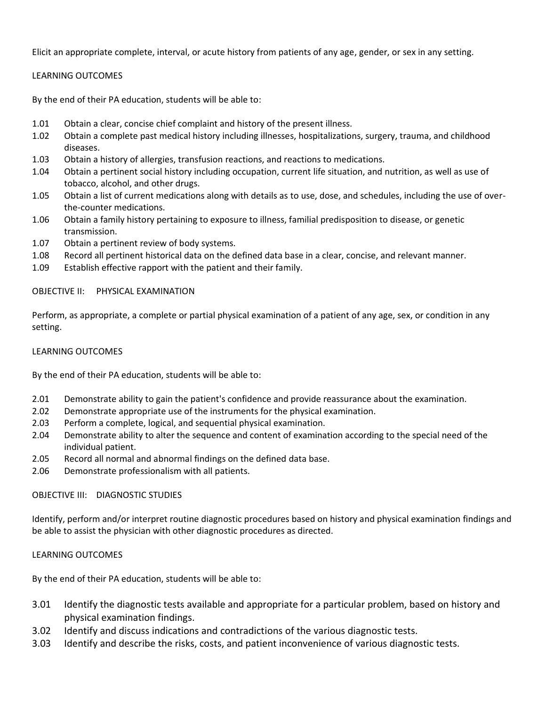Elicit an appropriate complete, interval, or acute history from patients of any age, gender, or sex in any setting.

## LEARNING OUTCOMES

By the end of their PA education, students will be able to:

- 1.01 Obtain a clear, concise chief complaint and history of the present illness.
- 1.02 Obtain a complete past medical history including illnesses, hospitalizations, surgery, trauma, and childhood diseases.
- 1.03 Obtain a history of allergies, transfusion reactions, and reactions to medications.
- 1.04 Obtain a pertinent social history including occupation, current life situation, and nutrition, as well as use of tobacco, alcohol, and other drugs.
- 1.05 Obtain a list of current medications along with details as to use, dose, and schedules, including the use of overthe-counter medications.
- 1.06 Obtain a family history pertaining to exposure to illness, familial predisposition to disease, or genetic transmission.
- 1.07 Obtain a pertinent review of body systems.
- 1.08 Record all pertinent historical data on the defined data base in a clear, concise, and relevant manner.
- 1.09 Establish effective rapport with the patient and their family.

## OBJECTIVE II: PHYSICAL EXAMINATION

Perform, as appropriate, a complete or partial physical examination of a patient of any age, sex, or condition in any setting.

## LEARNING OUTCOMES

By the end of their PA education, students will be able to:

- 2.01 Demonstrate ability to gain the patient's confidence and provide reassurance about the examination.
- 2.02 Demonstrate appropriate use of the instruments for the physical examination.
- 2.03 Perform a complete, logical, and sequential physical examination.
- 2.04 Demonstrate ability to alter the sequence and content of examination according to the special need of the individual patient.
- 2.05 Record all normal and abnormal findings on the defined data base.
- 2.06 Demonstrate professionalism with all patients.

## OBJECTIVE III: DIAGNOSTIC STUDIES

Identify, perform and/or interpret routine diagnostic procedures based on history and physical examination findings and be able to assist the physician with other diagnostic procedures as directed.

## LEARNING OUTCOMES

By the end of their PA education, students will be able to:

- 3.01 Identify the diagnostic tests available and appropriate for a particular problem, based on history and physical examination findings.
- 3.02 Identify and discuss indications and contradictions of the various diagnostic tests.
- 3.03 Identify and describe the risks, costs, and patient inconvenience of various diagnostic tests.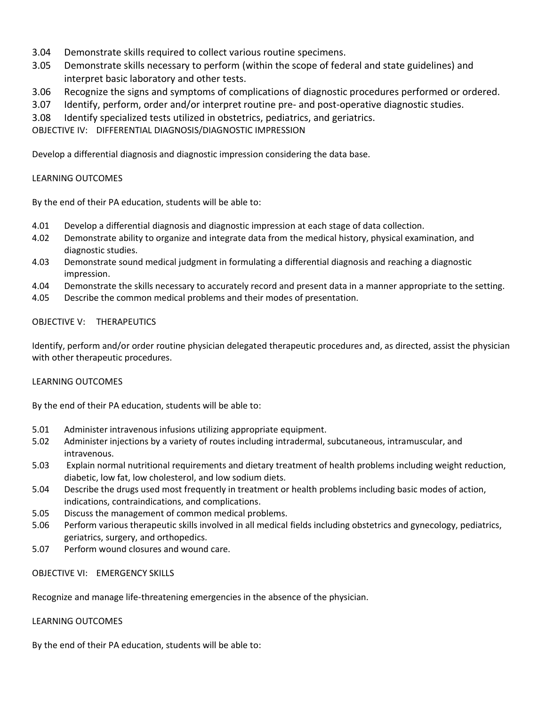- 3.04 Demonstrate skills required to collect various routine specimens.
- 3.05 Demonstrate skills necessary to perform (within the scope of federal and state guidelines) and interpret basic laboratory and other tests.
- 3.06 Recognize the signs and symptoms of complications of diagnostic procedures performed or ordered.
- 3.07 Identify, perform, order and/or interpret routine pre- and post-operative diagnostic studies.
- 3.08 Identify specialized tests utilized in obstetrics, pediatrics, and geriatrics.

OBJECTIVE IV: DIFFERENTIAL DIAGNOSIS/DIAGNOSTIC IMPRESSION

Develop a differential diagnosis and diagnostic impression considering the data base.

## LEARNING OUTCOMES

By the end of their PA education, students will be able to:

- 4.01 Develop a differential diagnosis and diagnostic impression at each stage of data collection.
- 4.02 Demonstrate ability to organize and integrate data from the medical history, physical examination, and diagnostic studies.
- 4.03 Demonstrate sound medical judgment in formulating a differential diagnosis and reaching a diagnostic impression.
- 4.04 Demonstrate the skills necessary to accurately record and present data in a manner appropriate to the setting.
- 4.05 Describe the common medical problems and their modes of presentation.

## OBJECTIVE V: THERAPEUTICS

Identify, perform and/or order routine physician delegated therapeutic procedures and, as directed, assist the physician with other therapeutic procedures.

## LEARNING OUTCOMES

By the end of their PA education, students will be able to:

- 5.01 Administer intravenous infusions utilizing appropriate equipment.
- 5.02 Administer injections by a variety of routes including intradermal, subcutaneous, intramuscular, and intravenous.
- 5.03 Explain normal nutritional requirements and dietary treatment of health problems including weight reduction, diabetic, low fat, low cholesterol, and low sodium diets.
- 5.04 Describe the drugs used most frequently in treatment or health problems including basic modes of action, indications, contraindications, and complications.
- 5.05 Discuss the management of common medical problems.
- 5.06 Perform various therapeutic skills involved in all medical fields including obstetrics and gynecology, pediatrics, geriatrics, surgery, and orthopedics.
- 5.07 Perform wound closures and wound care.

OBJECTIVE VI: EMERGENCY SKILLS

Recognize and manage life-threatening emergencies in the absence of the physician.

#### LEARNING OUTCOMES

By the end of their PA education, students will be able to: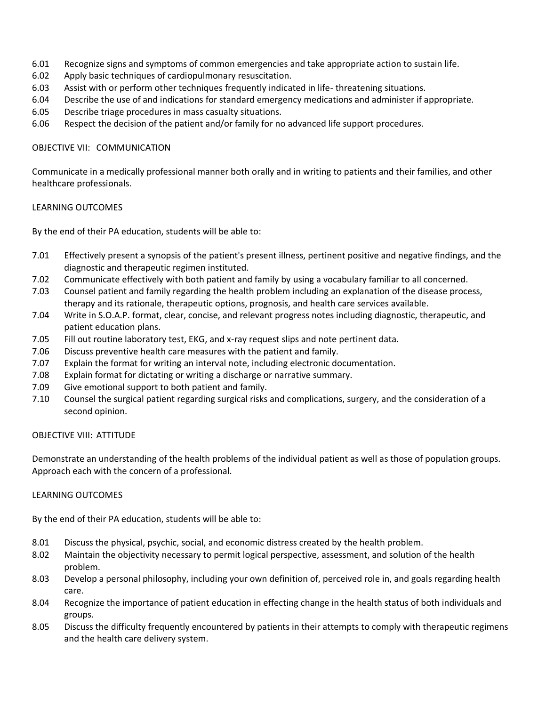- 6.01 Recognize signs and symptoms of common emergencies and take appropriate action to sustain life.
- 6.02 Apply basic techniques of cardiopulmonary resuscitation.
- 6.03 Assist with or perform other techniques frequently indicated in life- threatening situations.
- 6.04 Describe the use of and indications for standard emergency medications and administer if appropriate.
- 6.05 Describe triage procedures in mass casualty situations.
- 6.06 Respect the decision of the patient and/or family for no advanced life support procedures.

## OBJECTIVE VII: COMMUNICATION

Communicate in a medically professional manner both orally and in writing to patients and their families, and other healthcare professionals.

## LEARNING OUTCOMES

By the end of their PA education, students will be able to:

- 7.01 Effectively present a synopsis of the patient's present illness, pertinent positive and negative findings, and the diagnostic and therapeutic regimen instituted.
- 7.02 Communicate effectively with both patient and family by using a vocabulary familiar to all concerned.
- 7.03 Counsel patient and family regarding the health problem including an explanation of the disease process, therapy and its rationale, therapeutic options, prognosis, and health care services available.
- 7.04 Write in S.O.A.P. format, clear, concise, and relevant progress notes including diagnostic, therapeutic, and patient education plans.
- 7.05 Fill out routine laboratory test, EKG, and x-ray request slips and note pertinent data.
- 7.06 Discuss preventive health care measures with the patient and family.
- 7.07 Explain the format for writing an interval note, including electronic documentation.
- 7.08 Explain format for dictating or writing a discharge or narrative summary.
- 7.09 Give emotional support to both patient and family.
- 7.10 Counsel the surgical patient regarding surgical risks and complications, surgery, and the consideration of a second opinion.

## OBJECTIVE VIII: ATTITUDE

Demonstrate an understanding of the health problems of the individual patient as well as those of population groups. Approach each with the concern of a professional.

## LEARNING OUTCOMES

By the end of their PA education, students will be able to:

- 8.01 Discuss the physical, psychic, social, and economic distress created by the health problem.
- 8.02 Maintain the objectivity necessary to permit logical perspective, assessment, and solution of the health problem.
- 8.03 Develop a personal philosophy, including your own definition of, perceived role in, and goals regarding health care.
- 8.04 Recognize the importance of patient education in effecting change in the health status of both individuals and groups.
- 8.05 Discuss the difficulty frequently encountered by patients in their attempts to comply with therapeutic regimens and the health care delivery system.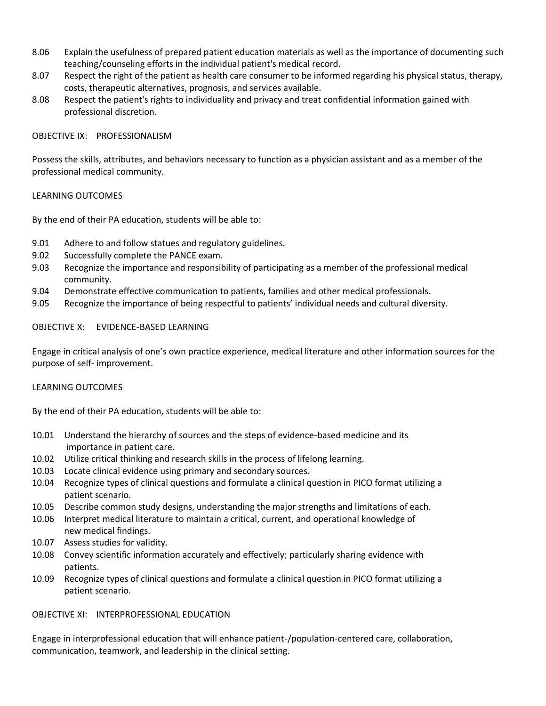- 8.06 Explain the usefulness of prepared patient education materials as well as the importance of documenting such teaching/counseling efforts in the individual patient's medical record.
- 8.07 Respect the right of the patient as health care consumer to be informed regarding his physical status, therapy, costs, therapeutic alternatives, prognosis, and services available.
- 8.08 Respect the patient's rights to individuality and privacy and treat confidential information gained with professional discretion.

## OBJECTIVE IX: PROFESSIONALISM

Possess the skills, attributes, and behaviors necessary to function as a physician assistant and as a member of the professional medical community.

## LEARNING OUTCOMES

By the end of their PA education, students will be able to:

- 9.01 Adhere to and follow statues and regulatory guidelines.
- 9.02 Successfully complete the PANCE exam.
- 9.03 Recognize the importance and responsibility of participating as a member of the professional medical community.
- 9.04 Demonstrate effective communication to patients, families and other medical professionals.
- 9.05 Recognize the importance of being respectful to patients' individual needs and cultural diversity.

## OBJECTIVE X: EVIDENCE-BASED LEARNING

Engage in critical analysis of one's own practice experience, medical literature and other information sources for the purpose of self- improvement.

## LEARNING OUTCOMES

By the end of their PA education, students will be able to:

- 10.01 Understand the hierarchy of sources and the steps of evidence-based medicine and its importance in patient care.
- 10.02 Utilize critical thinking and research skills in the process of lifelong learning.
- 10.03 Locate clinical evidence using primary and secondary sources.
- 10.04 Recognize types of clinical questions and formulate a clinical question in PICO format utilizing a patient scenario.
- 10.05 Describe common study designs, understanding the major strengths and limitations of each.
- 10.06 Interpret medical literature to maintain a critical, current, and operational knowledge of new medical findings.
- 10.07 Assess studies for validity.
- 10.08 Convey scientific information accurately and effectively; particularly sharing evidence with patients.
- 10.09 Recognize types of clinical questions and formulate a clinical question in PICO format utilizing a patient scenario.

## OBJECTIVE XI: INTERPROFESSIONAL EDUCATION

Engage in interprofessional education that will enhance patient-/population-centered care, collaboration, communication, teamwork, and leadership in the clinical setting.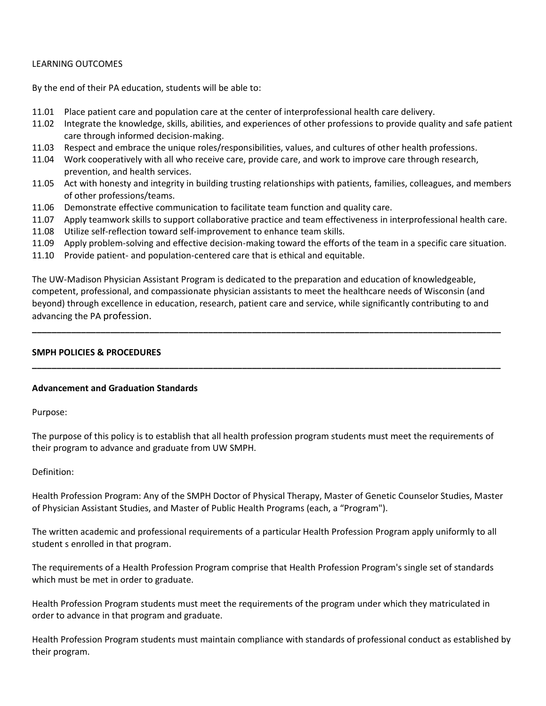## LEARNING OUTCOMES

By the end of their PA education, students will be able to:

- 11.01 Place patient care and population care at the center of interprofessional health care delivery.
- 11.02 Integrate the knowledge, skills, abilities, and experiences of other professions to provide quality and safe patient care through informed decision-making.
- 11.03 Respect and embrace the unique roles/responsibilities, values, and cultures of other health professions.
- 11.04 Work cooperatively with all who receive care, provide care, and work to improve care through research, prevention, and health services.
- 11.05 Act with honesty and integrity in building trusting relationships with patients, families, colleagues, and members of other professions/teams.
- 11.06 Demonstrate effective communication to facilitate team function and quality care.
- 11.07 Apply teamwork skills to support collaborative practice and team effectiveness in interprofessional health care.
- 11.08 Utilize self-reflection toward self-improvement to enhance team skills.
- 11.09 Apply problem-solving and effective decision-making toward the efforts of the team in a specific care situation.
- 11.10 Provide patient- and population-centered care that is ethical and equitable.

The UW-Madison Physician Assistant Program is dedicated to the preparation and education of knowledgeable, competent, professional, and compassionate physician assistants to meet the healthcare needs of Wisconsin (and beyond) through excellence in education, research, patient care and service, while significantly contributing to and advancing the PA profession.

**\_\_\_\_\_\_\_\_\_\_\_\_\_\_\_\_\_\_\_\_\_\_\_\_\_\_\_\_\_\_\_\_\_\_\_\_\_\_\_\_\_\_\_\_\_\_\_\_\_\_\_\_\_\_\_\_\_\_\_\_\_\_\_\_\_\_\_\_\_\_\_\_\_\_\_\_\_\_\_\_\_\_\_\_\_\_\_\_\_\_\_\_\_\_\_\_**

**\_\_\_\_\_\_\_\_\_\_\_\_\_\_\_\_\_\_\_\_\_\_\_\_\_\_\_\_\_\_\_\_\_\_\_\_\_\_\_\_\_\_\_\_\_\_\_\_\_\_\_\_\_\_\_\_\_\_\_\_\_\_\_\_\_\_\_\_\_\_\_\_\_\_\_\_\_\_\_\_\_\_\_\_\_\_\_\_\_\_\_\_\_\_\_\_**

## **SMPH POLICIES & PROCEDURES**

#### **Advancement and Graduation Standards**

Purpose:

The purpose of this policy is to establish that all health profession program students must meet the requirements of their program to advance and graduate from UW SMPH.

#### Definition:

Health Profession Program: Any of the SMPH Doctor of Physical Therapy, Master of Genetic Counselor Studies, Master of Physician Assistant Studies, and Master of Public Health Programs (each, a "Program").

The written academic and professional requirements of a particular Health Profession Program apply uniformly to all student s enrolled in that program.

The requirements of a Health Profession Program comprise that Health Profession Program's single set of standards which must be met in order to graduate.

Health Profession Program students must meet the requirements of the program under which they matriculated in order to advance in that program and graduate.

Health Profession Program students must maintain compliance with standards of professional conduct as established by their program.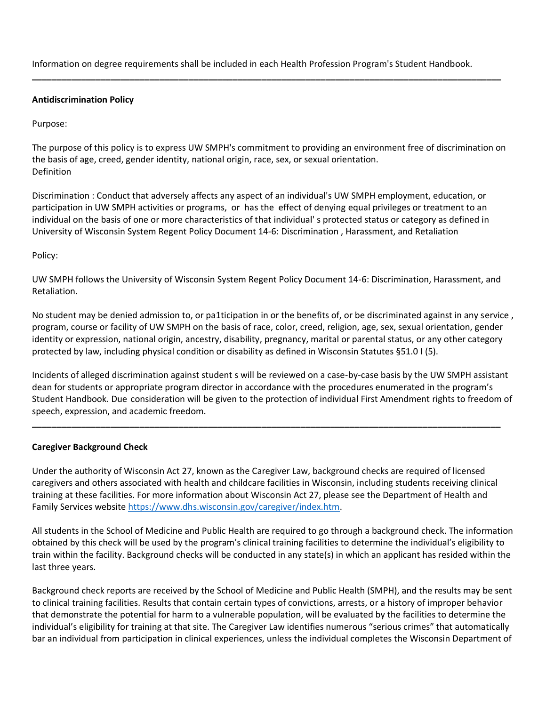Information on degree requirements shall be included in each Health Profession Program's Student Handbook.

**\_\_\_\_\_\_\_\_\_\_\_\_\_\_\_\_\_\_\_\_\_\_\_\_\_\_\_\_\_\_\_\_\_\_\_\_\_\_\_\_\_\_\_\_\_\_\_\_\_\_\_\_\_\_\_\_\_\_\_\_\_\_\_\_\_\_\_\_\_\_\_\_\_\_\_\_\_\_\_\_\_\_\_\_\_\_\_\_\_\_\_\_\_\_\_\_**

## **Antidiscrimination Policy**

Purpose:

The purpose of this policy is to express UW SMPH's commitment to providing an environment free of discrimination on the basis of age, creed, gender identity, national origin, race, sex, or sexual orientation. Definition

Discrimination : Conduct that adversely affects any aspect of an individual's UW SMPH employment, education, or participation in UW SMPH activities or programs, or has the effect of denying equal privileges or treatment to an individual on the basis of one or more characteristics of that individual' s protected status or category as defined in University of Wisconsin System Regent Policy Document 14-6: Discrimination , Harassment, and Retaliation

Policy:

UW SMPH follows the University of Wisconsin System Regent Policy Document 14-6: Discrimination, Harassment, and Retaliation.

No student may be denied admission to, or pa1ticipation in or the benefits of, or be discriminated against in any service , program, course or facility of UW SMPH on the basis of race, color, creed, religion, age, sex, sexual orientation, gender identity or expression, national origin, ancestry, disability, pregnancy, marital or parental status, or any other category protected by law, including physical condition or disability as defined in Wisconsin Statutes §51.0 I (5).

Incidents of alleged discrimination against student s will be reviewed on a case-by-case basis by the UW SMPH assistant dean for students or appropriate program director in accordance with the procedures enumerated in the program's Student Handbook. Due consideration will be given to the protection of individual First Amendment rights to freedom of speech, expression, and academic freedom.

**\_\_\_\_\_\_\_\_\_\_\_\_\_\_\_\_\_\_\_\_\_\_\_\_\_\_\_\_\_\_\_\_\_\_\_\_\_\_\_\_\_\_\_\_\_\_\_\_\_\_\_\_\_\_\_\_\_\_\_\_\_\_\_\_\_\_\_\_\_\_\_\_\_\_\_\_\_\_\_\_\_\_\_\_\_\_\_\_\_\_\_\_\_\_\_\_**

## **Caregiver Background Check**

Under the authority of Wisconsin Act 27, known as the Caregiver Law, background checks are required of licensed caregivers and others associated with health and childcare facilities in Wisconsin, including students receiving clinical training at these facilities. For more information about Wisconsin Act 27, please see the Department of Health and Family Services website [https://www.dhs.wisconsin.gov/caregiver/index.htm.](https://www.dhs.wisconsin.gov/caregiver/index.htm)

All students in the School of Medicine and Public Health are required to go through a background check. The information obtained by this check will be used by the program's clinical training facilities to determine the individual's eligibility to train within the facility. Background checks will be conducted in any state(s) in which an applicant has resided within the last three years.

Background check reports are received by the School of Medicine and Public Health (SMPH), and the results may be sent to clinical training facilities. Results that contain certain types of convictions, arrests, or a history of improper behavior that demonstrate the potential for harm to a vulnerable population, will be evaluated by the facilities to determine the individual's eligibility for training at that site. The Caregiver Law identifies numerous "serious crimes" that automatically bar an individual from participation in clinical experiences, unless the individual completes the Wisconsin Department of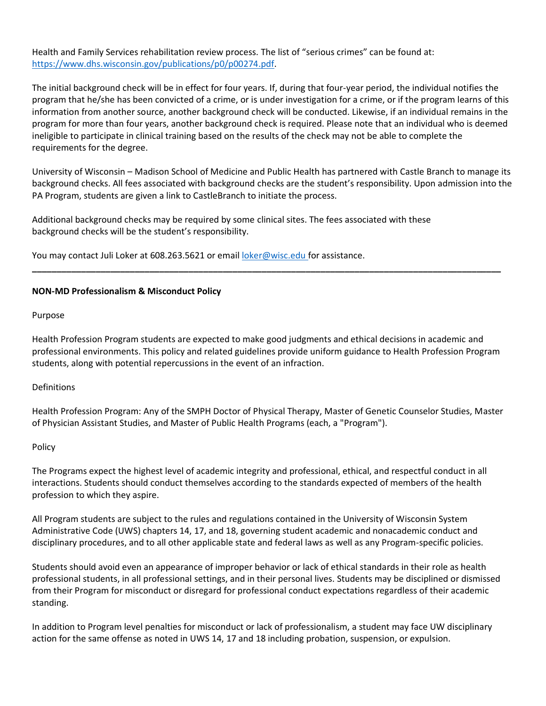Health and Family Services rehabilitation review process. The list of "serious crimes" can be found at: [https://www.dhs.wisconsin.gov/publications/p0/p00274.pdf.](https://www.dhs.wisconsin.gov/publications/p0/p00274.pdf)

The initial background check will be in effect for four years. If, during that four-year period, the individual notifies the program that he/she has been convicted of a crime, or is under investigation for a crime, or if the program learns of this information from another source, another background check will be conducted. Likewise, if an individual remains in the program for more than four years, another background check is required. Please note that an individual who is deemed ineligible to participate in clinical training based on the results of the check may not be able to complete the requirements for the degree.

University of Wisconsin – Madison School of Medicine and Public Health has partnered with Castle Branch to manage its background checks. All fees associated with background checks are the student's responsibility. Upon admission into the PA Program, students are given a link to CastleBranch to initiate the process.

Additional background checks may be required by some clinical sites. The fees associated with these background checks will be the student's responsibility.

You may contact Juli Loker at 608.263.5621 or email [loker@wisc.edu f](mailto:loker@wisc.edu)or assistance.

## **NON-MD Professionalism & Misconduct Policy**

Purpose

Health Profession Program students are expected to make good judgments and ethical decisions in academic and professional environments. This policy and related guidelines provide uniform guidance to Health Profession Program students, along with potential repercussions in the event of an infraction.

**\_\_\_\_\_\_\_\_\_\_\_\_\_\_\_\_\_\_\_\_\_\_\_\_\_\_\_\_\_\_\_\_\_\_\_\_\_\_\_\_\_\_\_\_\_\_\_\_\_\_\_\_\_\_\_\_\_\_\_\_\_\_\_\_\_\_\_\_\_\_\_\_\_\_\_\_\_\_\_\_\_\_\_\_\_\_\_\_\_\_\_\_\_\_\_\_**

#### Definitions

Health Profession Program: Any of the SMPH Doctor of Physical Therapy, Master of Genetic Counselor Studies, Master of Physician Assistant Studies, and Master of Public Health Programs (each, a "Program").

#### Policy

The Programs expect the highest level of academic integrity and professional, ethical, and respectful conduct in all interactions. Students should conduct themselves according to the standards expected of members of the health profession to which they aspire.

All Program students are subject to the rules and regulations contained in the University of Wisconsin System Administrative Code (UWS) chapters 14, 17, and 18, governing student academic and nonacademic conduct and disciplinary procedures, and to all other applicable state and federal laws as well as any Program-specific policies.

Students should avoid even an appearance of improper behavior or lack of ethical standards in their role as health professional students, in all professional settings, and in their personal lives. Students may be disciplined or dismissed from their Program for misconduct or disregard for professional conduct expectations regardless of their academic standing.

In addition to Program level penalties for misconduct or lack of professionalism, a student may face UW disciplinary action for the same offense as noted in UWS 14, 17 and 18 including probation, suspension, or expulsion.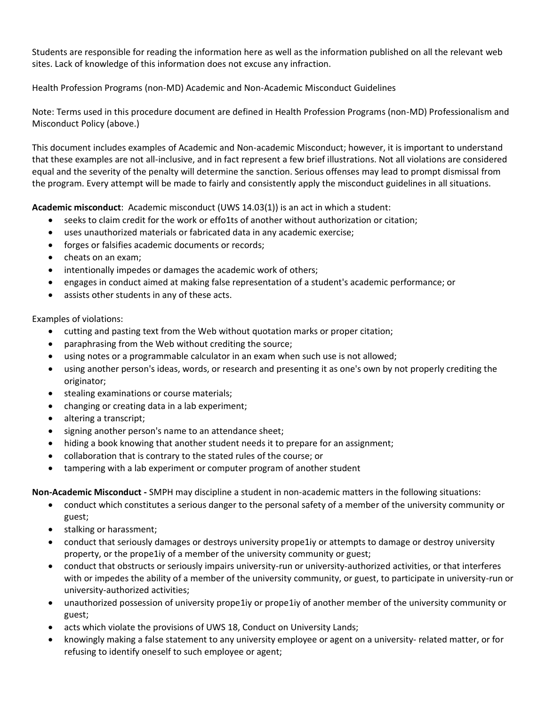Students are responsible for reading the information here as well as the information published on all the relevant web sites. Lack of knowledge of this information does not excuse any infraction.

Health Profession Programs (non-MD) Academic and Non-Academic Misconduct Guidelines

Note: Terms used in this procedure document are defined in Health Profession Programs (non-MD) Professionalism and Misconduct Policy (above.)

This document includes examples of Academic and Non-academic Misconduct; however, it is important to understand that these examples are not all-inclusive, and in fact represent a few brief illustrations. Not all violations are considered equal and the severity of the penalty will determine the sanction. Serious offenses may lead to prompt dismissal from the program. Every attempt will be made to fairly and consistently apply the misconduct guidelines in all situations.

**Academic misconduct**: Academic misconduct (UWS 14.03(1)) is an act in which a student:

- seeks to claim credit for the work or effo1ts of another without authorization or citation;
- uses unauthorized materials or fabricated data in any academic exercise;
- forges or falsifies academic documents or records;
- cheats on an exam;
- intentionally impedes or damages the academic work of others;
- engages in conduct aimed at making false representation of a student's academic performance; or
- assists other students in any of these acts.

Examples of violations:

- cutting and pasting text from the Web without quotation marks or proper citation;
- paraphrasing from the Web without crediting the source;
- using notes or a programmable calculator in an exam when such use is not allowed;
- using another person's ideas, words, or research and presenting it as one's own by not properly crediting the originator;
- stealing examinations or course materials;
- changing or creating data in a lab experiment;
- altering a transcript;
- signing another person's name to an attendance sheet;
- hiding a book knowing that another student needs it to prepare for an assignment;
- collaboration that is contrary to the stated rules of the course; or
- tampering with a lab experiment or computer program of another student

**Non-Academic Misconduct -** SMPH may discipline a student in non-academic matters in the following situations:

- conduct which constitutes a serious danger to the personal safety of a member of the university community or guest;
- stalking or harassment;
- conduct that seriously damages or destroys university prope1iy or attempts to damage or destroy university property, or the prope1iy of a member of the university community or guest;
- conduct that obstructs or seriously impairs university-run or university-authorized activities, or that interferes with or impedes the ability of a member of the university community, or guest, to participate in university-run or university-authorized activities;
- unauthorized possession of university prope1iy or prope1iy of another member of the university community or guest;
- acts which violate the provisions of UWS 18, Conduct on University Lands;
- knowingly making a false statement to any university employee or agent on a university- related matter, or for refusing to identify oneself to such employee or agent;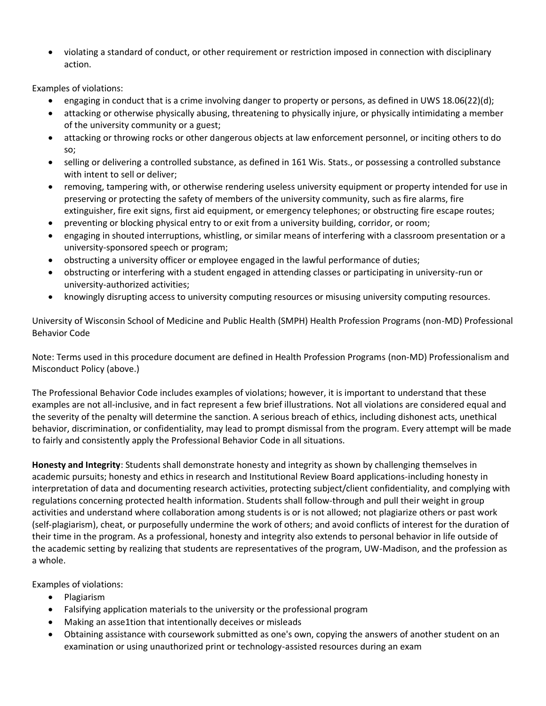• violating a standard of conduct, or other requirement or restriction imposed in connection with disciplinary action.

Examples of violations:

- engaging in conduct that is a crime involving danger to property or persons, as defined in UWS 18.06(22)(d);
- attacking or otherwise physically abusing, threatening to physically injure, or physically intimidating a member of the university community or a guest;
- attacking or throwing rocks or other dangerous objects at law enforcement personnel, or inciting others to do so;
- selling or delivering a controlled substance, as defined in 161 Wis. Stats., or possessing a controlled substance with intent to sell or deliver;
- removing, tampering with, or otherwise rendering useless university equipment or property intended for use in preserving or protecting the safety of members of the university community, such as fire alarms, fire extinguisher, fire exit signs, first aid equipment, or emergency telephones; or obstructing fire escape routes;
- preventing or blocking physical entry to or exit from a university building, corridor, or room;
- engaging in shouted interruptions, whistling, or similar means of interfering with a classroom presentation or a university-sponsored speech or program;
- obstructing a university officer or employee engaged in the lawful performance of duties;
- obstructing or interfering with a student engaged in attending classes or participating in university-run or university-authorized activities;
- knowingly disrupting access to university computing resources or misusing university computing resources.

University of Wisconsin School of Medicine and Public Health (SMPH) Health Profession Programs (non-MD) Professional Behavior Code

Note: Terms used in this procedure document are defined in Health Profession Programs (non-MD) Professionalism and Misconduct Policy (above.)

The Professional Behavior Code includes examples of violations; however, it is important to understand that these examples are not all-inclusive, and in fact represent a few brief illustrations. Not all violations are considered equal and the severity of the penalty will determine the sanction. A serious breach of ethics, including dishonest acts, unethical behavior, discrimination, or confidentiality, may lead to prompt dismissal from the program. Every attempt will be made to fairly and consistently apply the Professional Behavior Code in all situations.

**Honesty and Integrity**: Students shall demonstrate honesty and integrity as shown by challenging themselves in academic pursuits; honesty and ethics in research and Institutional Review Board applications-including honesty in interpretation of data and documenting research activities, protecting subject/client confidentiality, and complying with regulations concerning protected health information. Students shall follow-through and pull their weight in group activities and understand where collaboration among students is or is not allowed; not plagiarize others or past work (self-plagiarism), cheat, or purposefully undermine the work of others; and avoid conflicts of interest for the duration of their time in the program. As a professional, honesty and integrity also extends to personal behavior in life outside of the academic setting by realizing that students are representatives of the program, UW-Madison, and the profession as a whole.

Examples of violations:

- Plagiarism
- Falsifying application materials to the university or the professional program
- Making an asse1tion that intentionally deceives or misleads
- Obtaining assistance with coursework submitted as one's own, copying the answers of another student on an examination or using unauthorized print or technology-assisted resources during an exam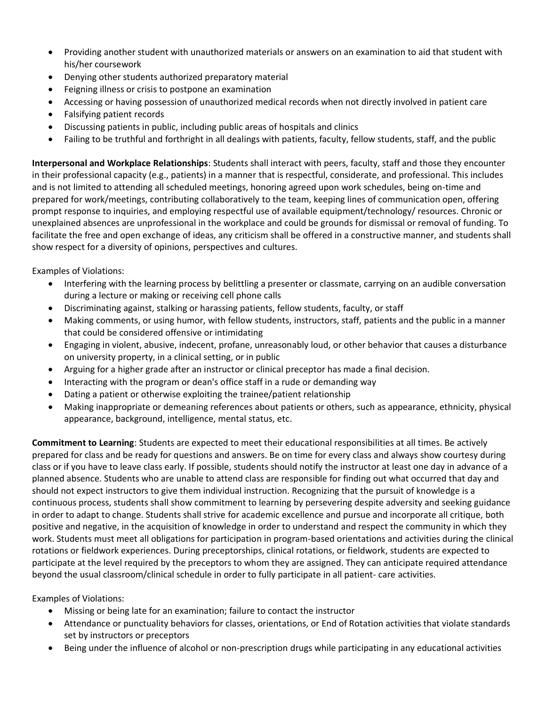- Providing another student with unauthorized materials or answers on an examination to aid that student with his/her coursework
- Denying other students authorized preparatory material
- Feigning illness or crisis to postpone an examination
- Accessing or having possession of unauthorized medical records when not directly involved in patient care
- Falsifying patient records
- Discussing patients in public, including public areas of hospitals and clinics
- Failing to be truthful and forthright in all dealings with patients, faculty, fellow students, staff, and the public

**Interpersonal and Workplace Relationships**: Students shall interact with peers, faculty, staff and those they encounter in their professional capacity (e.g., patients) in a manner that is respectful, considerate, and professional. This includes and is not limited to attending all scheduled meetings, honoring agreed upon work schedules, being on-time and prepared for work/meetings, contributing collaboratively to the team, keeping lines of communication open, offering prompt response to inquiries, and employing respectful use of available equipment/technology/ resources. Chronic or unexplained absences are unprofessional in the workplace and could be grounds for dismissal or removal of funding. To facilitate the free and open exchange of ideas, any criticism shall be offered in a constructive manner, and students shall show respect for a diversity of opinions, perspectives and cultures.

Examples of Violations:

- Interfering with the learning process by belittling a presenter or classmate, carrying on an audible conversation during a lecture or making or receiving cell phone calls
- Discriminating against, stalking or harassing patients, fellow students, faculty, or staff
- Making comments, or using humor, with fellow students, instructors, staff, patients and the public in a manner that could be considered offensive or intimidating
- Engaging in violent, abusive, indecent, profane, unreasonably loud, or other behavior that causes a disturbance on university property, in a clinical setting, or in public
- Arguing for a higher grade after an instructor or clinical preceptor has made a final decision.
- Interacting with the program or dean's office staff in a rude or demanding way
- Dating a patient or otherwise exploiting the trainee/patient relationship
- Making inappropriate or demeaning references about patients or others, such as appearance, ethnicity, physical appearance, background, intelligence, mental status, etc.

**Commitment to Learning**: Students are expected to meet their educational responsibilities at all times. Be actively prepared for class and be ready for questions and answers. Be on time for every class and always show courtesy during class or if you have to leave class early. If possible, students should notify the instructor at least one day in advance of a planned absence. Students who are unable to attend class are responsible for finding out what occurred that day and should not expect instructors to give them individual instruction. Recognizing that the pursuit of knowledge is a continuous process, students shall show commitment to learning by persevering despite adversity and seeking guidance in order to adapt to change. Students shall strive for academic excellence and pursue and incorporate all critique, both positive and negative, in the acquisition of knowledge in order to understand and respect the community in which they work. Students must meet all obligations for participation in program-based orientations and activities during the clinical rotations or fieldwork experiences. During preceptorships, clinical rotations, or fieldwork, students are expected to participate at the level required by the preceptors to whom they are assigned. They can anticipate required attendance beyond the usual classroom/clinical schedule in order to fully participate in all patient- care activities.

Examples of Violations:

- Missing or being late for an examination; failure to contact the instructor
- Attendance or punctuality behaviors for classes, orientations, or End of Rotation activities that violate standards set by instructors or preceptors
- Being under the influence of alcohol or non-prescription drugs while participating in any educational activities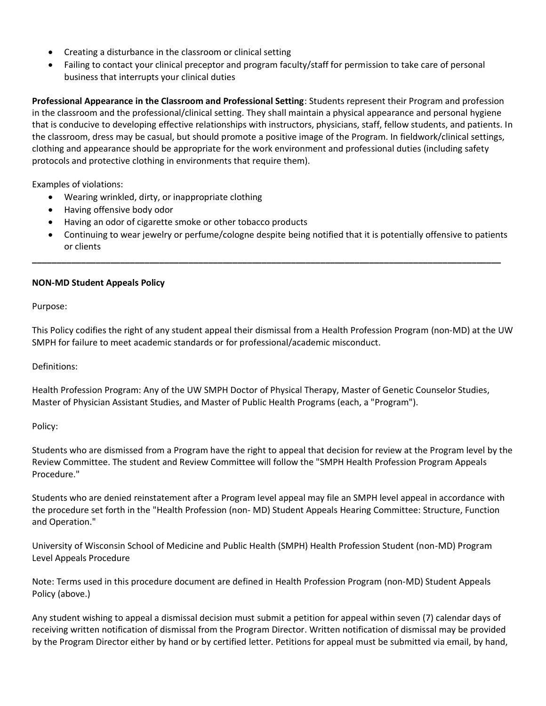- Creating a disturbance in the classroom or clinical setting
- Failing to contact your clinical preceptor and program faculty/staff for permission to take care of personal business that interrupts your clinical duties

**Professional Appearance in the Classroom and Professional Setting**: Students represent their Program and profession in the classroom and the professional/clinical setting. They shall maintain a physical appearance and personal hygiene that is conducive to developing effective relationships with instructors, physicians, staff, fellow students, and patients. In the classroom, dress may be casual, but should promote a positive image of the Program. In fieldwork/clinical settings, clothing and appearance should be appropriate for the work environment and professional duties (including safety protocols and protective clothing in environments that require them).

Examples of violations:

- Wearing wrinkled, dirty, or inappropriate clothing
- Having offensive body odor
- Having an odor of cigarette smoke or other tobacco products
- Continuing to wear jewelry or perfume/cologne despite being notified that it is potentially offensive to patients or clients

**\_\_\_\_\_\_\_\_\_\_\_\_\_\_\_\_\_\_\_\_\_\_\_\_\_\_\_\_\_\_\_\_\_\_\_\_\_\_\_\_\_\_\_\_\_\_\_\_\_\_\_\_\_\_\_\_\_\_\_\_\_\_\_\_\_\_\_\_\_\_\_\_\_\_\_\_\_\_\_\_\_\_\_\_\_\_\_\_\_\_\_\_\_\_\_\_**

## **NON-MD Student Appeals Policy**

Purpose:

This Policy codifies the right of any student appeal their dismissal from a Health Profession Program (non-MD) at the UW SMPH for failure to meet academic standards or for professional/academic misconduct.

Definitions:

Health Profession Program: Any of the UW SMPH Doctor of Physical Therapy, Master of Genetic Counselor Studies, Master of Physician Assistant Studies, and Master of Public Health Programs (each, a "Program").

Policy:

Students who are dismissed from a Program have the right to appeal that decision for review at the Program level by the Review Committee. The student and Review Committee will follow the "SMPH Health Profession Program Appeals Procedure."

Students who are denied reinstatement after a Program level appeal may file an SMPH level appeal in accordance with the procedure set forth in the "Health Profession (non- MD) Student Appeals Hearing Committee: Structure, Function and Operation."

University of Wisconsin School of Medicine and Public Health (SMPH) Health Profession Student (non-MD) Program Level Appeals Procedure

Note: Terms used in this procedure document are defined in Health Profession Program (non-MD) Student Appeals Policy (above.)

Any student wishing to appeal a dismissal decision must submit a petition for appeal within seven (7) calendar days of receiving written notification of dismissal from the Program Director. Written notification of dismissal may be provided by the Program Director either by hand or by certified letter. Petitions for appeal must be submitted via email, by hand,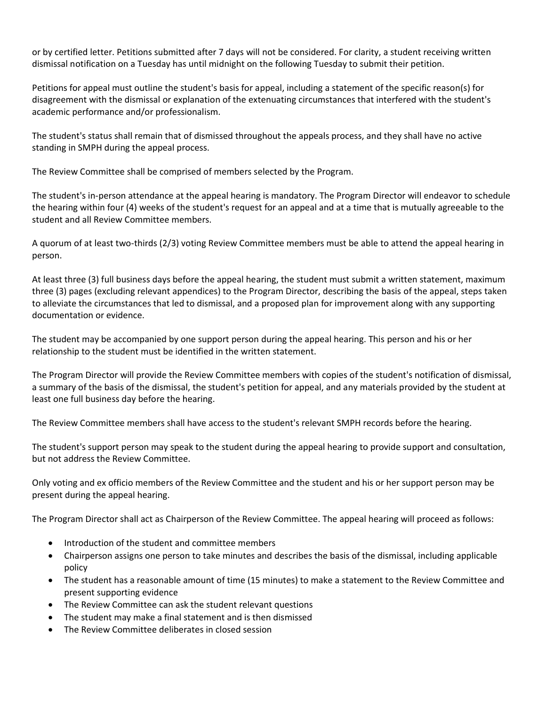or by certified letter. Petitions submitted after 7 days will not be considered. For clarity, a student receiving written dismissal notification on a Tuesday has until midnight on the following Tuesday to submit their petition.

Petitions for appeal must outline the student's basis for appeal, including a statement of the specific reason(s) for disagreement with the dismissal or explanation of the extenuating circumstances that interfered with the student's academic performance and/or professionalism.

The student's status shall remain that of dismissed throughout the appeals process, and they shall have no active standing in SMPH during the appeal process.

The Review Committee shall be comprised of members selected by the Program.

The student's in-person attendance at the appeal hearing is mandatory. The Program Director will endeavor to schedule the hearing within four (4) weeks of the student's request for an appeal and at a time that is mutually agreeable to the student and all Review Committee members.

A quorum of at least two-thirds (2/3) voting Review Committee members must be able to attend the appeal hearing in person.

At least three (3) full business days before the appeal hearing, the student must submit a written statement, maximum three (3) pages (excluding relevant appendices) to the Program Director, describing the basis of the appeal, steps taken to alleviate the circumstances that led to dismissal, and a proposed plan for improvement along with any supporting documentation or evidence.

The student may be accompanied by one support person during the appeal hearing. This person and his or her relationship to the student must be identified in the written statement.

The Program Director will provide the Review Committee members with copies of the student's notification of dismissal, a summary of the basis of the dismissal, the student's petition for appeal, and any materials provided by the student at least one full business day before the hearing.

The Review Committee members shall have access to the student's relevant SMPH records before the hearing.

The student's support person may speak to the student during the appeal hearing to provide support and consultation, but not address the Review Committee.

Only voting and ex officio members of the Review Committee and the student and his or her support person may be present during the appeal hearing.

The Program Director shall act as Chairperson of the Review Committee. The appeal hearing will proceed as follows:

- Introduction of the student and committee members
- Chairperson assigns one person to take minutes and describes the basis of the dismissal, including applicable policy
- The student has a reasonable amount of time (15 minutes) to make a statement to the Review Committee and present supporting evidence
- The Review Committee can ask the student relevant questions
- The student may make a final statement and is then dismissed
- The Review Committee deliberates in closed session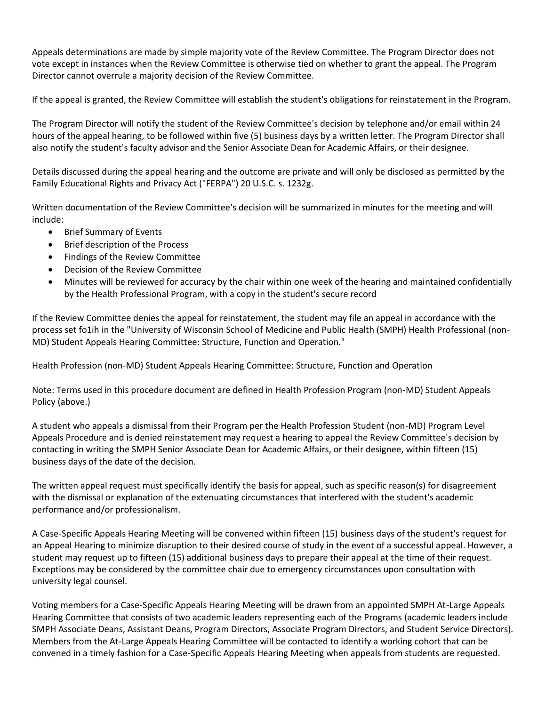Appeals determinations are made by simple majority vote of the Review Committee. The Program Director does not vote except in instances when the Review Committee is otherwise tied on whether to grant the appeal. The Program Director cannot overrule a majority decision of the Review Committee.

If the appeal is granted, the Review Committee will establish the student's obligations for reinstatement in the Program.

The Program Director will notify the student of the Review Committee's decision by telephone and/or email within 24 hours of the appeal hearing, to be followed within five (5) business days by a written letter. The Program Director shall also notify the student's faculty advisor and the Senior Associate Dean for Academic Affairs, or their designee.

Details discussed during the appeal hearing and the outcome are private and will only be disclosed as permitted by the Family Educational Rights and Privacy Act ("FERPA") 20 U.S.C. s. 1232g.

Written documentation of the Review Committee's decision will be summarized in minutes for the meeting and will include:

- Brief Summary of Events
- Brief description of the Process
- Findings of the Review Committee
- Decision of the Review Committee
- Minutes will be reviewed for accuracy by the chair within one week of the hearing and maintained confidentially by the Health Professional Program, with a copy in the student's secure record

If the Review Committee denies the appeal for reinstatement, the student may file an appeal in accordance with the process set fo1ih in the "University of Wisconsin School of Medicine and Public Health (SMPH) Health Professional (non-MD) Student Appeals Hearing Committee: Structure, Function and Operation."

Health Profession (non-MD) Student Appeals Hearing Committee: Structure, Function and Operation

Note: Terms used in this procedure document are defined in Health Profession Program (non-MD) Student Appeals Policy (above.)

A student who appeals a dismissal from their Program per the Health Profession Student (non-MD) Program Level Appeals Procedure and is denied reinstatement may request a hearing to appeal the Review Committee's decision by contacting in writing the SMPH Senior Associate Dean for Academic Affairs, or their designee, within fifteen (15) business days of the date of the decision.

The written appeal request must specifically identify the basis for appeal, such as specific reason(s) for disagreement with the dismissal or explanation of the extenuating circumstances that interfered with the student's academic performance and/or professionalism.

A Case-Specific Appeals Hearing Meeting will be convened within fifteen (15) business days of the student's request for an Appeal Hearing to minimize disruption to their desired course of study in the event of a successful appeal. However, a student may request up to fifteen (15) additional business days to prepare their appeal at the time of their request. Exceptions may be considered by the committee chair due to emergency circumstances upon consultation with university legal counsel.

Voting members for a Case-Specific Appeals Hearing Meeting will be drawn from an appointed SMPH At-Large Appeals Hearing Committee that consists of two academic leaders representing each of the Programs (academic leaders include SMPH Associate Deans, Assistant Deans, Program Directors, Associate Program Directors, and Student Service Directors). Members from the At-Large Appeals Hearing Committee will be contacted to identify a working cohort that can be convened in a timely fashion for a Case-Specific Appeals Hearing Meeting when appeals from students are requested.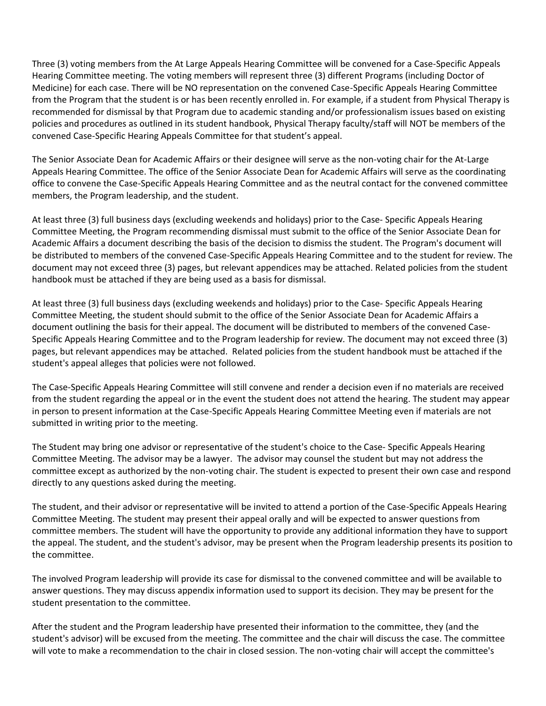Three (3) voting members from the At Large Appeals Hearing Committee will be convened for a Case-Specific Appeals Hearing Committee meeting. The voting members will represent three (3) different Programs (including Doctor of Medicine) for each case. There will be NO representation on the convened Case-Specific Appeals Hearing Committee from the Program that the student is or has been recently enrolled in. For example, if a student from Physical Therapy is recommended for dismissal by that Program due to academic standing and/or professionalism issues based on existing policies and procedures as outlined in its student handbook, Physical Therapy faculty/staff will NOT be members of the convened Case-Specific Hearing Appeals Committee for that student's appeal.

The Senior Associate Dean for Academic Affairs or their designee will serve as the non-voting chair for the At-Large Appeals Hearing Committee. The office of the Senior Associate Dean for Academic Affairs will serve as the coordinating office to convene the Case-Specific Appeals Hearing Committee and as the neutral contact for the convened committee members, the Program leadership, and the student.

At least three (3) full business days (excluding weekends and holidays) prior to the Case- Specific Appeals Hearing Committee Meeting, the Program recommending dismissal must submit to the office of the Senior Associate Dean for Academic Affairs a document describing the basis of the decision to dismiss the student. The Program's document will be distributed to members of the convened Case-Specific Appeals Hearing Committee and to the student for review. The document may not exceed three (3) pages, but relevant appendices may be attached. Related policies from the student handbook must be attached if they are being used as a basis for dismissal.

At least three (3) full business days (excluding weekends and holidays) prior to the Case- Specific Appeals Hearing Committee Meeting, the student should submit to the office of the Senior Associate Dean for Academic Affairs a document outlining the basis for their appeal. The document will be distributed to members of the convened Case-Specific Appeals Hearing Committee and to the Program leadership for review. The document may not exceed three (3) pages, but relevant appendices may be attached. Related policies from the student handbook must be attached if the student's appeal alleges that policies were not followed.

The Case-Specific Appeals Hearing Committee will still convene and render a decision even if no materials are received from the student regarding the appeal or in the event the student does not attend the hearing. The student may appear in person to present information at the Case-Specific Appeals Hearing Committee Meeting even if materials are not submitted in writing prior to the meeting.

The Student may bring one advisor or representative of the student's choice to the Case- Specific Appeals Hearing Committee Meeting. The advisor may be a lawyer. The advisor may counsel the student but may not address the committee except as authorized by the non-voting chair. The student is expected to present their own case and respond directly to any questions asked during the meeting.

The student, and their advisor or representative will be invited to attend a portion of the Case-Specific Appeals Hearing Committee Meeting. The student may present their appeal orally and will be expected to answer questions from committee members. The student will have the opportunity to provide any additional information they have to support the appeal. The student, and the student's advisor, may be present when the Program leadership presents its position to the committee.

The involved Program leadership will provide its case for dismissal to the convened committee and will be available to answer questions. They may discuss appendix information used to support its decision. They may be present for the student presentation to the committee.

After the student and the Program leadership have presented their information to the committee, they (and the student's advisor) will be excused from the meeting. The committee and the chair will discuss the case. The committee will vote to make a recommendation to the chair in closed session. The non-voting chair will accept the committee's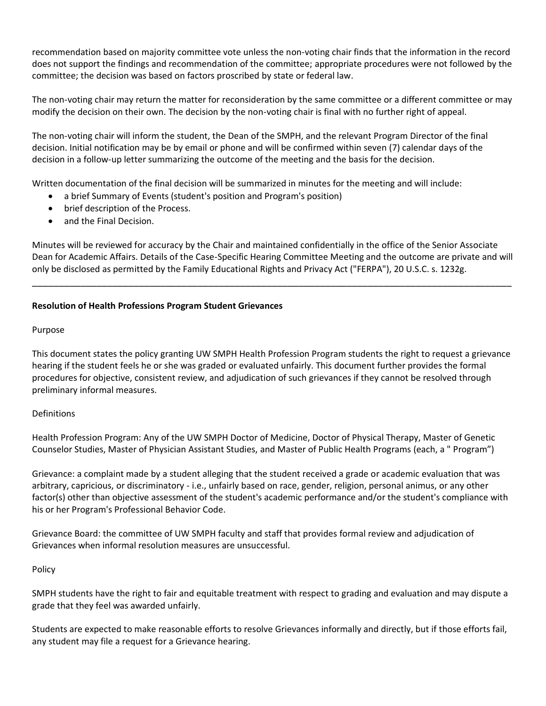recommendation based on majority committee vote unless the non-voting chair finds that the information in the record does not support the findings and recommendation of the committee; appropriate procedures were not followed by the committee; the decision was based on factors proscribed by state or federal law.

The non-voting chair may return the matter for reconsideration by the same committee or a different committee or may modify the decision on their own. The decision by the non-voting chair is final with no further right of appeal.

The non-voting chair will inform the student, the Dean of the SMPH, and the relevant Program Director of the final decision. Initial notification may be by email or phone and will be confirmed within seven (7) calendar days of the decision in a follow-up letter summarizing the outcome of the meeting and the basis for the decision.

Written documentation of the final decision will be summarized in minutes for the meeting and will include:

- a brief Summary of Events (student's position and Program's position)
- brief description of the Process.
- and the Final Decision.

Minutes will be reviewed for accuracy by the Chair and maintained confidentially in the office of the Senior Associate Dean for Academic Affairs. Details of the Case-Specific Hearing Committee Meeting and the outcome are private and will only be disclosed as permitted by the Family Educational Rights and Privacy Act ("FERPA"), 20 U.S.C. s. 1232g.

\_\_\_\_\_\_\_\_\_\_\_\_\_\_\_\_\_\_\_\_\_\_\_\_\_\_\_\_\_\_\_\_\_\_\_\_\_\_\_\_\_\_\_\_\_\_\_\_\_\_\_\_\_\_\_\_\_\_\_\_\_\_\_\_\_\_\_\_\_\_\_\_\_\_\_\_\_\_\_\_\_\_\_\_\_\_\_\_\_\_

## **Resolution of Health Professions Program Student Grievances**

## Purpose

This document states the policy granting UW SMPH Health Profession Program students the right to request a grievance hearing if the student feels he or she was graded or evaluated unfairly. This document further provides the formal procedures for objective, consistent review, and adjudication of such grievances if they cannot be resolved through preliminary informal measures.

## Definitions

Health Profession Program: Any of the UW SMPH Doctor of Medicine, Doctor of Physical Therapy, Master of Genetic Counselor Studies, Master of Physician Assistant Studies, and Master of Public Health Programs (each, a " Program")

Grievance: a complaint made by a student alleging that the student received a grade or academic evaluation that was arbitrary, capricious, or discriminatory - i.e., unfairly based on race, gender, religion, personal animus, or any other factor(s) other than objective assessment of the student's academic performance and/or the student's compliance with his or her Program's Professional Behavior Code.

Grievance Board: the committee of UW SMPH faculty and staff that provides formal review and adjudication of Grievances when informal resolution measures are unsuccessful.

## Policy

SMPH students have the right to fair and equitable treatment with respect to grading and evaluation and may dispute a grade that they feel was awarded unfairly.

Students are expected to make reasonable efforts to resolve Grievances informally and directly, but if those efforts fail, any student may file a request for a Grievance hearing.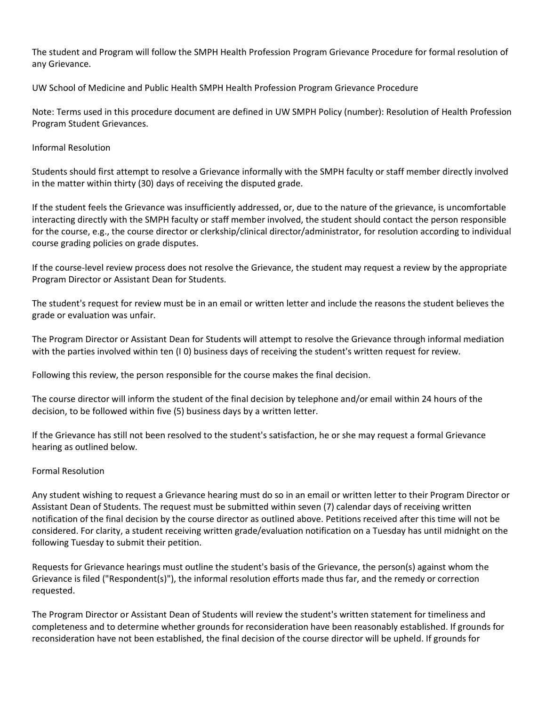The student and Program will follow the SMPH Health Profession Program Grievance Procedure for formal resolution of any Grievance.

UW School of Medicine and Public Health SMPH Health Profession Program Grievance Procedure

Note: Terms used in this procedure document are defined in UW SMPH Policy (number): Resolution of Health Profession Program Student Grievances.

## Informal Resolution

Students should first attempt to resolve a Grievance informally with the SMPH faculty or staff member directly involved in the matter within thirty (30) days of receiving the disputed grade.

If the student feels the Grievance was insufficiently addressed, or, due to the nature of the grievance, is uncomfortable interacting directly with the SMPH faculty or staff member involved, the student should contact the person responsible for the course, e.g., the course director or clerkship/clinical director/administrator, for resolution according to individual course grading policies on grade disputes.

If the course-level review process does not resolve the Grievance, the student may request a review by the appropriate Program Director or Assistant Dean for Students.

The student's request for review must be in an email or written letter and include the reasons the student believes the grade or evaluation was unfair.

The Program Director or Assistant Dean for Students will attempt to resolve the Grievance through informal mediation with the parties involved within ten (I 0) business days of receiving the student's written request for review.

Following this review, the person responsible for the course makes the final decision.

The course director will inform the student of the final decision by telephone and/or email within 24 hours of the decision, to be followed within five (5) business days by a written letter.

If the Grievance has still not been resolved to the student's satisfaction, he or she may request a formal Grievance hearing as outlined below.

## Formal Resolution

Any student wishing to request a Grievance hearing must do so in an email or written letter to their Program Director or Assistant Dean of Students. The request must be submitted within seven (7) calendar days of receiving written notification of the final decision by the course director as outlined above. Petitions received after this time will not be considered. For clarity, a student receiving written grade/evaluation notification on a Tuesday has until midnight on the following Tuesday to submit their petition.

Requests for Grievance hearings must outline the student's basis of the Grievance, the person(s) against whom the Grievance is filed ("Respondent(s)"), the informal resolution efforts made thus far, and the remedy or correction requested.

The Program Director or Assistant Dean of Students will review the student's written statement for timeliness and completeness and to determine whether grounds for reconsideration have been reasonably established. If grounds for reconsideration have not been established, the final decision of the course director will be upheld. If grounds for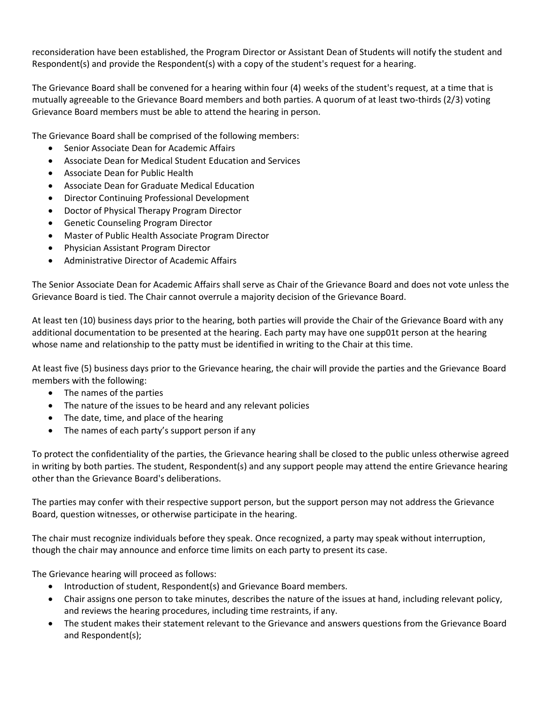reconsideration have been established, the Program Director or Assistant Dean of Students will notify the student and Respondent(s) and provide the Respondent(s) with a copy of the student's request for a hearing.

The Grievance Board shall be convened for a hearing within four (4) weeks of the student's request, at a time that is mutually agreeable to the Grievance Board members and both parties. A quorum of at least two-thirds (2/3) voting Grievance Board members must be able to attend the hearing in person.

The Grievance Board shall be comprised of the following members:

- Senior Associate Dean for Academic Affairs
- Associate Dean for Medical Student Education and Services
- Associate Dean for Public Health
- Associate Dean for Graduate Medical Education
- Director Continuing Professional Development
- Doctor of Physical Therapy Program Director
- Genetic Counseling Program Director
- Master of Public Health Associate Program Director
- Physician Assistant Program Director
- Administrative Director of Academic Affairs

The Senior Associate Dean for Academic Affairs shall serve as Chair of the Grievance Board and does not vote unless the Grievance Board is tied. The Chair cannot overrule a majority decision of the Grievance Board.

At least ten (10) business days prior to the hearing, both parties will provide the Chair of the Grievance Board with any additional documentation to be presented at the hearing. Each party may have one supp01t person at the hearing whose name and relationship to the patty must be identified in writing to the Chair at this time.

At least five (5) business days prior to the Grievance hearing, the chair will provide the parties and the Grievance Board members with the following:

- The names of the parties
- The nature of the issues to be heard and any relevant policies
- The date, time, and place of the hearing
- The names of each party's support person if any

To protect the confidentiality of the parties, the Grievance hearing shall be closed to the public unless otherwise agreed in writing by both parties. The student, Respondent(s) and any support people may attend the entire Grievance hearing other than the Grievance Board's deliberations.

The parties may confer with their respective support person, but the support person may not address the Grievance Board, question witnesses, or otherwise participate in the hearing.

The chair must recognize individuals before they speak. Once recognized, a party may speak without interruption, though the chair may announce and enforce time limits on each party to present its case.

The Grievance hearing will proceed as follows:

- Introduction of student, Respondent(s) and Grievance Board members.
- Chair assigns one person to take minutes, describes the nature of the issues at hand, including relevant policy, and reviews the hearing procedures, including time restraints, if any.
- The student makes their statement relevant to the Grievance and answers questions from the Grievance Board and Respondent(s);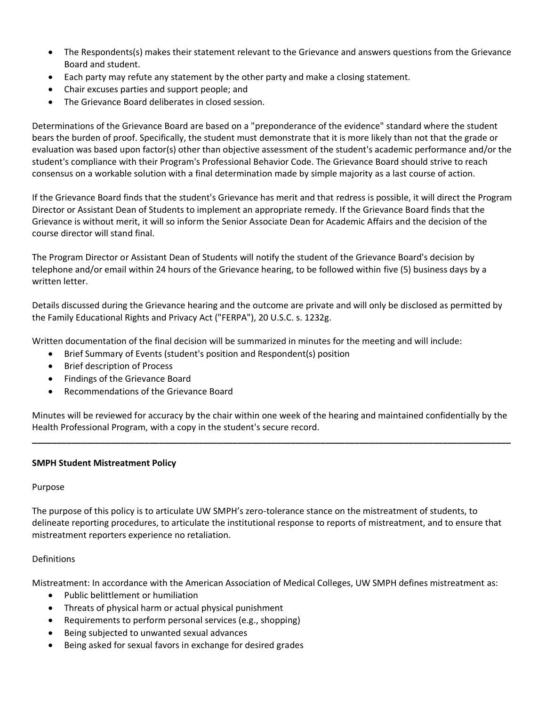- The Respondents(s) makes their statement relevant to the Grievance and answers questions from the Grievance Board and student.
- Each party may refute any statement by the other party and make a closing statement.
- Chair excuses parties and support people; and
- The Grievance Board deliberates in closed session.

Determinations of the Grievance Board are based on a "preponderance of the evidence" standard where the student bears the burden of proof. Specifically, the student must demonstrate that it is more likely than not that the grade or evaluation was based upon factor(s) other than objective assessment of the student's academic performance and/or the student's compliance with their Program's Professional Behavior Code. The Grievance Board should strive to reach consensus on a workable solution with a final determination made by simple majority as a last course of action.

If the Grievance Board finds that the student's Grievance has merit and that redress is possible, it will direct the Program Director or Assistant Dean of Students to implement an appropriate remedy. If the Grievance Board finds that the Grievance is without merit, it will so inform the Senior Associate Dean for Academic Affairs and the decision of the course director will stand final.

The Program Director or Assistant Dean of Students will notify the student of the Grievance Board's decision by telephone and/or email within 24 hours of the Grievance hearing, to be followed within five (5) business days by a written letter.

Details discussed during the Grievance hearing and the outcome are private and will only be disclosed as permitted by the Family Educational Rights and Privacy Act ("FERPA"), 20 U.S.C. s. 1232g.

Written documentation of the final decision will be summarized in minutes for the meeting and will include:

- Brief Summary of Events (student's position and Respondent(s) position
- Brief description of Process
- Findings of the Grievance Board
- Recommendations of the Grievance Board

Minutes will be reviewed for accuracy by the chair within one week of the hearing and maintained confidentially by the Health Professional Program, with a copy in the student's secure record.

**\_\_\_\_\_\_\_\_\_\_\_\_\_\_\_\_\_\_\_\_\_\_\_\_\_\_\_\_\_\_\_\_\_\_\_\_\_\_\_\_\_\_\_\_\_\_\_\_\_\_\_\_\_\_\_\_\_\_\_\_\_\_\_\_\_\_\_\_\_\_\_\_\_\_\_\_\_\_\_\_\_\_\_\_\_\_\_\_\_\_\_\_\_\_\_\_\_\_**

## **SMPH Student Mistreatment Policy**

#### Purpose

The purpose of this policy is to articulate UW SMPH's zero-tolerance stance on the mistreatment of students, to delineate reporting procedures, to articulate the institutional response to reports of mistreatment, and to ensure that mistreatment reporters experience no retaliation.

## Definitions

Mistreatment: In accordance with the American Association of Medical Colleges, UW SMPH defines mistreatment as:

- Public belittlement or humiliation
- Threats of physical harm or actual physical punishment
- Requirements to perform personal services (e.g., shopping)
- Being subjected to unwanted sexual advances
- Being asked for sexual favors in exchange for desired grades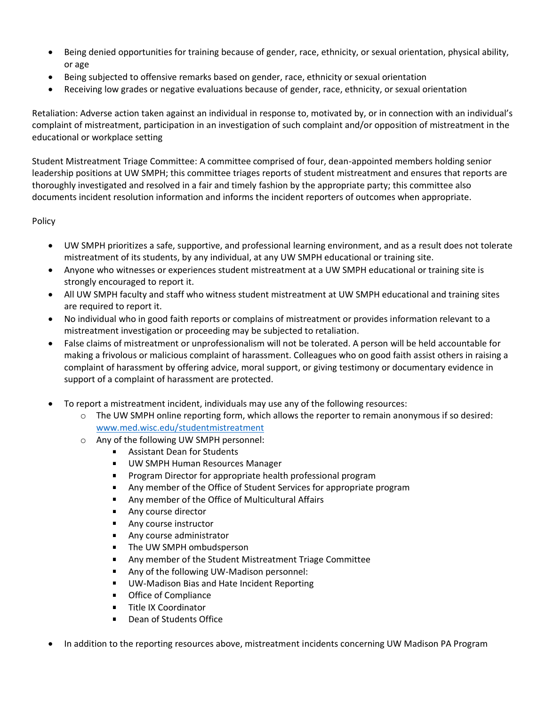- Being denied opportunities for training because of gender, race, ethnicity, or sexual orientation, physical ability, or age
- Being subjected to offensive remarks based on gender, race, ethnicity or sexual orientation
- Receiving low grades or negative evaluations because of gender, race, ethnicity, or sexual orientation

Retaliation: Adverse action taken against an individual in response to, motivated by, or in connection with an individual's complaint of mistreatment, participation in an investigation of such complaint and/or opposition of mistreatment in the educational or workplace setting

Student Mistreatment Triage Committee: A committee comprised of four, dean-appointed members holding senior leadership positions at UW SMPH; this committee triages reports of student mistreatment and ensures that reports are thoroughly investigated and resolved in a fair and timely fashion by the appropriate party; this committee also documents incident resolution information and informs the incident reporters of outcomes when appropriate.

## Policy

- UW SMPH prioritizes a safe, supportive, and professional learning environment, and as a result does not tolerate mistreatment of its students, by any individual, at any UW SMPH educational or training site.
- Anyone who witnesses or experiences student mistreatment at a UW SMPH educational or training site is strongly encouraged to report it.
- All UW SMPH faculty and staff who witness student mistreatment at UW SMPH educational and training sites are required to report it.
- No individual who in good faith reports or complains of mistreatment or provides information relevant to a mistreatment investigation or proceeding may be subjected to retaliation.
- False claims of mistreatment or unprofessionalism will not be tolerated. A person will be held accountable for making a frivolous or malicious complaint of harassment. Colleagues who on good faith assist others in raising a complaint of harassment by offering advice, moral support, or giving testimony or documentary evidence in support of a complaint of harassment are protected.
- To report a mistreatment incident, individuals may use any of the following resources:
	- o The UW SMPH online reporting form, which allows the reporter to remain anonymous if so desired: [www.med.wisc.edu/studentmistreatment](http://www.med.wisc.edu/studentmistreatment)
	- o Any of the following UW SMPH personnel:
		- Assistant Dean for Students
		- $\mathbf{r}$ UW SMPH Human Resources Manager
		- Program Director for appropriate health professional program a.
		- Any member of the Office of Student Services for appropriate program
		- $\blacksquare$ Any member of the Office of Multicultural Affairs
		- $\mathbf{r}$ Any course director
		- $\mathbf{r}$ Any course instructor
		- $\blacksquare$ Any course administrator
		- $\blacksquare$ The UW SMPH ombudsperson
		- Any member of the Student Mistreatment Triage Committee  $\blacksquare$
		- $\blacksquare$ Any of the following UW-Madison personnel:
		- UW-Madison Bias and Hate Incident Reporting  $\blacksquare$
		- Office of Compliance  $\blacksquare$
		- Title IX Coordinator
		- Dean of Students Office
- In addition to the reporting resources above, mistreatment incidents concerning UW Madison PA Program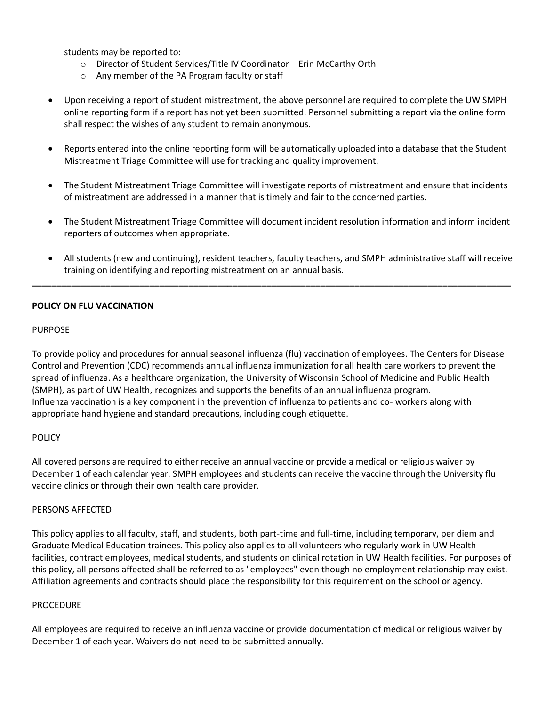students may be reported to:

- o Director of Student Services/Title IV Coordinator Erin McCarthy Orth
- o Any member of the PA Program faculty or staff
- Upon receiving a report of student mistreatment, the above personnel are required to complete the UW SMPH online reporting form if a report has not yet been submitted. Personnel submitting a report via the online form shall respect the wishes of any student to remain anonymous.
- Reports entered into the online reporting form will be automatically uploaded into a database that the Student Mistreatment Triage Committee will use for tracking and quality improvement.
- The Student Mistreatment Triage Committee will investigate reports of mistreatment and ensure that incidents of mistreatment are addressed in a manner that is timely and fair to the concerned parties.
- The Student Mistreatment Triage Committee will document incident resolution information and inform incident reporters of outcomes when appropriate.
- All students (new and continuing), resident teachers, faculty teachers, and SMPH administrative staff will receive training on identifying and reporting mistreatment on an annual basis.

**\_\_\_\_\_\_\_\_\_\_\_\_\_\_\_\_\_\_\_\_\_\_\_\_\_\_\_\_\_\_\_\_\_\_\_\_\_\_\_\_\_\_\_\_\_\_\_\_\_\_\_\_\_\_\_\_\_\_\_\_\_\_\_\_\_\_\_\_\_\_\_\_\_\_\_\_\_\_\_\_\_\_\_\_\_\_\_\_\_\_\_\_\_\_\_\_\_\_**

## **POLICY ON FLU VACCINATION**

#### PURPOSE

To provide policy and procedures for annual seasonal influenza (flu) vaccination of employees. The Centers for Disease Control and Prevention (CDC) recommends annual influenza immunization for all health care workers to prevent the spread of influenza. As a healthcare organization, the University of Wisconsin School of Medicine and Public Health (SMPH), as part of UW Health, recognizes and supports the benefits of an annual influenza program. Influenza vaccination is a key component in the prevention of influenza to patients and co- workers along with appropriate hand hygiene and standard precautions, including cough etiquette.

## POLICY

All covered persons are required to either receive an annual vaccine or provide a medical or religious waiver by December 1 of each calendar year. SMPH employees and students can receive the vaccine through the University flu vaccine clinics or through their own health care provider.

#### PERSONS AFFECTED

This policy applies to all faculty, staff, and students, both part-time and full-time, including temporary, per diem and Graduate Medical Education trainees. This policy also applies to all volunteers who regularly work in UW Health facilities, contract employees, medical students, and students on clinical rotation in UW Health facilities. For purposes of this policy, all persons affected shall be referred to as "employees" even though no employment relationship may exist. Affiliation agreements and contracts should place the responsibility for this requirement on the school or agency.

#### **PROCEDURE**

All employees are required to receive an influenza vaccine or provide documentation of medical or religious waiver by December 1 of each year. Waivers do not need to be submitted annually.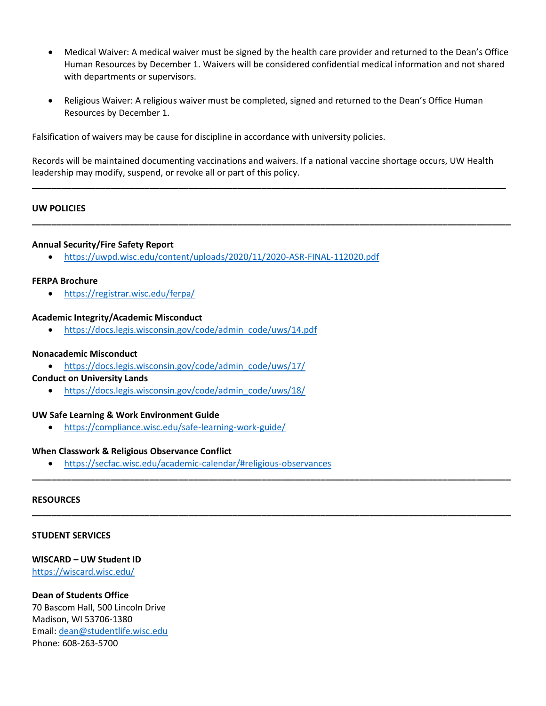- Medical Waiver: A medical waiver must be signed by the health care provider and returned to the Dean's Office Human Resources by December 1. Waivers will be considered confidential medical information and not shared with departments or supervisors.
- Religious Waiver: A religious waiver must be completed, signed and returned to the Dean's Office Human Resources by December 1.

Falsification of waivers may be cause for discipline in accordance with university policies.

Records will be maintained documenting vaccinations and waivers. If a national vaccine shortage occurs, UW Health leadership may modify, suspend, or revoke all or part of this policy.

**\_\_\_\_\_\_\_\_\_\_\_\_\_\_\_\_\_\_\_\_\_\_\_\_\_\_\_\_\_\_\_\_\_\_\_\_\_\_\_\_\_\_\_\_\_\_\_\_\_\_\_\_\_\_\_\_\_\_\_\_\_\_\_\_\_\_\_\_\_\_\_\_\_\_\_\_\_\_\_\_\_\_\_\_\_\_\_\_\_\_\_\_\_\_\_\_\_**

**\_\_\_\_\_\_\_\_\_\_\_\_\_\_\_\_\_\_\_\_\_\_\_\_\_\_\_\_\_\_\_\_\_\_\_\_\_\_\_\_\_\_\_\_\_\_\_\_\_\_\_\_\_\_\_\_\_\_\_\_\_\_\_\_\_\_\_\_\_\_\_\_\_\_\_\_\_\_\_\_\_\_\_\_\_\_\_\_\_\_\_\_\_\_\_\_\_\_**

**\_\_\_\_\_\_\_\_\_\_\_\_\_\_\_\_\_\_\_\_\_\_\_\_\_\_\_\_\_\_\_\_\_\_\_\_\_\_\_\_\_\_\_\_\_\_\_\_\_\_\_\_\_\_\_\_\_\_\_\_\_\_\_\_\_\_\_\_\_\_\_\_\_\_\_\_\_\_\_\_\_\_\_\_\_\_\_\_\_\_\_\_\_\_\_\_\_\_**

**\_\_\_\_\_\_\_\_\_\_\_\_\_\_\_\_\_\_\_\_\_\_\_\_\_\_\_\_\_\_\_\_\_\_\_\_\_\_\_\_\_\_\_\_\_\_\_\_\_\_\_\_\_\_\_\_\_\_\_\_\_\_\_\_\_\_\_\_\_\_\_\_\_\_\_\_\_\_\_\_\_\_\_\_\_\_\_\_\_\_\_\_\_\_\_\_\_\_**

## **UW POLICIES**

#### **Annual Security/Fire Safety Report**

• <https://uwpd.wisc.edu/content/uploads/2020/11/2020-ASR-FINAL-112020.pdf>

#### **FERPA Brochure**

• <https://registrar.wisc.edu/ferpa/>

#### **Academic Integrity/Academic Misconduct**

• [https://docs.legis.wisconsin.gov/code/admin\\_code/uws/14.pdf](https://docs.legis.wisconsin.gov/code/admin_code/uws/14.pdf)

#### **Nonacademic Misconduct**

- [https://docs.legis.wisconsin.gov/code/admin\\_code/uws/17/](https://docs.legis.wisconsin.gov/code/admin_code/uws/17/)
- **Conduct on University Lands**
	- [https://docs.legis.wisconsin.gov/code/admin\\_code/uws/18/](https://docs.legis.wisconsin.gov/code/admin_code/uws/18/)

#### **UW Safe Learning & Work Environment Guide**

• <https://compliance.wisc.edu/safe-learning-work-guide/>

#### **When Classwork & Religious Observance Conflict**

• <https://secfac.wisc.edu/academic-calendar/#religious-observances>

#### **RESOURCES**

#### **STUDENT SERVICES**

#### **WISCARD – UW Student ID**

<https://wiscard.wisc.edu/>

#### **Dean of Students Office**

70 Bascom Hall, 500 Lincoln Drive Madison, WI 53706-1380 Email: [dean@studentlife.wisc.edu](mailto:dean@studentlife.wisc.edu) Phone: 608-263-5700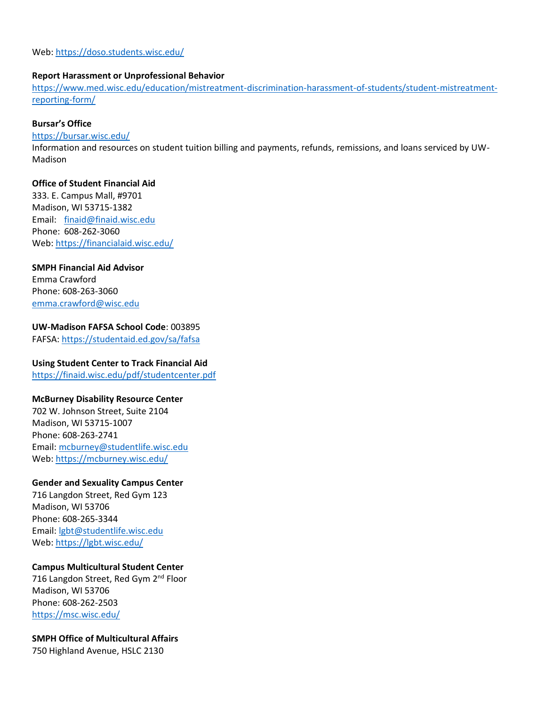Web:<https://doso.students.wisc.edu/>

#### **Report Harassment or Unprofessional Behavior**

[https://www.med.wisc.edu/education/mistreatment-discrimination-harassment-of-students/student-mistreatment](https://www.med.wisc.edu/education/mistreatment-discrimination-harassment-of-students/student-mistreatment-reporting-form/)[reporting-form/](https://www.med.wisc.edu/education/mistreatment-discrimination-harassment-of-students/student-mistreatment-reporting-form/)

## **Bursar's Office**

<https://bursar.wisc.edu/>

Information and resources on student tuition billing and payments, refunds, remissions, and loans serviced by UW-Madison

#### **Office of Student Financial Aid**

333. E. Campus Mall, #9701 Madison, WI 53715-1382 Email: [finaid@finaid.wisc.edu](mailto:finaid@finaid.wisc.edu) Phone: 608-262-3060 Web:<https://financialaid.wisc.edu/>

## **SMPH Financial Aid Advisor**

Emma Crawford Phone: 608-263-3060 [emma.crawford@wisc.edu](mailto:emma.crawford@wisc.edu)

#### **UW-Madison FAFSA School Code**: 003895

FAFSA:<https://studentaid.ed.gov/sa/fafsa>

#### **Using Student Center to Track Financial Aid**

<https://finaid.wisc.edu/pdf/studentcenter.pdf>

#### **McBurney Disability Resource Center**

702 W. Johnson Street, Suite 2104 Madison, WI 53715-1007 Phone: 608-263-2741 Email: [mcburney@studentlife.wisc.edu](mailto:mcburney@studentlife.wisc.edu) Web:<https://mcburney.wisc.edu/>

## **Gender and Sexuality Campus Center**

716 Langdon Street, Red Gym 123 Madison, WI 53706 Phone: 608-265-3344 Email: [lgbt@studentlife.wisc.edu](mailto:lgbt@studentlife.wisc.edu) Web:<https://lgbt.wisc.edu/>

#### **Campus Multicultural Student Center**

716 Langdon Street, Red Gym 2<sup>nd</sup> Floor Madison, WI 53706 Phone: 608-262-2503 <https://msc.wisc.edu/>

**SMPH Office of Multicultural Affairs** 750 Highland Avenue, HSLC 2130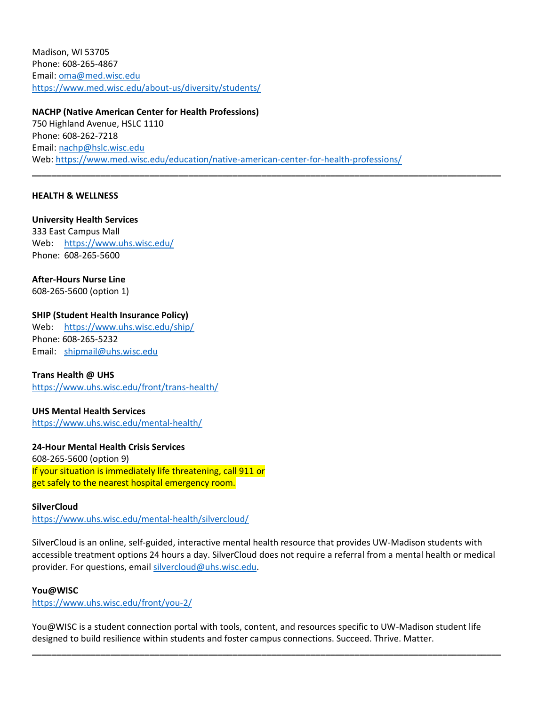Madison, WI 53705 Phone: 608-265-4867 Email: [oma@med.wisc.edu](mailto:oma@med.wisc.edu) <https://www.med.wisc.edu/about-us/diversity/students/>

## **NACHP (Native American Center for Health Professions)**

750 Highland Avenue, HSLC 1110 Phone: 608-262-7218 Email: [nachp@hslc.wisc.edu](mailto:nachp@hslc.wisc.edu) Web:<https://www.med.wisc.edu/education/native-american-center-for-health-professions/>

**\_\_\_\_\_\_\_\_\_\_\_\_\_\_\_\_\_\_\_\_\_\_\_\_\_\_\_\_\_\_\_\_\_\_\_\_\_\_\_\_\_\_\_\_\_\_\_\_\_\_\_\_\_\_\_\_\_\_\_\_\_\_\_\_\_\_\_\_\_\_\_\_\_\_\_\_\_\_\_\_\_\_\_\_\_\_\_\_\_\_\_\_\_\_\_\_**

## **HEALTH & WELLNESS**

**University Health Services** 333 East Campus Mall Web: <https://www.uhs.wisc.edu/> Phone: 608-265-5600

**After-Hours Nurse Line** 608-265-5600 (option 1)

## **SHIP (Student Health Insurance Policy)**

Web: <https://www.uhs.wisc.edu/ship/> Phone: 608-265-5232 Email: [shipmail@uhs.wisc.edu](mailto:shipmail@uhs.wisc.edu)

#### **Trans Health @ UHS**

<https://www.uhs.wisc.edu/front/trans-health/>

## **UHS Mental Health Services**

<https://www.uhs.wisc.edu/mental-health/>

## **24-Hour Mental Health Crisis Services**

608-265-5600 (option 9) If your situation is immediately life threatening, call 911 or get safely to the nearest hospital emergency room.

## **SilverCloud**

<https://www.uhs.wisc.edu/mental-health/silvercloud/>

SilverCloud is an online, self-guided, interactive mental health resource that provides UW-Madison students with accessible treatment options 24 hours a day. SilverCloud does not require a referral from a mental health or medical provider. For questions, email [silvercloud@uhs.wisc.edu.](mailto:silvercloud@uhs.wisc.edu)

#### **You@WISC**

<https://www.uhs.wisc.edu/front/you-2/>

You@WISC is a student connection portal with tools, content, and resources specific to UW-Madison student life designed to build resilience within students and foster campus connections. Succeed. Thrive. Matter.

**\_\_\_\_\_\_\_\_\_\_\_\_\_\_\_\_\_\_\_\_\_\_\_\_\_\_\_\_\_\_\_\_\_\_\_\_\_\_\_\_\_\_\_\_\_\_\_\_\_\_\_\_\_\_\_\_\_\_\_\_\_\_\_\_\_\_\_\_\_\_\_\_\_\_\_\_\_\_\_\_\_\_\_\_\_\_\_\_\_\_\_\_\_\_\_\_**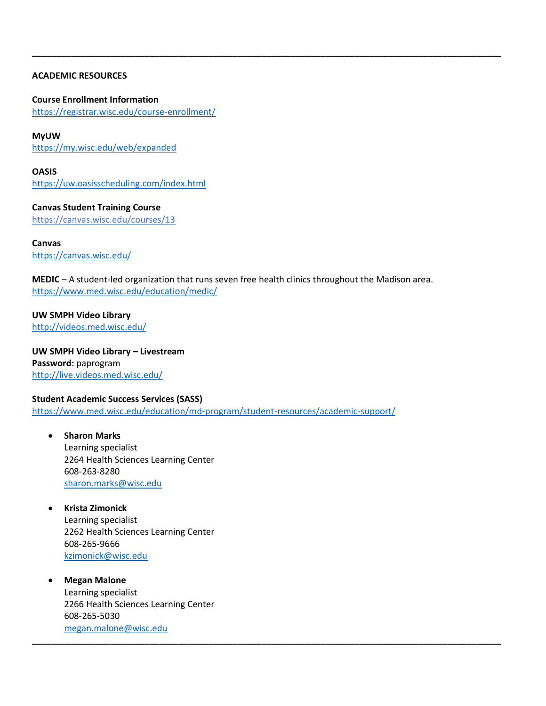## **ACADEMIC RESOURCES**

**Course Enrollment Information** <https://registrar.wisc.edu/course-enrollment/>

**MyUW** <https://my.wisc.edu/web/expanded>

**OASIS** <https://uw.oasisscheduling.com/index.html>

**Canvas Student Training Course** <https://canvas.wisc.edu/courses/13>

**Canvas** <https://canvas.wisc.edu/>

**MEDIC** – A student-led organization that runs seven free health clinics throughout the Madison area. <https://www.med.wisc.edu/education/medic/>

**\_\_\_\_\_\_\_\_\_\_\_\_\_\_\_\_\_\_\_\_\_\_\_\_\_\_\_\_\_\_\_\_\_\_\_\_\_\_\_\_\_\_\_\_\_\_\_\_\_\_\_\_\_\_\_\_\_\_\_\_\_\_\_\_\_\_\_\_\_\_\_\_\_\_\_\_\_\_\_\_\_\_\_\_\_\_\_\_\_\_\_\_\_\_\_\_**

**UW SMPH Video Library** <http://videos.med.wisc.edu/>

**UW SMPH Video Library – Livestream Password:** paprogram <http://live.videos.med.wisc.edu/>

**Student Academic Success Services (SASS)** <https://www.med.wisc.edu/education/md-program/student-resources/academic-support/>

**\_\_\_\_\_\_\_\_\_\_\_\_\_\_\_\_\_\_\_\_\_\_\_\_\_\_\_\_\_\_\_\_\_\_\_\_\_\_\_\_\_\_\_\_\_\_\_\_\_\_\_\_\_\_\_\_\_\_\_\_\_\_\_\_\_\_\_\_\_\_\_\_\_\_\_\_\_\_\_\_\_\_\_\_\_\_\_\_\_\_\_\_\_\_\_\_**

- **Sharon Marks** Learning specialist 2264 Health Sciences Learning Center 608-263-8280 [sharon.marks@wisc.edu](mailto:sharon.marks@wisc.edu)
- **Krista Zimonick** Learning specialist 2262 Health Sciences Learning Center 608-265-9666 [kzimonick@wisc.edu](mailto:kzimonick@wisc.edu)
- **Megan Malone** Learning specialist 2266 Health Sciences Learning Center 608-265-5030 [megan.malone@wisc.edu](mailto:megan.malone@wisc.edu)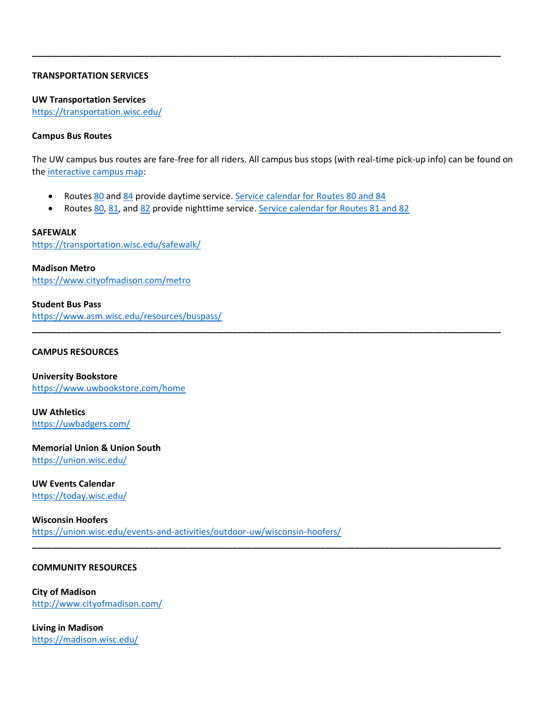## **TRANSPORTATION SERVICES**

#### **UW Transportation Services**

<https://transportation.wisc.edu/>

#### **Campus Bus Routes**

The UW campus bus routes are fare-free for all riders. All campus bus stops (with real-time pick-up info) can be found on the [interactive campus map:](http://www.map.wisc.edu/)

**\_\_\_\_\_\_\_\_\_\_\_\_\_\_\_\_\_\_\_\_\_\_\_\_\_\_\_\_\_\_\_\_\_\_\_\_\_\_\_\_\_\_\_\_\_\_\_\_\_\_\_\_\_\_\_\_\_\_\_\_\_\_\_\_\_\_\_\_\_\_\_\_\_\_\_\_\_\_\_\_\_\_\_\_\_\_\_\_\_\_\_\_\_\_\_\_**

**\_\_\_\_\_\_\_\_\_\_\_\_\_\_\_\_\_\_\_\_\_\_\_\_\_\_\_\_\_\_\_\_\_\_\_\_\_\_\_\_\_\_\_\_\_\_\_\_\_\_\_\_\_\_\_\_\_\_\_\_\_\_\_\_\_\_\_\_\_\_\_\_\_\_\_\_\_\_\_\_\_\_\_\_\_\_\_\_\_\_\_\_\_\_\_\_**

**\_\_\_\_\_\_\_\_\_\_\_\_\_\_\_\_\_\_\_\_\_\_\_\_\_\_\_\_\_\_\_\_\_\_\_\_\_\_\_\_\_\_\_\_\_\_\_\_\_\_\_\_\_\_\_\_\_\_\_\_\_\_\_\_\_\_\_\_\_\_\_\_\_\_\_\_\_\_\_\_\_\_\_\_\_\_\_\_\_\_\_\_\_\_\_\_**

- Routes [80](http://www.cityofmadison.com/Metro/schedules/Route80/) and [84](http://www.cityofmadison.com/Metro/schedules/Route84) provide daytime service. [Service calendar for Routes 80 and 84](http://www.cityofmadison.com/metro/routes-schedules/uw-service-calendar)
- Routes [80,](http://www.cityofmadison.com/Metro/schedules/Route80/) [81,](http://www.cityofmadison.com/Metro/schedules/Route81/) and [82](http://www.cityofmadison.com/Metro/schedules/Route82/) provide nighttime service. [Service calendar for Routes 81 and 82](http://www.cityofmadison.com/metro/routes-schedules/uw-service-calendar)

**SAFEWALK** <https://transportation.wisc.edu/safewalk/>

**Madison Metro** <https://www.cityofmadison.com/metro>

## **Student Bus Pass**

<https://www.asm.wisc.edu/resources/buspass/>

#### **CAMPUS RESOURCES**

**University Bookstore** <https://www.uwbookstore.com/home>

**UW Athletics** <https://uwbadgers.com/>

**Memorial Union & Union South** <https://union.wisc.edu/>

#### **UW Events Calendar** <https://today.wisc.edu/>

**Wisconsin Hoofers** <https://union.wisc.edu/events-and-activities/outdoor-uw/wisconsin-hoofers/>

#### **COMMUNITY RESOURCES**

**City of Madison** <http://www.cityofmadison.com/>

**Living in Madison** <https://madison.wisc.edu/>